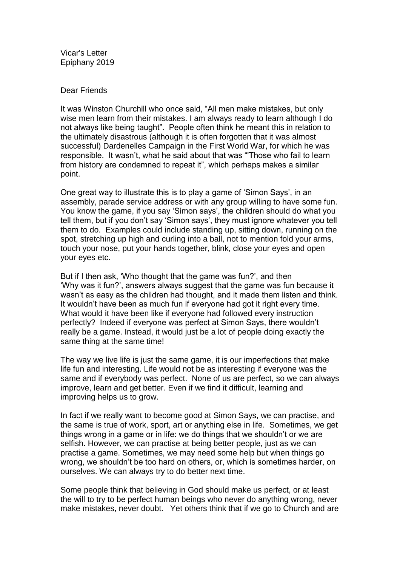Vicar's Letter Epiphany 2019

# Dear Friends

It was Winston Churchill who once said, "All men make mistakes, but only wise men learn from their mistakes. I am always ready to learn although I do not always like being taught". People often think he meant this in relation to the ultimately disastrous (although it is often forgotten that it was almost successful) Dardenelles Campaign in the First World War, for which he was responsible. It wasn't, what he said about that was "'Those who fail to learn from history are condemned to repeat it", which perhaps makes a similar point.

One great way to illustrate this is to play a game of 'Simon Says', in an assembly, parade service address or with any group willing to have some fun. You know the game, if you say 'Simon says', the children should do what you tell them, but if you don't say 'Simon says', they must ignore whatever you tell them to do. Examples could include standing up, sitting down, running on the spot, stretching up high and curling into a ball, not to mention fold your arms, touch your nose, put your hands together, blink, close your eyes and open your eyes etc.

But if I then ask, 'Who thought that the game was fun?', and then 'Why was it fun?', answers always suggest that the game was fun because it wasn't as easy as the children had thought, and it made them listen and think. It wouldn't have been as much fun if everyone had got it right every time. What would it have been like if everyone had followed every instruction perfectly? Indeed if everyone was perfect at Simon Says, there wouldn't really be a game. Instead, it would just be a lot of people doing exactly the same thing at the same time!

The way we live life is just the same game, it is our imperfections that make life fun and interesting. Life would not be as interesting if everyone was the same and if everybody was perfect. None of us are perfect, so we can always improve, learn and get better. Even if we find it difficult, learning and improving helps us to grow.

In fact if we really want to become good at Simon Says, we can practise, and the same is true of work, sport, art or anything else in life. Sometimes, we get things wrong in a game or in life: we do things that we shouldn't or we are selfish. However, we can practise at being better people, just as we can practise a game. Sometimes, we may need some help but when things go wrong, we shouldn't be too hard on others, or, which is sometimes harder, on ourselves. We can always try to do better next time.

Some people think that believing in God should make us perfect, or at least the will to try to be perfect human beings who never do anything wrong, never make mistakes, never doubt. Yet others think that if we go to Church and are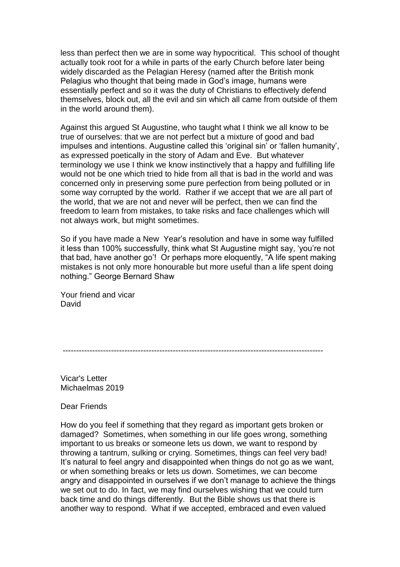less than perfect then we are in some way hypocritical. This school of thought actually took root for a while in parts of the early Church before later being widely discarded as the Pelagian Heresy (named after the British monk Pelagius who thought that being made in God's image, humans were essentially perfect and so it was the duty of Christians to effectively defend themselves, block out, all the evil and sin which all came from outside of them in the world around them).

Against this argued St Augustine, who taught what I think we all know to be true of ourselves: that we are not perfect but a mixture of good and bad impulses and intentions. Augustine called this 'original sin' or 'fallen humanity', as expressed poetically in the story of Adam and Eve. But whatever terminology we use I think we know instinctively that a happy and fulfilling life would not be one which tried to hide from all that is bad in the world and was concerned only in preserving some pure perfection from being polluted or in some way corrupted by the world. Rather if we accept that we are all part of the world, that we are not and never will be perfect, then we can find the freedom to learn from mistakes, to take risks and face challenges which will not always work, but might sometimes.

So if you have made a New Year's resolution and have in some way fulfilled it less than 100% successfully, think what St Augustine might say, 'you're not that bad, have another go'! Or perhaps more eloquently, "A life spent making mistakes is not only more honourable but more useful than a life spent doing nothing." George Bernard Shaw

Your friend and vicar David

-------------------------------------------------------------------------------------------------

Vicar's Letter Michaelmas 2019

Dear Friends

How do you feel if something that they regard as important gets broken or damaged? Sometimes, when something in our life goes wrong, something important to us breaks or someone lets us down, we want to respond by throwing a tantrum, sulking or crying. Sometimes, things can feel very bad! It's natural to feel angry and disappointed when things do not go as we want, or when something breaks or lets us down. Sometimes, we can become angry and disappointed in ourselves if we don't manage to achieve the things we set out to do. In fact, we may find ourselves wishing that we could turn back time and do things differently. But the Bible shows us that there is another way to respond. What if we accepted, embraced and even valued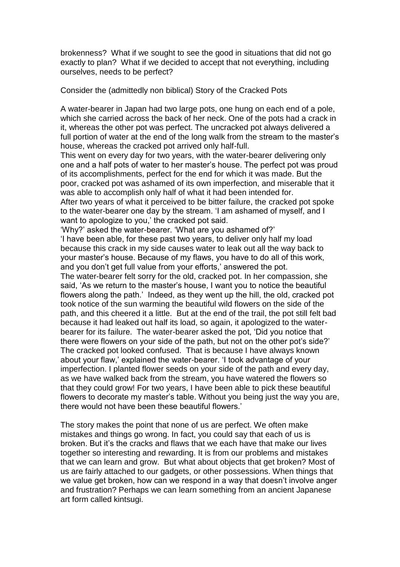brokenness? What if we sought to see the good in situations that did not go exactly to plan? What if we decided to accept that not everything, including ourselves, needs to be perfect?

# Consider the (admittedly non biblical) Story of the Cracked Pots

A water-bearer in Japan had two large pots, one hung on each end of a pole, which she carried across the back of her neck. One of the pots had a crack in it, whereas the other pot was perfect. The uncracked pot always delivered a full portion of water at the end of the long walk from the stream to the master's house, whereas the cracked pot arrived only half-full.

This went on every day for two years, with the water-bearer delivering only one and a half pots of water to her master's house. The perfect pot was proud of its accomplishments, perfect for the end for which it was made. But the poor, cracked pot was ashamed of its own imperfection, and miserable that it was able to accomplish only half of what it had been intended for. After two years of what it perceived to be bitter failure, the cracked pot spoke to the water-bearer one day by the stream. 'I am ashamed of myself, and I want to apologize to you,' the cracked pot said.

'Why?' asked the water-bearer. 'What are you ashamed of?' 'I have been able, for these past two years, to deliver only half my load because this crack in my side causes water to leak out all the way back to your master's house. Because of my flaws, you have to do all of this work, and you don't get full value from your efforts,' answered the pot.

The water-bearer felt sorry for the old, cracked pot. In her compassion, she said, 'As we return to the master's house, I want you to notice the beautiful flowers along the path.' Indeed, as they went up the hill, the old, cracked pot took notice of the sun warming the beautiful wild flowers on the side of the path, and this cheered it a little. But at the end of the trail, the pot still felt bad because it had leaked out half its load, so again, it apologized to the waterbearer for its failure. The water-bearer asked the pot, 'Did you notice that there were flowers on your side of the path, but not on the other pot's side?' The cracked pot looked confused. That is because I have always known about your flaw,' explained the water-bearer. 'I took advantage of your imperfection. I planted flower seeds on your side of the path and every day, as we have walked back from the stream, you have watered the flowers so that they could grow! For two years, I have been able to pick these beautiful flowers to decorate my master's table. Without you being just the way you are, there would not have been these beautiful flowers.'

The story makes the point that none of us are perfect. We often make mistakes and things go wrong. In fact, you could say that each of us is broken. But it's the cracks and flaws that we each have that make our lives together so interesting and rewarding. It is from our problems and mistakes that we can learn and grow. But what about objects that get broken? Most of us are fairly attached to our gadgets, or other possessions. When things that we value get broken, how can we respond in a way that doesn't involve anger and frustration? Perhaps we can learn something from an ancient Japanese art form called kintsugi.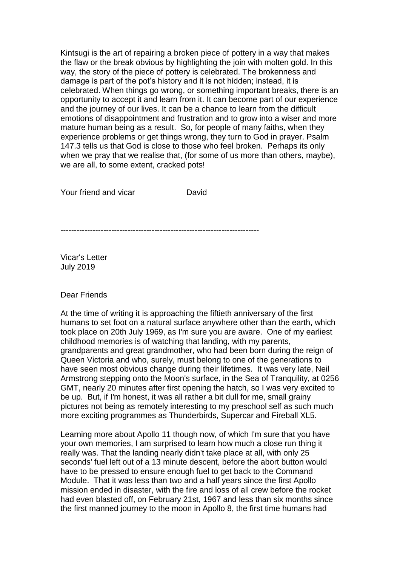Kintsugi is the art of repairing a broken piece of pottery in a way that makes the flaw or the break obvious by highlighting the join with molten gold. In this way, the story of the piece of pottery is celebrated. The brokenness and damage is part of the pot's history and it is not hidden; instead, it is celebrated. When things go wrong, or something important breaks, there is an opportunity to accept it and learn from it. It can become part of our experience and the journey of our lives. It can be a chance to learn from the difficult emotions of disappointment and frustration and to grow into a wiser and more mature human being as a result. So, for people of many faiths, when they experience problems or get things wrong, they turn to God in prayer. Psalm 147.3 tells us that God is close to those who feel broken. Perhaps its only when we pray that we realise that, (for some of us more than others, maybe), we are all, to some extent, cracked pots!

Your friend and vicar **David** 

--------------------------------------------------------------------------

Vicar's Letter July 2019

Dear Friends

At the time of writing it is approaching the fiftieth anniversary of the first humans to set foot on a natural surface anywhere other than the earth, which took place on 20th July 1969, as I'm sure you are aware. One of my earliest childhood memories is of watching that landing, with my parents, grandparents and great grandmother, who had been born during the reign of Queen Victoria and who, surely, must belong to one of the generations to have seen most obvious change during their lifetimes. It was very late, Neil Armstrong stepping onto the Moon's surface, in the Sea of Tranquility, at 0256 GMT, nearly 20 minutes after first opening the hatch, so I was very excited to be up. But, if I'm honest, it was all rather a bit dull for me, small grainy pictures not being as remotely interesting to my preschool self as such much more exciting programmes as Thunderbirds, Supercar and Fireball XL5.

Learning more about Apollo 11 though now, of which I'm sure that you have your own memories, I am surprised to learn how much a close run thing it really was. That the landing nearly didn't take place at all, with only 25 seconds' fuel left out of a 13 minute descent, before the abort button would have to be pressed to ensure enough fuel to get back to the Command Module. That it was less than two and a half years since the first Apollo mission ended in disaster, with the fire and loss of all crew before the rocket had even blasted off, on February 21st, 1967 and less than six months since the first manned journey to the moon in Apollo 8, the first time humans had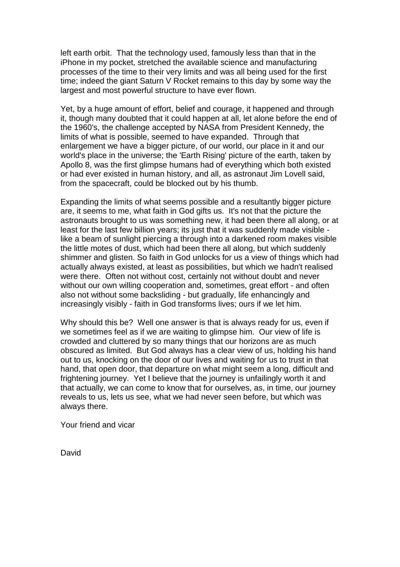left earth orbit. That the technology used, famously less than that in the iPhone in my pocket, stretched the available science and manufacturing processes of the time to their very limits and was all being used for the first time; indeed the giant Saturn V Rocket remains to this day by some way the largest and most powerful structure to have ever flown.

Yet, by a huge amount of effort, belief and courage, it happened and through it, though many doubted that it could happen at all, let alone before the end of the 1960's, the challenge accepted by NASA from President Kennedy, the limits of what is possible, seemed to have expanded. Through that enlargement we have a bigger picture, of our world, our place in it and our world's place in the universe; the 'Earth Rising' picture of the earth, taken by Apollo 8, was the first glimpse humans had of everything which both existed or had ever existed in human history, and all, as astronaut Jim Lovell said, from the spacecraft, could be blocked out by his thumb.

Expanding the limits of what seems possible and a resultantly bigger picture are, it seems to me, what faith in God gifts us. It's not that the picture the astronauts brought to us was something new, it had been there all along, or at least for the last few billion years; its just that it was suddenly made visible like a beam of sunlight piercing a through into a darkened room makes visible the little motes of dust, which had been there all along, but which suddenly shimmer and glisten. So faith in God unlocks for us a view of things which had actually always existed, at least as possibilities, but which we hadn't realised were there. Often not without cost, certainly not without doubt and never without our own willing cooperation and, sometimes, great effort - and often also not without some backsliding - but gradually, life enhancingly and increasingly visibly - faith in God transforms lives; ours if we let him.

Why should this be? Well one answer is that is always ready for us, even if we sometimes feel as if we are waiting to glimpse him. Our view of life is crowded and cluttered by so many things that our horizons are as much obscured as limited. But God always has a clear view of us, holding his hand out to us, knocking on the door of our lives and waiting for us to trust in that hand, that open door, that departure on what might seem a long, difficult and frightening journey. Yet I believe that the journey is unfailingly worth it and that actually, we can come to know that for ourselves, as, in time, our journey reveals to us, lets us see, what we had never seen before, but which was always there.

Your friend and vicar

**David**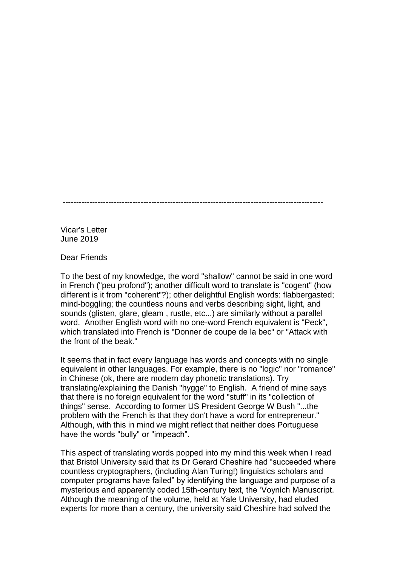-------------------------------------------------------------------------------------------------

Vicar's Letter June 2019

Dear Friends

To the best of my knowledge, the word "shallow" cannot be said in one word in French ("peu profond"); another difficult word to translate is "cogent" (how different is it from "coherent"?); other delightful English words: flabbergasted; mind-boggling; the countless nouns and verbs describing sight, light, and sounds (glisten, glare, gleam , rustle, etc...) are similarly without a parallel word. Another English word with no one-word French equivalent is "Peck", which translated into French is "Donner de coupe de la bec" or "Attack with the front of the beak."

It seems that in fact every language has words and concepts with no single equivalent in other languages. For example, there is no "logic" nor "romance" in Chinese (ok, there are modern day phonetic translations). Try translating/explaining the Danish "hygge" to English. A friend of mine says that there is no foreign equivalent for the word "stuff" in its "collection of things" sense. According to former US President George W Bush "...the problem with the French is that they don't have a word for entrepreneur." Although, with this in mind we might reflect that neither does Portuguese have the words "bully" or "impeach".

This aspect of translating words popped into my mind this week when I read that Bristol University said that its Dr Gerard Cheshire had "succeeded where countless cryptographers, (including Alan Turing!) linguistics scholars and computer programs have failed" by identifying the language and purpose of a mysterious and apparently coded 15th-century text, the 'Voynich Manuscript. Although the meaning of the volume, held at Yale University, had eluded experts for more than a century, the university said Cheshire had solved the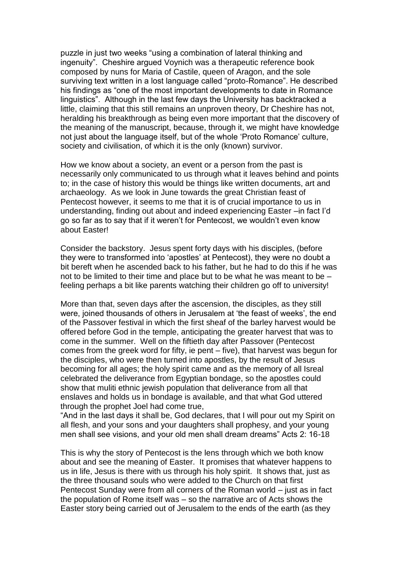puzzle in just two weeks "using a combination of lateral thinking and ingenuity". Cheshire argued Voynich was a therapeutic reference book composed by nuns for Maria of Castile, queen of Aragon, and the sole surviving text written in a lost language called "proto-Romance". He described his findings as "one of the most important developments to date in Romance linguistics". Although in the last few days the University has backtracked a little, claiming that this still remains an unproven theory, Dr Cheshire has not, heralding his breakthrough as being even more important that the discovery of the meaning of the manuscript, because, through it, we might have knowledge not just about the language itself, but of the whole 'Proto Romance' culture, society and civilisation, of which it is the only (known) survivor.

How we know about a society, an event or a person from the past is necessarily only communicated to us through what it leaves behind and points to; in the case of history this would be things like written documents, art and archaeology. As we look in June towards the great Christian feast of Pentecost however, it seems to me that it is of crucial importance to us in understanding, finding out about and indeed experiencing Easter –in fact I'd go so far as to say that if it weren't for Pentecost, we wouldn't even know about Easter!

Consider the backstory. Jesus spent forty days with his disciples, (before they were to transformed into 'apostles' at Pentecost), they were no doubt a bit bereft when he ascended back to his father, but he had to do this if he was not to be limited to their time and place but to be what he was meant to be – feeling perhaps a bit like parents watching their children go off to university!

More than that, seven days after the ascension, the disciples, as they still were, joined thousands of others in Jerusalem at 'the feast of weeks', the end of the Passover festival in which the first sheaf of the barley harvest would be offered before God in the temple, anticipating the greater harvest that was to come in the summer. Well on the fiftieth day after Passover (Pentecost comes from the greek word for fifty, ie pent – five), that harvest was begun for the disciples, who were then turned into apostles, by the result of Jesus becoming for all ages; the holy spirit came and as the memory of all Isreal celebrated the deliverance from Egyptian bondage, so the apostles could show that muliti ethnic jewish population that deliverance from all that enslaves and holds us in bondage is available, and that what God uttered through the prophet Joel had come true,

"And in the last days it shall be, God declares, that I will pour out my Spirit on all flesh, and your sons and your daughters shall prophesy, and your young men shall see visions, and your old men shall dream dreams" Acts 2: 16-18

This is why the story of Pentecost is the lens through which we both know about and see the meaning of Easter. It promises that whatever happens to us in life, Jesus is there with us through his holy spirit. It shows that, just as the three thousand souls who were added to the Church on that first Pentecost Sunday were from all corners of the Roman world – just as in fact the population of Rome itself was – so the narrative arc of Acts shows the Easter story being carried out of Jerusalem to the ends of the earth (as they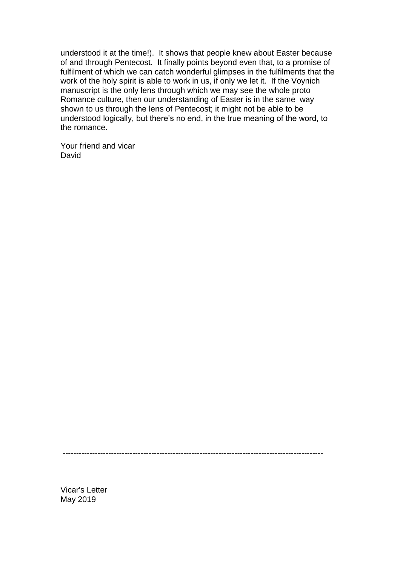understood it at the time!). It shows that people knew about Easter because of and through Pentecost. It finally points beyond even that, to a promise of fulfilment of which we can catch wonderful glimpses in the fulfilments that the work of the holy spirit is able to work in us, if only we let it. If the Voynich manuscript is the only lens through which we may see the whole proto Romance culture, then our understanding of Easter is in the same way shown to us through the lens of Pentecost; it might not be able to be understood logically, but there's no end, in the true meaning of the word, to the romance.

Your friend and vicar **David** 

-------------------------------------------------------------------------------------------------

Vicar's Letter May 2019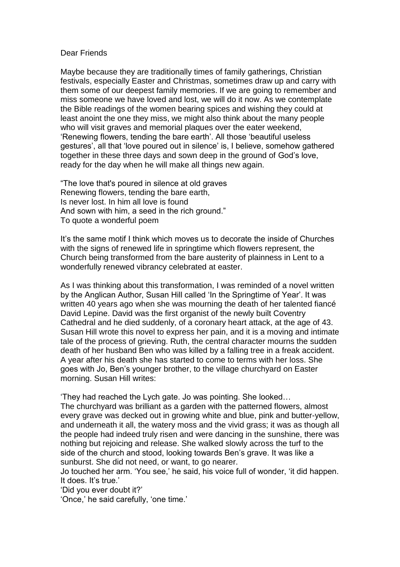### Dear Friends

Maybe because they are traditionally times of family gatherings, Christian festivals, especially Easter and Christmas, sometimes draw up and carry with them some of our deepest family memories. If we are going to remember and miss someone we have loved and lost, we will do it now. As we contemplate the Bible readings of the women bearing spices and wishing they could at least anoint the one they miss, we might also think about the many people who will visit graves and memorial plaques over the eater weekend, 'Renewing flowers, tending the bare earth'. All those 'beautiful useless gestures', all that 'love poured out in silence' is, I believe, somehow gathered together in these three days and sown deep in the ground of God's love, ready for the day when he will make all things new again.

"The love that's poured in silence at old graves Renewing flowers, tending the bare earth, Is never lost. In him all love is found And sown with him, a seed in the rich ground." To quote a wonderful poem

It's the same motif I think which moves us to decorate the inside of Churches with the signs of renewed life in springtime which flowers represent, the Church being transformed from the bare austerity of plainness in Lent to a wonderfully renewed vibrancy celebrated at easter.

As I was thinking about this transformation, I was reminded of a novel written by the Anglican Author, Susan Hill called 'In the Springtime of Year'. It was written 40 years ago when she was mourning the death of her talented fiancé David Lepine. David was the first organist of the newly built Coventry Cathedral and he died suddenly, of a coronary heart attack, at the age of 43. Susan Hill wrote this novel to express her pain, and it is a moving and intimate tale of the process of grieving. Ruth, the central character mourns the sudden death of her husband Ben who was killed by a falling tree in a freak accident. A year after his death she has started to come to terms with her loss. She goes with Jo, Ben's younger brother, to the village churchyard on Easter morning. Susan Hill writes:

'They had reached the Lych gate. Jo was pointing. She looked…

The churchyard was brilliant as a garden with the patterned flowers, almost every grave was decked out in growing white and blue, pink and butter-yellow, and underneath it all, the watery moss and the vivid grass; it was as though all the people had indeed truly risen and were dancing in the sunshine, there was nothing but rejoicing and release. She walked slowly across the turf to the side of the church and stood, looking towards Ben's grave. It was like a sunburst. She did not need, or want, to go nearer.

Jo touched her arm. 'You see,' he said, his voice full of wonder, 'it did happen. It does. It's true.'

'Did you ever doubt it?'

'Once,' he said carefully, 'one time.'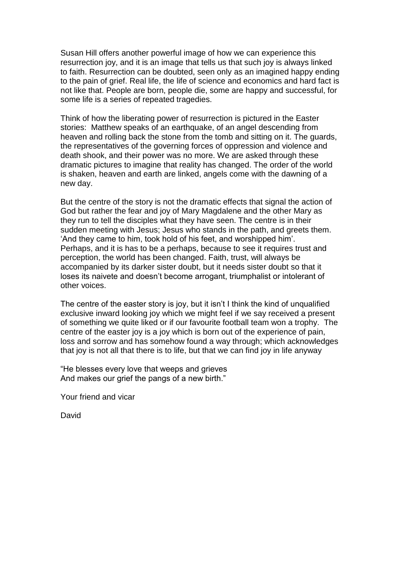Susan Hill offers another powerful image of how we can experience this resurrection joy, and it is an image that tells us that such joy is always linked to faith. Resurrection can be doubted, seen only as an imagined happy ending to the pain of grief. Real life, the life of science and economics and hard fact is not like that. People are born, people die, some are happy and successful, for some life is a series of repeated tragedies.

Think of how the liberating power of resurrection is pictured in the Easter stories: Matthew speaks of an earthquake, of an angel descending from heaven and rolling back the stone from the tomb and sitting on it. The guards, the representatives of the governing forces of oppression and violence and death shook, and their power was no more. We are asked through these dramatic pictures to imagine that reality has changed. The order of the world is shaken, heaven and earth are linked, angels come with the dawning of a new day.

But the centre of the story is not the dramatic effects that signal the action of God but rather the fear and joy of Mary Magdalene and the other Mary as they run to tell the disciples what they have seen. The centre is in their sudden meeting with Jesus; Jesus who stands in the path, and greets them. 'And they came to him, took hold of his feet, and worshipped him'. Perhaps, and it is has to be a perhaps, because to see it requires trust and perception, the world has been changed. Faith, trust, will always be accompanied by its darker sister doubt, but it needs sister doubt so that it loses its naivete and doesn't become arrogant, triumphalist or intolerant of other voices.

The centre of the easter story is joy, but it isn't I think the kind of unqualified exclusive inward looking joy which we might feel if we say received a present of something we quite liked or if our favourite football team won a trophy. The centre of the easter joy is a joy which is born out of the experience of pain, loss and sorrow and has somehow found a way through; which acknowledges that joy is not all that there is to life, but that we can find joy in life anyway

"He blesses every love that weeps and grieves And makes our grief the pangs of a new birth."

Your friend and vicar

David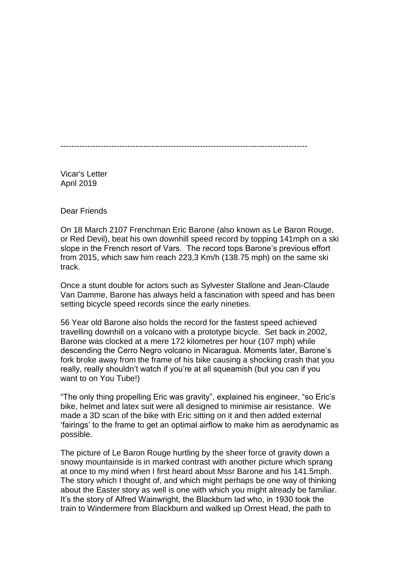--------------------------------------------------------------------------------------------

Vicar's Letter April 2019

Dear Friends

On 18 March 2107 Frenchman Eric Barone (also known as Le Baron Rouge, or Red Devil), beat his own downhill speed record by topping 141mph on a ski slope in the French resort of Vars. The record tops Barone's previous effort from 2015, which saw him reach 223,3 Km/h (138.75 mph) on the same ski track.

Once a stunt double for actors such as Sylvester Stallone and Jean-Claude Van Damme, Barone has always held a fascination with speed and has been setting bicycle speed records since the early nineties.

56 Year old Barone also holds the record for the fastest speed achieved travelling downhill on a volcano with a prototype bicycle. Set back in 2002, Barone was clocked at a mere 172 kilometres per hour (107 mph) while descending the Cerro Negro volcano in Nicaragua. Moments later, Barone's fork broke away from the frame of his bike causing a shocking crash that you really, really shouldn't watch if you're at all squeamish (but you can if you want to on You Tube!)

"The only thing propelling Eric was gravity", explained his engineer, "so Eric's bike, helmet and latex suit were all designed to minimise air resistance. We made a 3D scan of the bike with Eric sitting on it and then added external 'fairings' to the frame to get an optimal airflow to make him as aerodynamic as possible.

The picture of Le Baron Rouge hurtling by the sheer force of gravity down a snowy mountainside is in marked contrast with another picture which sprang at once to my mind when I first heard about Mssr Barone and his 141.5mph. The story which I thought of, and which might perhaps be one way of thinking about the Easter story as well is one with which you might already be familiar. It's the story of Alfred Wainwright, the Blackburn lad who, in 1930 took the train to Windermere from Blackburn and walked up Orrest Head, the path to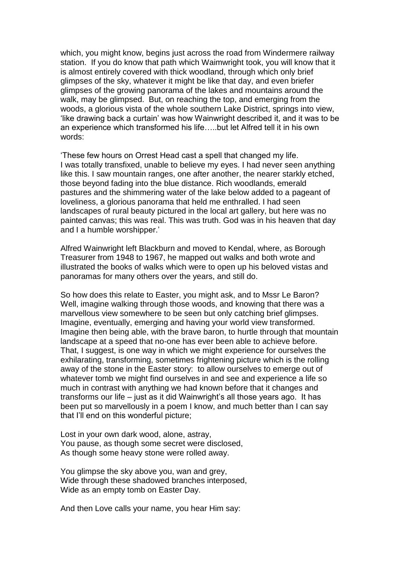which, you might know, begins just across the road from Windermere railway station. If you do know that path which Waimwright took, you will know that it is almost entirely covered with thick woodland, through which only brief glimpses of the sky, whatever it might be like that day, and even briefer glimpses of the growing panorama of the lakes and mountains around the walk, may be glimpsed. But, on reaching the top, and emerging from the woods, a glorious vista of the whole southern Lake District, springs into view, 'like drawing back a curtain' was how Wainwright described it, and it was to be an experience which transformed his life…..but let Alfred tell it in his own words:

'These few hours on Orrest Head cast a spell that changed my life. I was totally transfixed, unable to believe my eyes. I had never seen anything like this. I saw mountain ranges, one after another, the nearer starkly etched, those beyond fading into the blue distance. Rich woodlands, emerald pastures and the shimmering water of the lake below added to a pageant of loveliness, a glorious panorama that held me enthralled. I had seen landscapes of rural beauty pictured in the local art gallery, but here was no painted canvas; this was real. This was truth. God was in his heaven that day and I a humble worshipper.'

Alfred Wainwright left Blackburn and moved to Kendal, where, as Borough Treasurer from 1948 to 1967, he mapped out walks and both wrote and illustrated the books of walks which were to open up his beloved vistas and panoramas for many others over the years, and still do.

So how does this relate to Easter, you might ask, and to Mssr Le Baron? Well, imagine walking through those woods, and knowing that there was a marvellous view somewhere to be seen but only catching brief glimpses. Imagine, eventually, emerging and having your world view transformed. Imagine then being able, with the brave baron, to hurtle through that mountain landscape at a speed that no-one has ever been able to achieve before. That, I suggest, is one way in which we might experience for ourselves the exhilarating, transforming, sometimes frightening picture which is the rolling away of the stone in the Easter story: to allow ourselves to emerge out of whatever tomb we might find ourselves in and see and experience a life so much in contrast with anything we had known before that it changes and transforms our life – just as it did Wainwright's all those years ago. It has been put so marvellously in a poem I know, and much better than I can say that I'll end on this wonderful picture;

Lost in your own dark wood, alone, astray, You pause, as though some secret were disclosed, As though some heavy stone were rolled away.

You glimpse the sky above you, wan and grey, Wide through these shadowed branches interposed, Wide as an empty tomb on Easter Day.

And then Love calls your name, you hear Him say: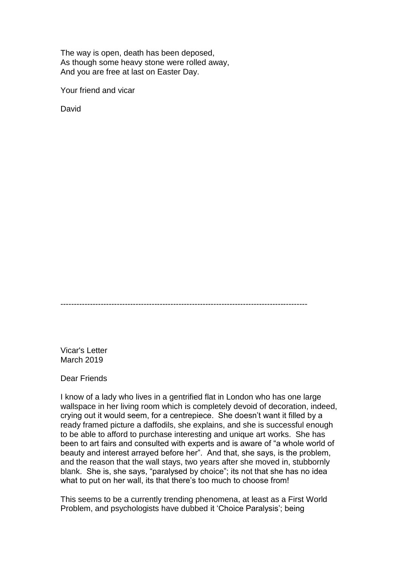The way is open, death has been deposed, As though some heavy stone were rolled away, And you are free at last on Easter Day.

Your friend and vicar

David

--------------------------------------------------------------------------------------------

Vicar's Letter March 2019

Dear Friends

I know of a lady who lives in a gentrified flat in London who has one large wallspace in her living room which is completely devoid of decoration, indeed, crying out it would seem, for a centrepiece. She doesn't want it filled by a ready framed picture a daffodils, she explains, and she is successful enough to be able to afford to purchase interesting and unique art works. She has been to art fairs and consulted with experts and is aware of "a whole world of beauty and interest arrayed before her". And that, she says, is the problem, and the reason that the wall stays, two years after she moved in, stubbornly blank. She is, she says, "paralysed by choice"; its not that she has no idea what to put on her wall, its that there's too much to choose from!

This seems to be a currently trending phenomena, at least as a First World Problem, and psychologists have dubbed it 'Choice Paralysis'; being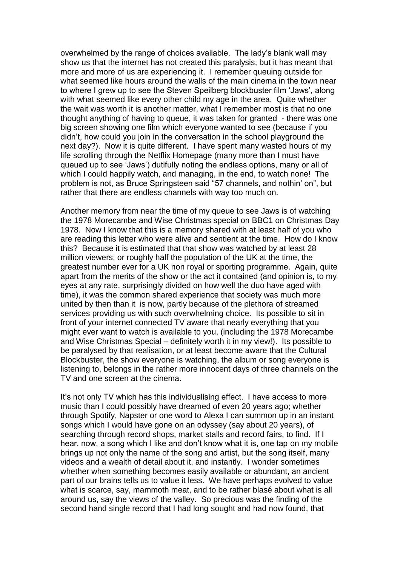overwhelmed by the range of choices available. The lady's blank wall may show us that the internet has not created this paralysis, but it has meant that more and more of us are experiencing it. I remember queuing outside for what seemed like hours around the walls of the main cinema in the town near to where I grew up to see the Steven Speilberg blockbuster film 'Jaws', along with what seemed like every other child my age in the area. Quite whether the wait was worth it is another matter, what I remember most is that no one thought anything of having to queue, it was taken for granted - there was one big screen showing one film which everyone wanted to see (because if you didn't, how could you join in the conversation in the school playground the next day?). Now it is quite different. I have spent many wasted hours of my life scrolling through the Netflix Homepage (many more than I must have queued up to see 'Jaws') dutifully noting the endless options, many or all of which I could happily watch, and managing, in the end, to watch none! The problem is not, as Bruce Springsteen said "57 channels, and nothin' on", but rather that there are endless channels with way too much on.

Another memory from near the time of my queue to see Jaws is of watching the 1978 Morecambe and Wise Christmas special on BBC1 on Christmas Day 1978. Now I know that this is a memory shared with at least half of you who are reading this letter who were alive and sentient at the time. How do I know this? Because it is estimated that that show was watched by at least 28 million viewers, or roughly half the population of the UK at the time, the greatest number ever for a UK non royal or sporting programme. Again, quite apart from the merits of the show or the act it contained (and opinion is, to my eyes at any rate, surprisingly divided on how well the duo have aged with time), it was the common shared experience that society was much more united by then than it is now, partly because of the plethora of streamed services providing us with such overwhelming choice. Its possible to sit in front of your internet connected TV aware that nearly everything that you might ever want to watch is available to you, (including the 1978 Morecambe and Wise Christmas Special – definitely worth it in my view!). Its possible to be paralysed by that realisation, or at least become aware that the Cultural Blockbuster, the show everyone is watching, the album or song everyone is listening to, belongs in the rather more innocent days of three channels on the TV and one screen at the cinema.

It's not only TV which has this individualising effect. I have access to more music than I could possibly have dreamed of even 20 years ago; whether through Spotify, Napster or one word to Alexa I can summon up in an instant songs which I would have gone on an odyssey (say about 20 years), of searching through record shops, market stalls and record fairs, to find. If I hear, now, a song which I like and don't know what it is, one tap on my mobile brings up not only the name of the song and artist, but the song itself, many videos and a wealth of detail about it, and instantly. I wonder sometimes whether when something becomes easily available or abundant, an ancient part of our brains tells us to value it less. We have perhaps evolved to value what is scarce, say, mammoth meat, and to be rather blasé about what is all around us, say the views of the valley. So precious was the finding of the second hand single record that I had long sought and had now found, that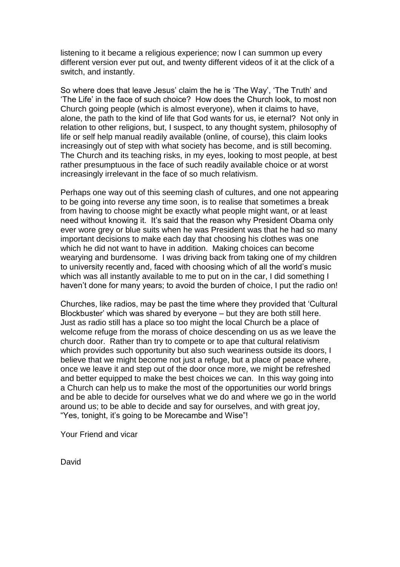listening to it became a religious experience; now I can summon up every different version ever put out, and twenty different videos of it at the click of a switch, and instantly.

So where does that leave Jesus' claim the he is 'The Way', 'The Truth' and 'The Life' in the face of such choice? How does the Church look, to most non Church going people (which is almost everyone), when it claims to have, alone, the path to the kind of life that God wants for us, ie eternal? Not only in relation to other religions, but, I suspect, to any thought system, philosophy of life or self help manual readily available (online, of course), this claim looks increasingly out of step with what society has become, and is still becoming. The Church and its teaching risks, in my eyes, looking to most people, at best rather presumptuous in the face of such readily available choice or at worst increasingly irrelevant in the face of so much relativism.

Perhaps one way out of this seeming clash of cultures, and one not appearing to be going into reverse any time soon, is to realise that sometimes a break from having to choose might be exactly what people might want, or at least need without knowing it. It's said that the reason why President Obama only ever wore grey or blue suits when he was President was that he had so many important decisions to make each day that choosing his clothes was one which he did not want to have in addition. Making choices can become wearying and burdensome. I was driving back from taking one of my children to university recently and, faced with choosing which of all the world's music which was all instantly available to me to put on in the car, I did something I haven't done for many years; to avoid the burden of choice, I put the radio on!

Churches, like radios, may be past the time where they provided that 'Cultural Blockbuster' which was shared by everyone – but they are both still here. Just as radio still has a place so too might the local Church be a place of welcome refuge from the morass of choice descending on us as we leave the church door. Rather than try to compete or to ape that cultural relativism which provides such opportunity but also such weariness outside its doors, I believe that we might become not just a refuge, but a place of peace where, once we leave it and step out of the door once more, we might be refreshed and better equipped to make the best choices we can. In this way going into a Church can help us to make the most of the opportunities our world brings and be able to decide for ourselves what we do and where we go in the world around us; to be able to decide and say for ourselves, and with great joy, "Yes, tonight, it's going to be Morecambe and Wise"!

Your Friend and vicar

David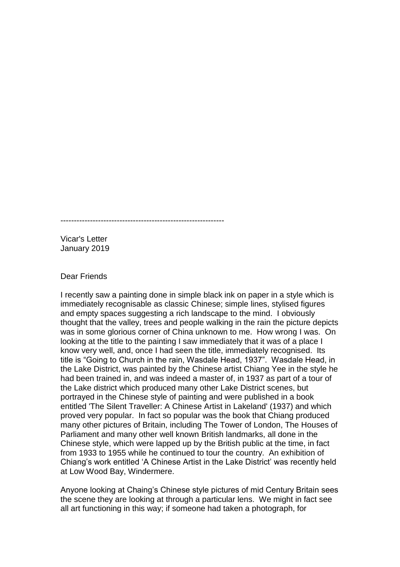-------------------------------------------------------------

Vicar's Letter January 2019

# Dear Friends

I recently saw a painting done in simple black ink on paper in a style which is immediately recognisable as classic Chinese; simple lines, stylised figures and empty spaces suggesting a rich landscape to the mind. I obviously thought that the valley, trees and people walking in the rain the picture depicts was in some glorious corner of China unknown to me. How wrong I was. On looking at the title to the painting I saw immediately that it was of a place I know very well, and, once I had seen the title, immediately recognised. Its title is "Going to Church in the rain, Wasdale Head, 1937". Wasdale Head, in the Lake District, was painted by the Chinese artist Chiang Yee in the style he had been trained in, and was indeed a master of, in 1937 as part of a tour of the Lake district which produced many other Lake District scenes, but portrayed in the Chinese style of painting and were published in a book entitled 'The Silent Traveller: A Chinese Artist in Lakeland' (1937) and which proved very popular. In fact so popular was the book that Chiang produced many other pictures of Britain, including The Tower of London, The Houses of Parliament and many other well known British landmarks, all done in the Chinese style, which were lapped up by the British public at the time, in fact from 1933 to 1955 while he continued to tour the country. An exhibition of Chiang's work entitled 'A Chinese Artist in the Lake District' was recently held at Low Wood Bay, Windermere.

Anyone looking at Chaing's Chinese style pictures of mid Century Britain sees the scene they are looking at through a particular lens. We might in fact see all art functioning in this way; if someone had taken a photograph, for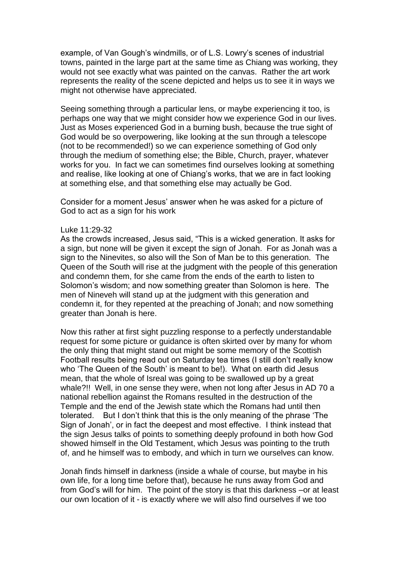example, of Van Gough's windmills, or of L.S. Lowry's scenes of industrial towns, painted in the large part at the same time as Chiang was working, they would not see exactly what was painted on the canvas. Rather the art work represents the reality of the scene depicted and helps us to see it in ways we might not otherwise have appreciated.

Seeing something through a particular lens, or maybe experiencing it too, is perhaps one way that we might consider how we experience God in our lives. Just as Moses experienced God in a burning bush, because the true sight of God would be so overpowering, like looking at the sun through a telescope (not to be recommended!) so we can experience something of God only through the medium of something else; the Bible, Church, prayer, whatever works for you. In fact we can sometimes find ourselves looking at something and realise, like looking at one of Chiang's works, that we are in fact looking at something else, and that something else may actually be God.

Consider for a moment Jesus' answer when he was asked for a picture of God to act as a sign for his work

#### Luke 11:29-32

As the crowds increased, Jesus said, "This is a wicked generation. It asks for a sign, but none will be given it except the sign of Jonah. For as Jonah was a sign to the Ninevites, so also will the Son of Man be to this generation. The Queen of the South will rise at the judgment with the people of this generation and condemn them, for she came from the ends of the earth to listen to Solomon's wisdom; and now something greater than Solomon is here. The men of Nineveh will stand up at the judgment with this generation and condemn it, for they repented at the preaching of Jonah; and now something greater than Jonah is here.

Now this rather at first sight puzzling response to a perfectly understandable request for some picture or guidance is often skirted over by many for whom the only thing that might stand out might be some memory of the Scottish Football results being read out on Saturday tea times (I still don't really know who 'The Queen of the South' is meant to be!). What on earth did Jesus mean, that the whole of Isreal was going to be swallowed up by a great whale?!! Well, in one sense they were, when not long after Jesus in AD 70 a national rebellion against the Romans resulted in the destruction of the Temple and the end of the Jewish state which the Romans had until then tolerated. But I don't think that this is the only meaning of the phrase 'The Sign of Jonah', or in fact the deepest and most effective. I think instead that the sign Jesus talks of points to something deeply profound in both how God showed himself in the Old Testament, which Jesus was pointing to the truth of, and he himself was to embody, and which in turn we ourselves can know.

Jonah finds himself in darkness (inside a whale of course, but maybe in his own life, for a long time before that), because he runs away from God and from God's will for him. The point of the story is that this darkness –or at least our own location of it - is exactly where we will also find ourselves if we too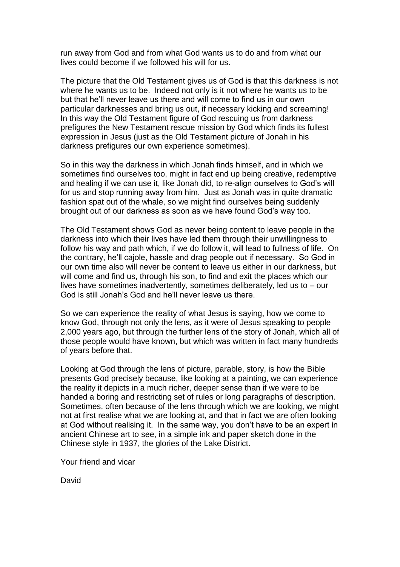run away from God and from what God wants us to do and from what our lives could become if we followed his will for us.

The picture that the Old Testament gives us of God is that this darkness is not where he wants us to be. Indeed not only is it not where he wants us to be but that he'll never leave us there and will come to find us in our own particular darknesses and bring us out, if necessary kicking and screaming! In this way the Old Testament figure of God rescuing us from darkness prefigures the New Testament rescue mission by God which finds its fullest expression in Jesus (just as the Old Testament picture of Jonah in his darkness prefigures our own experience sometimes).

So in this way the darkness in which Jonah finds himself, and in which we sometimes find ourselves too, might in fact end up being creative, redemptive and healing if we can use it, like Jonah did, to re-align ourselves to God's will for us and stop running away from him. Just as Jonah was in quite dramatic fashion spat out of the whale, so we might find ourselves being suddenly brought out of our darkness as soon as we have found God's way too.

The Old Testament shows God as never being content to leave people in the darkness into which their lives have led them through their unwillingness to follow his way and path which, if we do follow it, will lead to fullness of life. On the contrary, he'll cajole, hassle and drag people out if necessary. So God in our own time also will never be content to leave us either in our darkness, but will come and find us, through his son, to find and exit the places which our lives have sometimes inadvertently, sometimes deliberately, led us to – our God is still Jonah's God and he'll never leave us there.

So we can experience the reality of what Jesus is saying, how we come to know God, through not only the lens, as it were of Jesus speaking to people 2,000 years ago, but through the further lens of the story of Jonah, which all of those people would have known, but which was written in fact many hundreds of years before that.

Looking at God through the lens of picture, parable, story, is how the Bible presents God precisely because, like looking at a painting, we can experience the reality it depicts in a much richer, deeper sense than if we were to be handed a boring and restricting set of rules or long paragraphs of description. Sometimes, often because of the lens through which we are looking, we might not at first realise what we are looking at, and that in fact we are often looking at God without realising it. In the same way, you don't have to be an expert in ancient Chinese art to see, in a simple ink and paper sketch done in the Chinese style in 1937, the glories of the Lake District.

Your friend and vicar

David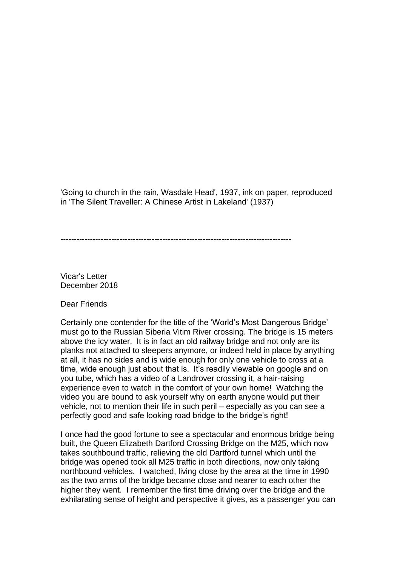'Going to church in the rain, Wasdale Head', 1937, ink on paper, reproduced in 'The Silent Traveller: A Chinese Artist in Lakeland' (1937)

--------------------------------------------------------------------------------------

Vicar's Letter December 2018

Dear Friends

Certainly one contender for the title of the 'World's Most Dangerous Bridge' must go to the Russian Siberia Vitim River crossing. The bridge is 15 meters above the icy water. It is in fact an old railway bridge and not only are its planks not attached to sleepers anymore, or indeed held in place by anything at all, it has no sides and is wide enough for only one vehicle to cross at a time, wide enough just about that is. It's readily viewable on google and on you tube, which has a video of a Landrover crossing it, a hair-raising experience even to watch in the comfort of your own home! Watching the video you are bound to ask yourself why on earth anyone would put their vehicle, not to mention their life in such peril – especially as you can see a perfectly good and safe looking road bridge to the bridge's right!

I once had the good fortune to see a spectacular and enormous bridge being built, the Queen Elizabeth Dartford Crossing Bridge on the M25, which now takes southbound traffic, relieving the old Dartford tunnel which until the bridge was opened took all M25 traffic in both directions, now only taking northbound vehicles. I watched, living close by the area at the time in 1990 as the two arms of the bridge became close and nearer to each other the higher they went. I remember the first time driving over the bridge and the exhilarating sense of height and perspective it gives, as a passenger you can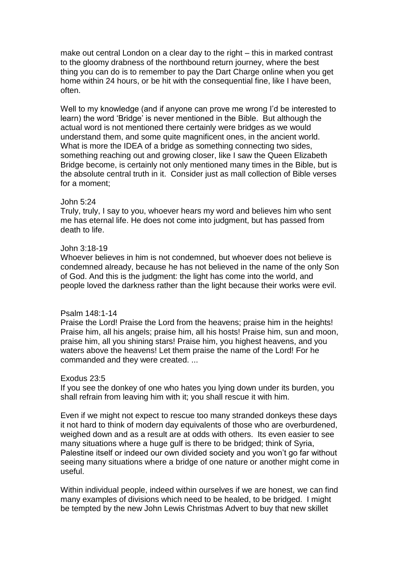make out central London on a clear day to the right – this in marked contrast to the gloomy drabness of the northbound return journey, where the best thing you can do is to remember to pay the Dart Charge online when you get home within 24 hours, or be hit with the consequential fine, like I have been, often.

Well to my knowledge (and if anyone can prove me wrong I'd be interested to learn) the word 'Bridge' is never mentioned in the Bible. But although the actual word is not mentioned there certainly were bridges as we would understand them, and some quite magnificent ones, in the ancient world. What is more the IDEA of a bridge as something connecting two sides, something reaching out and growing closer, like I saw the Queen Elizabeth Bridge become, is certainly not only mentioned many times in the Bible, but is the absolute central truth in it. Consider just as mall collection of Bible verses for a moment;

# John 5:24

Truly, truly, I say to you, whoever hears my word and believes him who sent me has eternal life. He does not come into judgment, but has passed from death to life.

### John 3:18-19

Whoever believes in him is not condemned, but whoever does not believe is condemned already, because he has not believed in the name of the only Son of God. And this is the judgment: the light has come into the world, and people loved the darkness rather than the light because their works were evil.

# Psalm 148:1-14

Praise the Lord! Praise the Lord from the heavens; praise him in the heights! Praise him, all his angels; praise him, all his hosts! Praise him, sun and moon, praise him, all you shining stars! Praise him, you highest heavens, and you waters above the heavens! Let them praise the name of the Lord! For he commanded and they were created. ...

#### Exodus 23:5

If you see the donkey of one who hates you lying down under its burden, you shall refrain from leaving him with it; you shall rescue it with him.

Even if we might not expect to rescue too many stranded donkeys these days it not hard to think of modern day equivalents of those who are overburdened, weighed down and as a result are at odds with others. Its even easier to see many situations where a huge gulf is there to be bridged; think of Syria, Palestine itself or indeed our own divided society and you won't go far without seeing many situations where a bridge of one nature or another might come in useful.

Within individual people, indeed within ourselves if we are honest, we can find many examples of divisions which need to be healed, to be bridged. I might be tempted by the new John Lewis Christmas Advert to buy that new skillet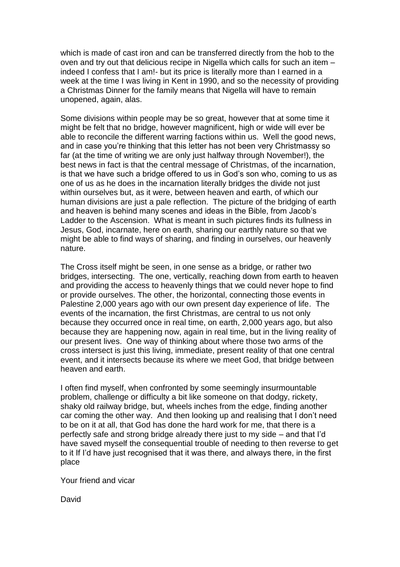which is made of cast iron and can be transferred directly from the hob to the oven and try out that delicious recipe in Nigella which calls for such an item – indeed I confess that I am!- but its price is literally more than I earned in a week at the time I was living in Kent in 1990, and so the necessity of providing a Christmas Dinner for the family means that Nigella will have to remain unopened, again, alas.

Some divisions within people may be so great, however that at some time it might be felt that no bridge, however magnificent, high or wide will ever be able to reconcile the different warring factions within us. Well the good news, and in case you're thinking that this letter has not been very Christmassy so far (at the time of writing we are only just halfway through November!), the best news in fact is that the central message of Christmas, of the incarnation, is that we have such a bridge offered to us in God's son who, coming to us as one of us as he does in the incarnation literally bridges the divide not just within ourselves but, as it were, between heaven and earth, of which our human divisions are just a pale reflection. The picture of the bridging of earth and heaven is behind many scenes and ideas in the Bible, from Jacob's Ladder to the Ascension. What is meant in such pictures finds its fullness in Jesus, God, incarnate, here on earth, sharing our earthly nature so that we might be able to find ways of sharing, and finding in ourselves, our heavenly nature.

The Cross itself might be seen, in one sense as a bridge, or rather two bridges, intersecting. The one, vertically, reaching down from earth to heaven and providing the access to heavenly things that we could never hope to find or provide ourselves. The other, the horizontal, connecting those events in Palestine 2,000 years ago with our own present day experience of life. The events of the incarnation, the first Christmas, are central to us not only because they occurred once in real time, on earth, 2,000 years ago, but also because they are happening now, again in real time, but in the living reality of our present lives. One way of thinking about where those two arms of the cross intersect is just this living, immediate, present reality of that one central event, and it intersects because its where we meet God, that bridge between heaven and earth.

I often find myself, when confronted by some seemingly insurmountable problem, challenge or difficulty a bit like someone on that dodgy, rickety, shaky old railway bridge, but, wheels inches from the edge, finding another car coming the other way. And then looking up and realising that I don't need to be on it at all, that God has done the hard work for me, that there is a perfectly safe and strong bridge already there just to my side – and that I'd have saved myself the consequential trouble of needing to then reverse to get to it If I'd have just recognised that it was there, and always there, in the first place

Your friend and vicar

David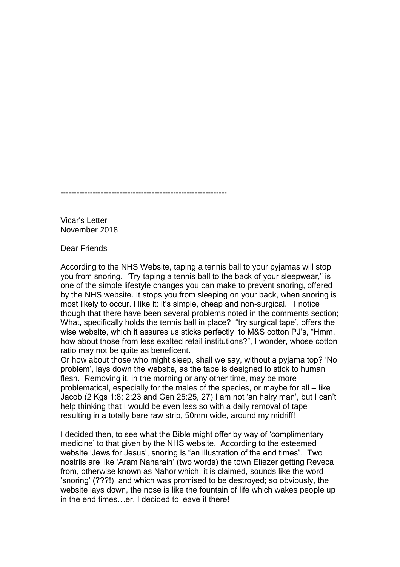--------------------------------------------------------------

Vicar's Letter November 2018

Dear Friends

According to the NHS Website, taping a tennis ball to your pyjamas will stop you from snoring. 'Try taping a tennis ball to the back of your sleepwear," is one of the simple lifestyle changes you can make to prevent snoring, offered by the NHS website. It stops you from sleeping on your back, when snoring is most likely to occur. I like it: it's simple, cheap and non-surgical. I notice though that there have been several problems noted in the comments section; What, specifically holds the tennis ball in place? "try surgical tape', offers the wise website, which it assures us sticks perfectly to M&S cotton PJ's, "Hmm, how about those from less exalted retail institutions?", I wonder, whose cotton ratio may not be quite as beneficent.

Or how about those who might sleep, shall we say, without a pyjama top? 'No problem', lays down the website, as the tape is designed to stick to human flesh. Removing it, in the morning or any other time, may be more problematical, especially for the males of the species, or maybe for all – like Jacob (2 Kgs 1:8; 2:23 and Gen 25:25, 27) I am not 'an hairy man', but I can't help thinking that I would be even less so with a daily removal of tape resulting in a totally bare raw strip, 50mm wide, around my midriff!

I decided then, to see what the Bible might offer by way of 'complimentary medicine' to that given by the NHS website. According to the esteemed website 'Jews for Jesus', snoring is "an illustration of the end times". Two nostrils are like 'Aram Naharain' (two words) the town Eliezer getting Reveca from, otherwise known as Nahor which, it is claimed, sounds like the word 'snoring' (???!) and which was promised to be destroyed; so obviously, the website lays down, the nose is like the fountain of life which wakes people up in the end times…er, I decided to leave it there!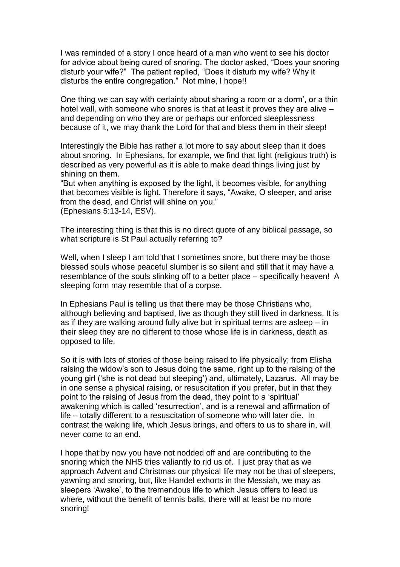I was reminded of a story I once heard of a man who went to see his doctor for advice about being cured of snoring. The doctor asked, "Does your snoring disturb your wife?" The patient replied, "Does it disturb my wife? Why it disturbs the entire congregation." Not mine, I hope!!

One thing we can say with certainty about sharing a room or a dorm', or a thin hotel wall, with someone who snores is that at least it proves they are alive – and depending on who they are or perhaps our enforced sleeplessness because of it, we may thank the Lord for that and bless them in their sleep!

Interestingly the Bible has rather a lot more to say about sleep than it does about snoring. In Ephesians, for example, we find that light (religious truth) is described as very powerful as it is able to make dead things living just by shining on them.

"But when anything is exposed by the light, it becomes visible, for anything that becomes visible is light. Therefore it says, "Awake, O sleeper, and arise from the dead, and Christ will shine on you." (Ephesians 5:13-14, ESV).

The interesting thing is that this is no direct quote of any biblical passage, so what scripture is St Paul actually referring to?

Well, when I sleep I am told that I sometimes snore, but there may be those blessed souls whose peaceful slumber is so silent and still that it may have a resemblance of the souls slinking off to a better place – specifically heaven! A sleeping form may resemble that of a corpse.

In Ephesians Paul is telling us that there may be those Christians who, although believing and baptised, live as though they still lived in darkness. It is as if they are walking around fully alive but in spiritual terms are asleep – in their sleep they are no different to those whose life is in darkness, death as opposed to life.

So it is with lots of stories of those being raised to life physically; from Elisha raising the widow's son to Jesus doing the same, right up to the raising of the young girl ('she is not dead but sleeping') and, ultimately, Lazarus. All may be in one sense a physical raising, or resuscitation if you prefer, but in that they point to the raising of Jesus from the dead, they point to a 'spiritual' awakening which is called 'resurrection', and is a renewal and affirmation of life – totally different to a resuscitation of someone who will later die. In contrast the waking life, which Jesus brings, and offers to us to share in, will never come to an end.

I hope that by now you have not nodded off and are contributing to the snoring which the NHS tries valiantly to rid us of. I just pray that as we approach Advent and Christmas our physical life may not be that of sleepers, yawning and snoring, but, like Handel exhorts in the Messiah, we may as sleepers 'Awake', to the tremendous life to which Jesus offers to lead us where, without the benefit of tennis balls, there will at least be no more snoring!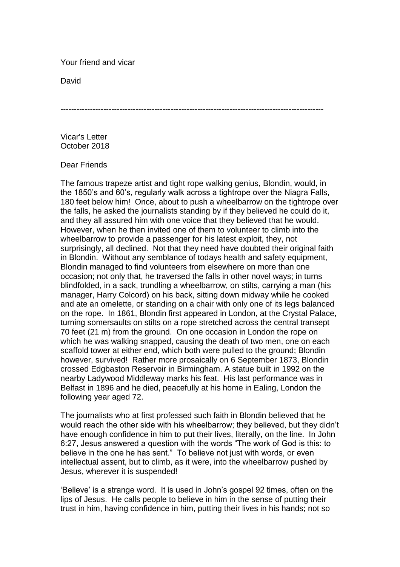Your friend and vicar

David

--------------------------------------------------------------------------------------------------

Vicar's Letter October 2018

# Dear Friends

The famous trapeze artist and tight rope walking genius, Blondin, would, in the 1850's and 60's, regularly walk across a tightrope over the Niagra Falls, 180 feet below him! Once, about to push a wheelbarrow on the tightrope over the falls, he asked the journalists standing by if they believed he could do it, and they all assured him with one voice that they believed that he would. However, when he then invited one of them to volunteer to climb into the wheelbarrow to provide a passenger for his latest exploit, they, not surprisingly, all declined. Not that they need have doubted their original faith in Blondin. Without any semblance of todays health and safety equipment, Blondin managed to find volunteers from elsewhere on more than one occasion; not only that, he traversed the falls in other novel ways; in turns blindfolded, in a sack, trundling a wheelbarrow, on stilts, carrying a man (his manager, Harry Colcord) on his back, sitting down midway while he cooked and ate an omelette, or standing on a chair with only one of its legs balanced on the rope. In 1861, Blondin first appeared in London, at the Crystal Palace, turning somersaults on stilts on a rope stretched across the central transept 70 feet (21 m) from the ground. On one occasion in London the rope on which he was walking snapped, causing the death of two men, one on each scaffold tower at either end, which both were pulled to the ground; Blondin however, survived! Rather more prosaically on 6 September 1873, Blondin crossed Edgbaston Reservoir in Birmingham. A statue built in 1992 on the nearby Ladywood Middleway marks his feat. His last performance was in Belfast in 1896 and he died, peacefully at his home in Ealing, London the following year aged 72.

The journalists who at first professed such faith in Blondin believed that he would reach the other side with his wheelbarrow; they believed, but they didn't have enough confidence in him to put their lives, literally, on the line. In John 6:27, Jesus answered a question with the words "The work of God is this: to believe in the one he has sent." To believe not just with words, or even intellectual assent, but to climb, as it were, into the wheelbarrow pushed by Jesus, wherever it is suspended!

'Believe' is a strange word. It is used in John's gospel 92 times, often on the lips of Jesus. He calls people to believe in him in the sense of putting their trust in him, having confidence in him, putting their lives in his hands; not so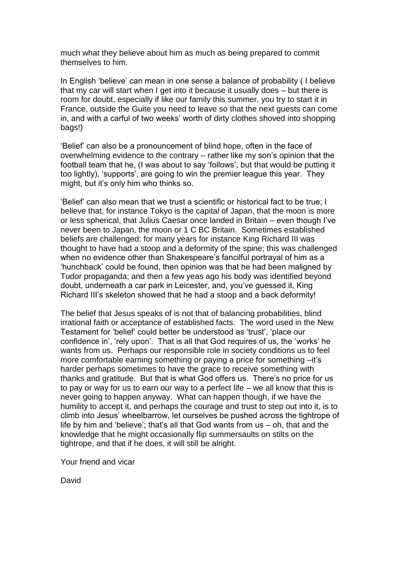much what they believe about him as much as being prepared to commit themselves to him.

In English 'believe' can mean in one sense a balance of probability ( I believe that my car will start when I get into it because it usually does – but there is room for doubt, especially if like our family this summer, you try to start it in France, outside the Guite you need to leave so that the next guests can come in, and with a carful of two weeks' worth of dirty clothes shoved into shopping bags!)

'Belief' can also be a pronouncement of blind hope, often in the face of overwhelming evidence to the contrary – rather like my son's opinion that the football team that he, (I was about to say 'follows', but that would be putting it too lightly), 'supports', are going to win the premier league this year. They might, but it's only him who thinks so.

'Belief' can also mean that we trust a scientific or historical fact to be true; I believe that, for instance Tokyo is the capital of Japan, that the moon is more or less spherical, that Julius Caesar once landed in Britain – even though I've never been to Japan, the moon or 1 C BC Britain. Sometimes established beliefs are challenged; for many years for instance King Richard III was thought to have had a stoop and a deformity of the spine; this was challenged when no evidence other than Shakespeare's fancilful portrayal of him as a 'hunchback' could be found, then opinion was that he had been maligned by Tudor propaganda; and then a few yeas ago his body was identified beyond doubt, underneath a car park in Leicester, and, you've guessed it, King Richard III's skeleton showed that he had a stoop and a back deformity!

The belief that Jesus speaks of is not that of balancing probabilities, blind irrational faith or acceptance of established facts. The word used in the New Testament for 'belief' could better be understood as 'trust', 'place our confidence in', 'rely upon'. That is all that God requires of us, the 'works' he wants from us. Perhaps our responsible role in society conditions us to feel more comfortable earning something or paying a price for something –it's harder perhaps sometimes to have the grace to receive something with thanks and gratitude. But that is what God offers us. There's no price for us to pay or way for us to earn our way to a perfect life – we all know that this is never going to happen anyway. What can happen though, if we have the humility to accept it, and perhaps the courage and trust to step out into it, is to climb into Jesus' wheelbarrow, let ourselves be pushed across the tightrope of life by him and 'believe'; that's all that God wants from us – oh, that and the knowledge that he might occasionally flip summersaults on stilts on the tightrope, and that if he does, it will still be alright.

Your friend and vicar

David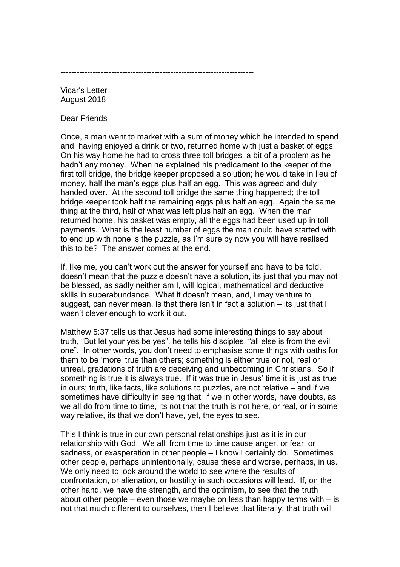------------------------------------------------------------------------

Vicar's Letter August 2018

Dear Friends

Once, a man went to market with a sum of money which he intended to spend and, having enjoyed a drink or two, returned home with just a basket of eggs. On his way home he had to cross three toll bridges, a bit of a problem as he hadn't any money. When he explained his predicament to the keeper of the first toll bridge, the bridge keeper proposed a solution; he would take in lieu of money, half the man's eggs plus half an egg. This was agreed and duly handed over. At the second toll bridge the same thing happened; the toll bridge keeper took half the remaining eggs plus half an egg. Again the same thing at the third, half of what was left plus half an egg. When the man returned home, his basket was empty, all the eggs had been used up in toll payments. What is the least number of eggs the man could have started with to end up with none is the puzzle, as I'm sure by now you will have realised this to be? The answer comes at the end.

If, like me, you can't work out the answer for yourself and have to be told, doesn't mean that the puzzle doesn't have a solution, its just that you may not be blessed, as sadly neither am I, will logical, mathematical and deductive skills in superabundance. What it doesn't mean, and, I may venture to suggest, can never mean, is that there isn't in fact a solution – its just that I wasn't clever enough to work it out.

Matthew 5:37 tells us that Jesus had some interesting things to say about truth, "But let your yes be yes", he tells his disciples, "all else is from the evil one". In other words, you don't need to emphasise some things with oaths for them to be 'more' true than others; something is either true or not, real or unreal, gradations of truth are deceiving and unbecoming in Christians. So if something is true it is always true. If it was true in Jesus' time it is just as true in ours; truth, like facts, like solutions to puzzles, are not relative – and if we sometimes have difficulty in seeing that; if we in other words, have doubts, as we all do from time to time, its not that the truth is not here, or real, or in some way relative, its that we don't have, yet, the eyes to see.

This I think is true in our own personal relationships just as it is in our relationship with God. We all, from time to time cause anger, or fear, or sadness, or exasperation in other people – I know I certainly do. Sometimes other people, perhaps unintentionally, cause these and worse, perhaps, in us. We only need to look around the world to see where the results of confrontation, or alienation, or hostility in such occasions will lead. If, on the other hand, we have the strength, and the optimism, to see that the truth about other people – even those we maybe on less than happy terms with – is not that much different to ourselves, then I believe that literally, that truth will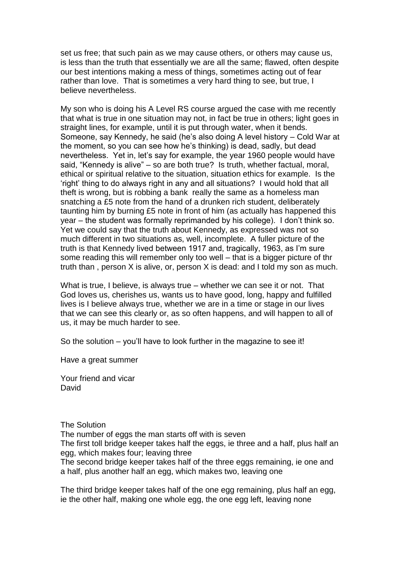set us free; that such pain as we may cause others, or others may cause us, is less than the truth that essentially we are all the same; flawed, often despite our best intentions making a mess of things, sometimes acting out of fear rather than love. That is sometimes a very hard thing to see, but true, I believe nevertheless.

My son who is doing his A Level RS course argued the case with me recently that what is true in one situation may not, in fact be true in others; light goes in straight lines, for example, until it is put through water, when it bends. Someone, say Kennedy, he said (he's also doing A level history – Cold War at the moment, so you can see how he's thinking) is dead, sadly, but dead nevertheless. Yet in, let's say for example, the year 1960 people would have said, "Kennedy is alive" – so are both true? Is truth, whether factual, moral, ethical or spiritual relative to the situation, situation ethics for example. Is the 'right' thing to do always right in any and all situations? I would hold that all theft is wrong, but is robbing a bank really the same as a homeless man snatching a £5 note from the hand of a drunken rich student, deliberately taunting him by burning £5 note in front of him (as actually has happened this year – the student was formally reprimanded by his college). I don't think so. Yet we could say that the truth about Kennedy, as expressed was not so much different in two situations as, well, incomplete. A fuller picture of the truth is that Kennedy lived between 1917 and, tragically, 1963, as I'm sure some reading this will remember only too well – that is a bigger picture of thr truth than , person X is alive, or, person X is dead: and I told my son as much.

What is true, I believe, is always true – whether we can see it or not. That God loves us, cherishes us, wants us to have good, long, happy and fulfilled lives is I believe always true, whether we are in a time or stage in our lives that we can see this clearly or, as so often happens, and will happen to all of us, it may be much harder to see.

So the solution – you'll have to look further in the magazine to see it!

Have a great summer

Your friend and vicar **David** 

The Solution The number of eggs the man starts off with is seven The first toll bridge keeper takes half the eggs, ie three and a half, plus half an egg, which makes four; leaving three The second bridge keeper takes half of the three eggs remaining, ie one and a half, plus another half an egg, which makes two, leaving one

The third bridge keeper takes half of the one egg remaining, plus half an egg, ie the other half, making one whole egg, the one egg left, leaving none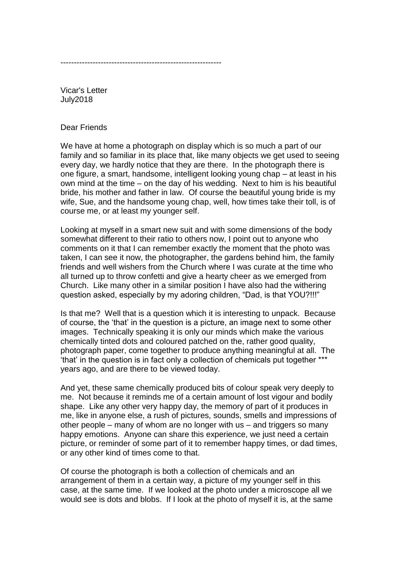------------------------------------------------------------

Vicar's Letter July2018

Dear Friends

We have at home a photograph on display which is so much a part of our family and so familiar in its place that, like many objects we get used to seeing every day, we hardly notice that they are there. In the photograph there is one figure, a smart, handsome, intelligent looking young chap – at least in his own mind at the time – on the day of his wedding. Next to him is his beautiful bride, his mother and father in law. Of course the beautiful young bride is my wife, Sue, and the handsome young chap, well, how times take their toll, is of course me, or at least my younger self.

Looking at myself in a smart new suit and with some dimensions of the body somewhat different to their ratio to others now, I point out to anyone who comments on it that I can remember exactly the moment that the photo was taken, I can see it now, the photographer, the gardens behind him, the family friends and well wishers from the Church where I was curate at the time who all turned up to throw confetti and give a hearty cheer as we emerged from Church. Like many other in a similar position I have also had the withering question asked, especially by my adoring children, "Dad, is that YOU?!!!"

Is that me? Well that is a question which it is interesting to unpack. Because of course, the 'that' in the question is a picture, an image next to some other images. Technically speaking it is only our minds which make the various chemically tinted dots and coloured patched on the, rather good quality, photograph paper, come together to produce anything meaningful at all. The 'that' in the question is in fact only a collection of chemicals put together \*\*\* years ago, and are there to be viewed today.

And yet, these same chemically produced bits of colour speak very deeply to me. Not because it reminds me of a certain amount of lost vigour and bodily shape. Like any other very happy day, the memory of part of it produces in me, like in anyone else, a rush of pictures, sounds, smells and impressions of other people – many of whom are no longer with us – and triggers so many happy emotions. Anyone can share this experience, we just need a certain picture, or reminder of some part of it to remember happy times, or dad times, or any other kind of times come to that.

Of course the photograph is both a collection of chemicals and an arrangement of them in a certain way, a picture of my younger self in this case, at the same time. If we looked at the photo under a microscope all we would see is dots and blobs. If I look at the photo of myself it is, at the same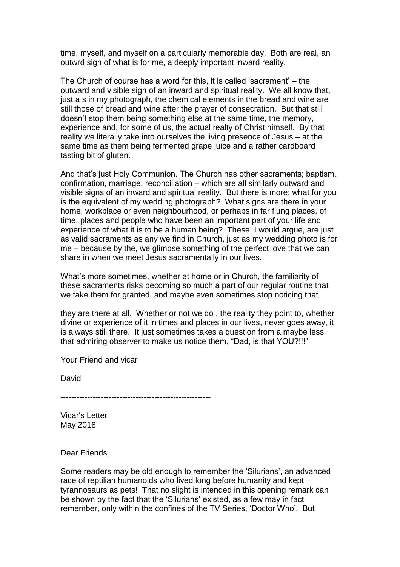time, myself, and myself on a particularly memorable day. Both are real, an outwrd sign of what is for me, a deeply important inward reality.

The Church of course has a word for this, it is called 'sacrament' – the outward and visible sign of an inward and spiritual reality. We all know that, just a s in my photograph, the chemical elements in the bread and wine are still those of bread and wine after the prayer of consecration. But that still doesn't stop them being something else at the same time, the memory, experience and, for some of us, the actual realty of Christ himself. By that reality we literally take into ourselves the living presence of Jesus – at the same time as them being fermented grape juice and a rather cardboard tasting bit of gluten.

And that's just Holy Communion. The Church has other sacraments; baptism, confirmation, marriage, reconciliation – which are all similarly outward and visible signs of an inward and spiritual reality. But there is more; what for you is the equivalent of my wedding photograph? What signs are there in your home, workplace or even neighbourhood, or perhaps in far flung places, of time, places and people who have been an important part of your life and experience of what it is to be a human being? These, I would argue, are just as valid sacraments as any we find in Church, just as my wedding photo is for me – because by the, we glimpse something of the perfect love that we can share in when we meet Jesus sacramentally in our lives.

What's more sometimes, whether at home or in Church, the familiarity of these sacraments risks becoming so much a part of our regular routine that we take them for granted, and maybe even sometimes stop noticing that

they are there at all. Whether or not we do , the reality they point to, whether divine or experience of it in times and places in our lives, never goes away, it is always still there. It just sometimes takes a question from a maybe less that admiring observer to make us notice them, "Dad, is that YOU?!!!"

Your Friend and vicar

David

--------------------------------------------------------

Vicar's Letter May 2018

Dear Friends

Some readers may be old enough to remember the 'Silurians', an advanced race of reptilian humanoids who lived long before humanity and kept tyrannosaurs as pets! That no slight is intended in this opening remark can be shown by the fact that the 'Silurians' existed, as a few may in fact remember, only within the confines of the TV Series, 'Doctor Who'. But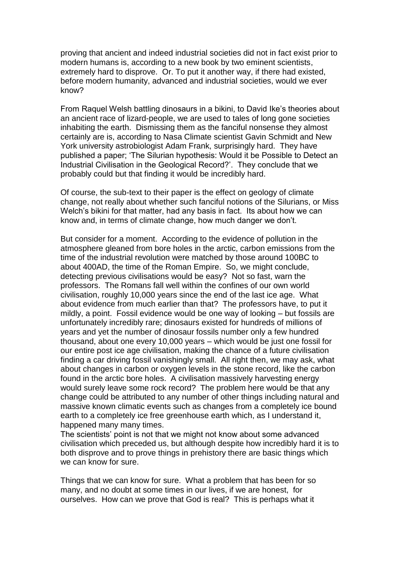proving that ancient and indeed industrial societies did not in fact exist prior to modern humans is, according to a new book by two eminent scientists, extremely hard to disprove. Or. To put it another way, if there had existed, before modern humanity, advanced and industrial societies, would we ever know?

From Raquel Welsh battling dinosaurs in a bikini, to David Ike's theories about an ancient race of lizard-people, we are used to tales of long gone societies inhabiting the earth. Dismissing them as the fanciful nonsense they almost certainly are is, according to Nasa Climate scientist Gavin Schmidt and New York university astrobiologist Adam Frank, surprisingly hard. They have published a paper; 'The Silurian hypothesis: Would it be Possible to Detect an Industrial Civilisation in the Geological Record?'. They conclude that we probably could but that finding it would be incredibly hard.

Of course, the sub-text to their paper is the effect on geology of climate change, not really about whether such fanciful notions of the Silurians, or Miss Welch's bikini for that matter, had any basis in fact. Its about how we can know and, in terms of climate change, how much danger we don't.

But consider for a moment. According to the evidence of pollution in the atmosphere gleaned from bore holes in the arctic, carbon emissions from the time of the industrial revolution were matched by those around 100BC to about 400AD, the time of the Roman Empire. So, we might conclude, detecting previous civilisations would be easy? Not so fast, warn the professors. The Romans fall well within the confines of our own world civilisation, roughly 10,000 years since the end of the last ice age. What about evidence from much earlier than that? The professors have, to put it mildly, a point. Fossil evidence would be one way of looking – but fossils are unfortunately incredibly rare; dinosaurs existed for hundreds of millions of years and yet the number of dinosaur fossils number only a few hundred thousand, about one every 10,000 years – which would be just one fossil for our entire post ice age civilisation, making the chance of a future civilisation finding a car driving fossil vanishingly small. All right then, we may ask, what about changes in carbon or oxygen levels in the stone record, like the carbon found in the arctic bore holes. A civilisation massively harvesting energy would surely leave some rock record? The problem here would be that any change could be attributed to any number of other things including natural and massive known climatic events such as changes from a completely ice bound earth to a completely ice free greenhouse earth which, as I understand it, happened many many times.

The scientists' point is not that we might not know about some advanced civilisation which preceded us, but although despite how incredibly hard it is to both disprove and to prove things in prehistory there are basic things which we can know for sure.

Things that we can know for sure. What a problem that has been for so many, and no doubt at some times in our lives, if we are honest, for ourselves. How can we prove that God is real? This is perhaps what it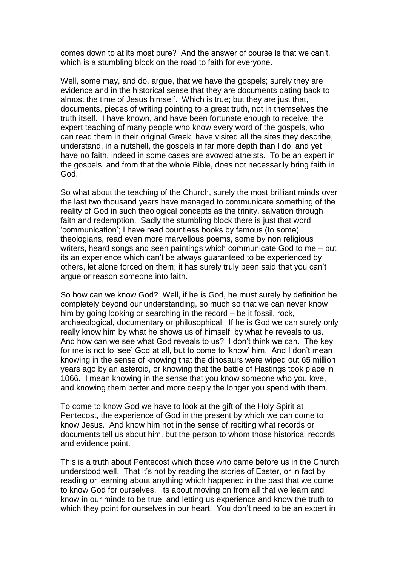comes down to at its most pure? And the answer of course is that we can't, which is a stumbling block on the road to faith for everyone.

Well, some may, and do, argue, that we have the gospels; surely they are evidence and in the historical sense that they are documents dating back to almost the time of Jesus himself. Which is true; but they are just that, documents, pieces of writing pointing to a great truth, not in themselves the truth itself. I have known, and have been fortunate enough to receive, the expert teaching of many people who know every word of the gospels, who can read them in their original Greek, have visited all the sites they describe, understand, in a nutshell, the gospels in far more depth than I do, and yet have no faith, indeed in some cases are avowed atheists. To be an expert in the gospels, and from that the whole Bible, does not necessarily bring faith in God.

So what about the teaching of the Church, surely the most brilliant minds over the last two thousand years have managed to communicate something of the reality of God in such theological concepts as the trinity, salvation through faith and redemption. Sadly the stumbling block there is just that word 'communication'; I have read countless books by famous (to some) theologians, read even more marvellous poems, some by non religious writers, heard songs and seen paintings which communicate God to me – but its an experience which can't be always guaranteed to be experienced by others, let alone forced on them; it has surely truly been said that you can't argue or reason someone into faith.

So how can we know God? Well, if he is God, he must surely by definition be completely beyond our understanding, so much so that we can never know him by going looking or searching in the record – be it fossil, rock, archaeological, documentary or philosophical. If he is God we can surely only really know him by what he shows us of himself, by what he reveals to us. And how can we see what God reveals to us? I don't think we can. The key for me is not to 'see' God at all, but to come to 'know' him. And I don't mean knowing in the sense of knowing that the dinosaurs were wiped out 65 million years ago by an asteroid, or knowing that the battle of Hastings took place in 1066. I mean knowing in the sense that you know someone who you love, and knowing them better and more deeply the longer you spend with them.

To come to know God we have to look at the gift of the Holy Spirit at Pentecost, the experience of God in the present by which we can come to know Jesus. And know him not in the sense of reciting what records or documents tell us about him, but the person to whom those historical records and evidence point.

This is a truth about Pentecost which those who came before us in the Church understood well. That it's not by reading the stories of Easter, or in fact by reading or learning about anything which happened in the past that we come to know God for ourselves. Its about moving on from all that we learn and know in our minds to be true, and letting us experience and know the truth to which they point for ourselves in our heart. You don't need to be an expert in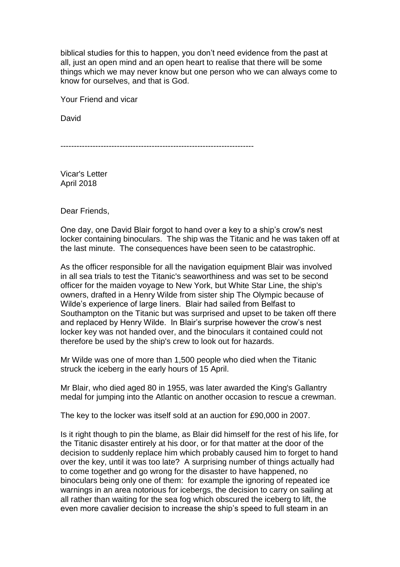biblical studies for this to happen, you don't need evidence from the past at all, just an open mind and an open heart to realise that there will be some things which we may never know but one person who we can always come to know for ourselves, and that is God.

Your Friend and vicar

David

------------------------------------------------------------------------

Vicar's Letter April 2018

Dear Friends,

One day, one David Blair forgot to hand over a key to a ship's crow's nest locker containing binoculars. The ship was the Titanic and he was taken off at the last minute. The consequences have been seen to be catastrophic.

As the officer responsible for all the navigation equipment Blair was involved in all sea trials to test the Titanic's seaworthiness and was set to be second officer for the maiden voyage to New York, but White Star Line, the ship's owners, drafted in a Henry Wilde from sister ship The Olympic because of Wilde's experience of large liners. Blair had sailed from Belfast to Southampton on the Titanic but was surprised and upset to be taken off there and replaced by Henry Wilde. In Blair's surprise however the crow's nest locker key was not handed over, and the binoculars it contained could not therefore be used by the ship's crew to look out for hazards.

Mr Wilde was one of more than 1,500 people who died when the Titanic struck the iceberg in the early hours of 15 April.

Mr Blair, who died aged 80 in 1955, was later awarded the King's Gallantry medal for jumping into the Atlantic on another occasion to rescue a crewman.

The key to the locker was itself sold at an auction for £90,000 in 2007.

Is it right though to pin the blame, as Blair did himself for the rest of his life, for the Titanic disaster entirely at his door, or for that matter at the door of the decision to suddenly replace him which probably caused him to forget to hand over the key, until it was too late? A surprising number of things actually had to come together and go wrong for the disaster to have happened, no binoculars being only one of them: for example the ignoring of repeated ice warnings in an area notorious for icebergs, the decision to carry on sailing at all rather than waiting for the sea fog which obscured the iceberg to lift, the even more cavalier decision to increase the ship's speed to full steam in an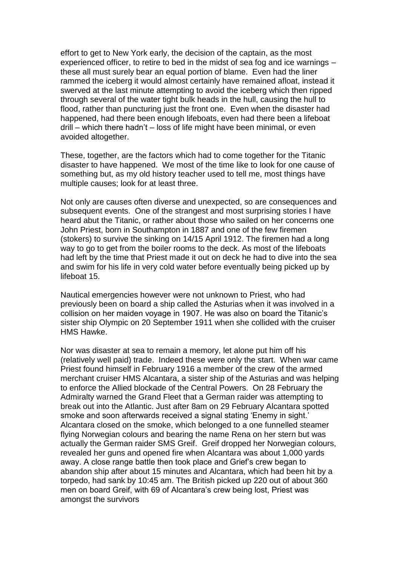effort to get to New York early, the decision of the captain, as the most experienced officer, to retire to bed in the midst of sea fog and ice warnings – these all must surely bear an equal portion of blame. Even had the liner rammed the iceberg it would almost certainly have remained afloat, instead it swerved at the last minute attempting to avoid the iceberg which then ripped through several of the water tight bulk heads in the hull, causing the hull to flood, rather than puncturing just the front one. Even when the disaster had happened, had there been enough lifeboats, even had there been a lifeboat drill – which there hadn't – loss of life might have been minimal, or even avoided altogether.

These, together, are the factors which had to come together for the Titanic disaster to have happened. We most of the time like to look for one cause of something but, as my old history teacher used to tell me, most things have multiple causes; look for at least three.

Not only are causes often diverse and unexpected, so are consequences and subsequent events. One of the strangest and most surprising stories I have heard abut the Titanic, or rather about those who sailed on her concerns one John Priest, born in Southampton in 1887 and one of the few firemen (stokers) to survive the sinking on 14/15 April 1912. The firemen had a long way to go to get from the boiler rooms to the deck. As most of the lifeboats had left by the time that Priest made it out on deck he had to dive into the sea and swim for his life in very cold water before eventually being picked up by lifeboat 15.

Nautical emergencies however were not unknown to Priest, who had previously been on board a ship called the Asturias when it was involved in a collision on her maiden voyage in 1907. He was also on board the Titanic's sister ship Olympic on 20 September 1911 when she collided with the cruiser HMS Hawke.

Nor was disaster at sea to remain a memory, let alone put him off his (relatively well paid) trade. Indeed these were only the start. When war came Priest found himself in February 1916 a member of the crew of the armed merchant cruiser HMS Alcantara, a sister ship of the Asturias and was helping to enforce the Allied blockade of the Central Powers. On 28 February the Admiralty warned the Grand Fleet that a German raider was attempting to break out into the Atlantic. Just after 8am on 29 February Alcantara spotted smoke and soon afterwards received a signal stating 'Enemy in sight.' Alcantara closed on the smoke, which belonged to a one funnelled steamer flying Norwegian colours and bearing the name Rena on her stern but was actually the German raider SMS Greif. Greif dropped her Norwegian colours, revealed her guns and opened fire when Alcantara was about 1,000 yards away. A close range battle then took place and Grief's crew began to abandon ship after about 15 minutes and Alcantara, which had been hit by a torpedo, had sank by 10:45 am. The British picked up 220 out of about 360 men on board Greif, with 69 of Alcantara's crew being lost, Priest was amongst the survivors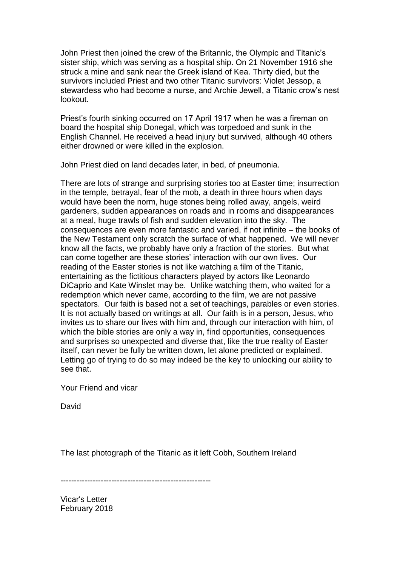John Priest then joined the crew of the Britannic, the Olympic and Titanic's sister ship, which was serving as a hospital ship. On 21 November 1916 she struck a mine and sank near the Greek island of Kea. Thirty died, but the survivors included Priest and two other Titanic survivors: Violet Jessop, a stewardess who had become a nurse, and Archie Jewell, a Titanic crow's nest lookout.

Priest's fourth sinking occurred on 17 April 1917 when he was a fireman on board the hospital ship Donegal, which was torpedoed and sunk in the English Channel. He received a head injury but survived, although 40 others either drowned or were killed in the explosion.

John Priest died on land decades later, in bed, of pneumonia.

There are lots of strange and surprising stories too at Easter time; insurrection in the temple, betrayal, fear of the mob, a death in three hours when days would have been the norm, huge stones being rolled away, angels, weird gardeners, sudden appearances on roads and in rooms and disappearances at a meal, huge trawls of fish and sudden elevation into the sky. The consequences are even more fantastic and varied, if not infinite – the books of the New Testament only scratch the surface of what happened. We will never know all the facts, we probably have only a fraction of the stories. But what can come together are these stories' interaction with our own lives. Our reading of the Easter stories is not like watching a film of the Titanic, entertaining as the fictitious characters played by actors like Leonardo DiCaprio and Kate Winslet may be. Unlike watching them, who waited for a redemption which never came, according to the film, we are not passive spectators. Our faith is based not a set of teachings, parables or even stories. It is not actually based on writings at all. Our faith is in a person, Jesus, who invites us to share our lives with him and, through our interaction with him, of which the bible stories are only a way in, find opportunities, consequences and surprises so unexpected and diverse that, like the true reality of Easter itself, can never be fully be written down, let alone predicted or explained. Letting go of trying to do so may indeed be the key to unlocking our ability to see that.

Your Friend and vicar

**David** 

The last photograph of the Titanic as it left Cobh, Southern Ireland

--------------------------------------------------------

Vicar's Letter February 2018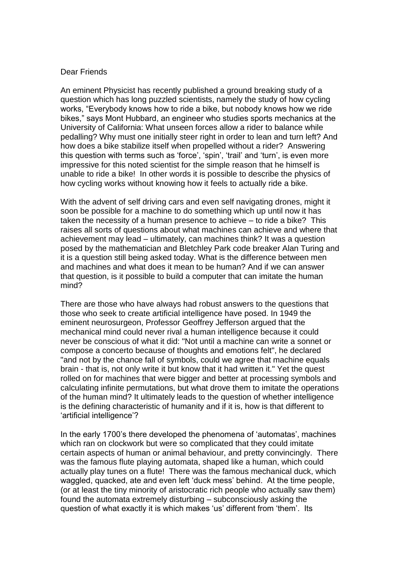# Dear Friends

An eminent Physicist has recently published a ground breaking study of a question which has long puzzled scientists, namely the study of how cycling works, "Everybody knows how to ride a bike, but nobody knows how we ride bikes," says Mont Hubbard, an engineer who studies sports mechanics at the University of California: What unseen forces allow a rider to balance while pedalling? Why must one initially steer right in order to lean and turn left? And how does a bike stabilize itself when propelled without a rider? Answering this question with terms such as 'force', 'spin', 'trail' and 'turn', is even more impressive for this noted scientist for the simple reason that he himself is unable to ride a bike! In other words it is possible to describe the physics of how cycling works without knowing how it feels to actually ride a bike.

With the advent of self driving cars and even self navigating drones, might it soon be possible for a machine to do something which up until now it has taken the necessity of a human presence to achieve – to ride a bike? This raises all sorts of questions about what machines can achieve and where that achievement may lead – ultimately, can machines think? It was a question posed by the mathematician and Bletchley Park code breaker Alan Turing and it is a question still being asked today. What is the difference between men and machines and what does it mean to be human? And if we can answer that question, is it possible to build a computer that can imitate the human mind?

There are those who have always had robust answers to the questions that those who seek to create artificial intelligence have posed. In 1949 the eminent neurosurgeon, Professor Geoffrey Jefferson argued that the mechanical mind could never rival a human intelligence because it could never be conscious of what it did: "Not until a machine can write a sonnet or compose a concerto because of thoughts and emotions felt", he declared "and not by the chance fall of symbols, could we agree that machine equals brain - that is, not only write it but know that it had written it." Yet the quest rolled on for machines that were bigger and better at processing symbols and calculating infinite permutations, but what drove them to imitate the operations of the human mind? It ultimately leads to the question of whether intelligence is the defining characteristic of humanity and if it is, how is that different to 'artificial intelligence'?

In the early 1700's there developed the phenomena of 'automatas', machines which ran on clockwork but were so complicated that they could imitate certain aspects of human or animal behaviour, and pretty convincingly. There was the famous flute playing automata, shaped like a human, which could actually play tunes on a flute! There was the famous mechanical duck, which waggled, quacked, ate and even left 'duck mess' behind. At the time people, (or at least the tiny minority of aristocratic rich people who actually saw them) found the automata extremely disturbing – subconsciously asking the question of what exactly it is which makes 'us' different from 'them'. Its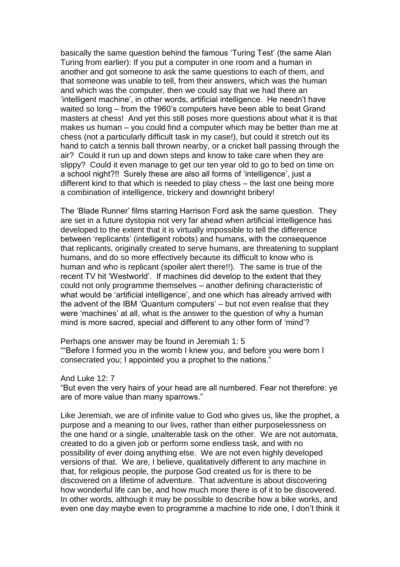basically the same question behind the famous 'Turing Test' (the same Alan Turing from earlier): If you put a computer in one room and a human in another and got someone to ask the same questions to each of them, and that someone was unable to tell, from their answers, which was the human and which was the computer, then we could say that we had there an 'intelligent machine', in other words, artificial intelligence. He needn't have waited so long – from the 1960's computers have been able to beat Grand masters at chess! And yet this still poses more questions about what it is that makes us human – you could find a computer which may be better than me at chess (not a particularly difficult task in my case!), but could it stretch out its hand to catch a tennis ball thrown nearby, or a cricket ball passing through the air? Could it run up and down steps and know to take care when they are slippy? Could it even manage to get our ten year old to go to bed on time on a school night?!! Surely these are also all forms of 'intelligence', just a different kind to that which is needed to play chess – the last one being more a combination of intelligence, trickery and downright bribery!

The 'Blade Runner' films starring Harrison Ford ask the same question. They are set in a future dystopia not very far ahead when artificial intelligence has developed to the extent that it is virtually impossible to tell the difference between 'replicants' (intelligent robots) and humans, with the consequence that replicants, originally created to serve humans, are threatening to supplant humans, and do so more effectively because its difficult to know who is human and who is replicant (spoiler alert there!!). The same is true of the recent TV hit 'Westworld'. If machines did develop to the extent that they could not only programme themselves – another defining characteristic of what would be 'artificial intelligence', and one which has already arrived with the advent of the IBM 'Quantum computers' – but not even realise that they were 'machines' at all, what is the answer to the question of why a human mind is more sacred, special and different to any other form of 'mind'?

Perhaps one answer may be found in Jeremiah 1: 5 ""Before I formed you in the womb I knew you, and before you were born I consecrated you; I appointed you a prophet to the nations."

And Luke 12: 7

"But even the very hairs of your head are all numbered. Fear not therefore: ye are of more value than many sparrows."

Like Jeremiah, we are of infinite value to God who gives us, like the prophet, a purpose and a meaning to our lives, rather than either purposelessness on the one hand or a single, unalterable task on the other. We are not automata, created to do a given job or perform some endless task, and with no possibility of ever doing anything else. We are not even highly developed versions of that. We are, I believe, qualitatively different to any machine in that, for religious people, the purpose God created us for is there to be discovered on a lifetime of adventure. That adventure is about discovering how wonderful life can be, and how much more there is of it to be discovered. In other words, although it may be possible to describe how a bike works, and even one day maybe even to programme a machine to ride one, I don't think it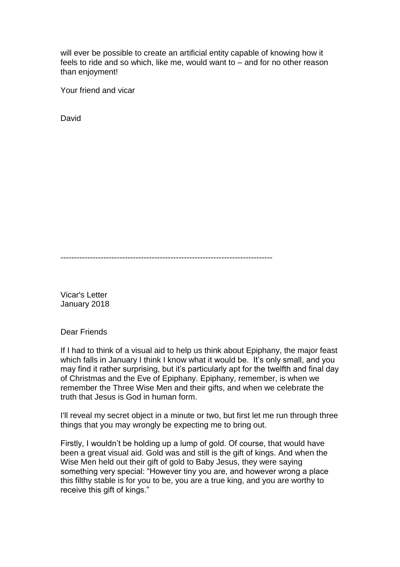will ever be possible to create an artificial entity capable of knowing how it feels to ride and so which, like me, would want to – and for no other reason than enjoyment!

Your friend and vicar

David

-------------------------------------------------------------------------------

Vicar's Letter January 2018

Dear Friends

If I had to think of a visual aid to help us think about Epiphany, the major feast which falls in January I think I know what it would be. It's only small, and you may find it rather surprising, but it's particularly apt for the twelfth and final day of Christmas and the Eve of Epiphany. Epiphany, remember, is when we remember the Three Wise Men and their gifts, and when we celebrate the truth that Jesus is God in human form.

I'll reveal my secret object in a minute or two, but first let me run through three things that you may wrongly be expecting me to bring out.

Firstly, I wouldn't be holding up a lump of gold. Of course, that would have been a great visual aid. Gold was and still is the gift of kings. And when the Wise Men held out their gift of gold to Baby Jesus, they were saying something very special: "However tiny you are, and however wrong a place this filthy stable is for you to be, you are a true king, and you are worthy to receive this gift of kings."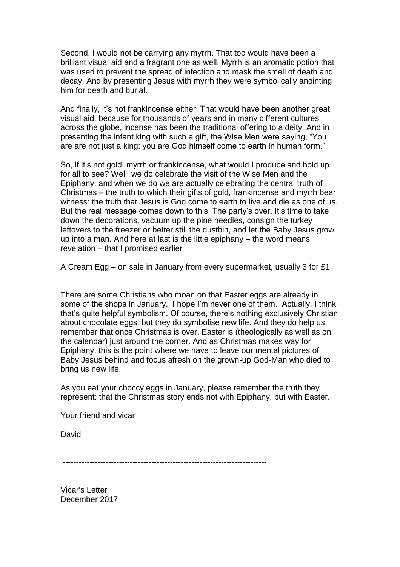Second, I would not be carrying any myrrh. That too would have been a brilliant visual aid and a fragrant one as well. Myrrh is an aromatic potion that was used to prevent the spread of infection and mask the smell of death and decay. And by presenting Jesus with myrrh they were symbolically anointing him for death and burial.

And finally, it's not frankincense either. That would have been another great visual aid, because for thousands of years and in many different cultures across the globe, incense has been the traditional offering to a deity. And in presenting the infant king with such a gift, the Wise Men were saying, "You are are not just a king; you are God himself come to earth in human form."

So, if it's not gold, myrrh or frankincense, what would I produce and hold up for all to see? Well, we do celebrate the visit of the Wise Men and the Epiphany, and when we do we are actually celebrating the central truth of Christmas – the truth to which their gifts of gold, frankincense and myrrh bear witness: the truth that Jesus is God come to earth to live and die as one of us. But the real message comes down to this: The party's over. It's time to take down the decorations, vacuum up the pine needles, consign the turkey leftovers to the freezer or better still the dustbin, and let the Baby Jesus grow up into a man. And here at last is the little epiphany – the word means revelation – that I promised earlier

A Cream Egg – on sale in January from every supermarket, usually 3 for £1!

There are some Christians who moan on that Easter eggs are already in some of the shops in January. I hope I'm never one of them. Actually, I think that's quite helpful symbolism. Of course, there's nothing exclusively Christian about chocolate eggs, but they do symbolise new life. And they do help us remember that once Christmas is over, Easter is (theologically as well as on the calendar) just around the corner. And as Christmas makes way for Epiphany, this is the point where we have to leave our mental pictures of Baby Jesus behind and focus afresh on the grown-up God-Man who died to bring us new life.

As you eat your choccy eggs in January, please remember the truth they represent: that the Christmas story ends not with Epiphany, but with Easter.

Your friend and vicar

**David** 

----------------------------------------------------------------------------

Vicar's Letter December 2017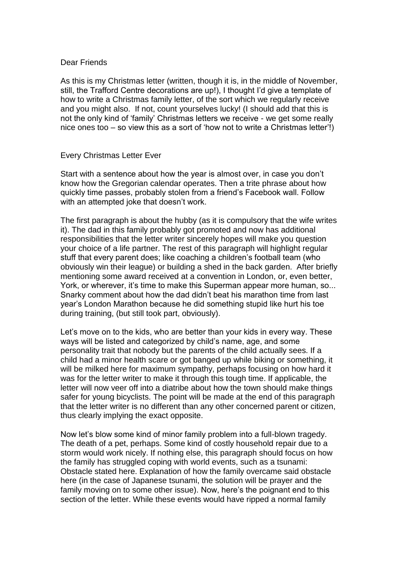# Dear Friends

As this is my Christmas letter (written, though it is, in the middle of November, still, the Trafford Centre decorations are up!), I thought I'd give a template of how to write a Christmas family letter, of the sort which we regularly receive and you might also. If not, count yourselves lucky! (I should add that this is not the only kind of 'family' Christmas letters we receive - we get some really nice ones too – so view this as a sort of 'how not to write a Christmas letter'!)

# Every Christmas Letter Ever

Start with a sentence about how the year is almost over, in case you don't know how the Gregorian calendar operates. Then a trite phrase about how quickly time passes, probably stolen from a friend's Facebook wall. Follow with an attempted joke that doesn't work.

The first paragraph is about the hubby (as it is compulsory that the wife writes it). The dad in this family probably got promoted and now has additional responsibilities that the letter writer sincerely hopes will make you question your choice of a life partner. The rest of this paragraph will highlight regular stuff that every parent does; like coaching a children's football team (who obviously win their league) or building a shed in the back garden. After briefly mentioning some award received at a convention in London, or, even better, York, or wherever, it's time to make this Superman appear more human, so... Snarky comment about how the dad didn't beat his marathon time from last year's London Marathon because he did something stupid like hurt his toe during training, (but still took part, obviously).

Let's move on to the kids, who are better than your kids in every way. These ways will be listed and categorized by child's name, age, and some personality trait that nobody but the parents of the child actually sees. If a child had a minor health scare or got banged up while biking or something, it will be milked here for maximum sympathy, perhaps focusing on how hard it was for the letter writer to make it through this tough time. If applicable, the letter will now veer off into a diatribe about how the town should make things safer for young bicyclists. The point will be made at the end of this paragraph that the letter writer is no different than any other concerned parent or citizen, thus clearly implying the exact opposite.

Now let's blow some kind of minor family problem into a full-blown tragedy. The death of a pet, perhaps. Some kind of costly household repair due to a storm would work nicely. If nothing else, this paragraph should focus on how the family has struggled coping with world events, such as a tsunami: Obstacle stated here. Explanation of how the family overcame said obstacle here (in the case of Japanese tsunami, the solution will be prayer and the family moving on to some other issue). Now, here's the poignant end to this section of the letter. While these events would have ripped a normal family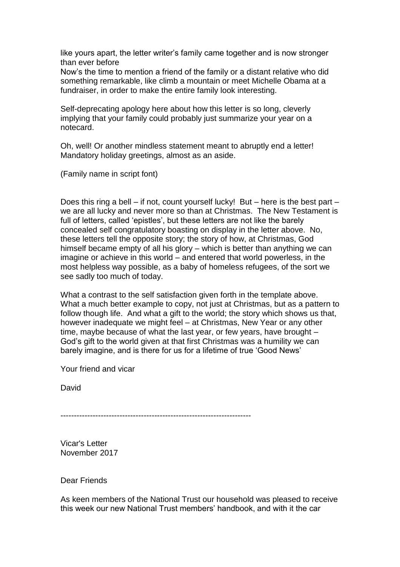like yours apart, the letter writer's family came together and is now stronger than ever before

Now's the time to mention a friend of the family or a distant relative who did something remarkable, like climb a mountain or meet Michelle Obama at a fundraiser, in order to make the entire family look interesting.

Self-deprecating apology here about how this letter is so long, cleverly implying that your family could probably just summarize your year on a notecard.

Oh, well! Or another mindless statement meant to abruptly end a letter! Mandatory holiday greetings, almost as an aside.

(Family name in script font)

Does this ring a bell – if not, count yourself lucky! But – here is the best part – we are all lucky and never more so than at Christmas. The New Testament is full of letters, called 'epistles', but these letters are not like the barely concealed self congratulatory boasting on display in the letter above. No, these letters tell the opposite story; the story of how, at Christmas, God himself became empty of all his glory – which is better than anything we can imagine or achieve in this world – and entered that world powerless, in the most helpless way possible, as a baby of homeless refugees, of the sort we see sadly too much of today.

What a contrast to the self satisfaction given forth in the template above. What a much better example to copy, not just at Christmas, but as a pattern to follow though life. And what a gift to the world; the story which shows us that, however inadequate we might feel – at Christmas, New Year or any other time, maybe because of what the last year, or few years, have brought – God's gift to the world given at that first Christmas was a humility we can barely imagine, and is there for us for a lifetime of true 'Good News'

Your friend and vicar

**David** 

-----------------------------------------------------------------------

Vicar's Letter November 2017

Dear Friends

As keen members of the National Trust our household was pleased to receive this week our new National Trust members' handbook, and with it the car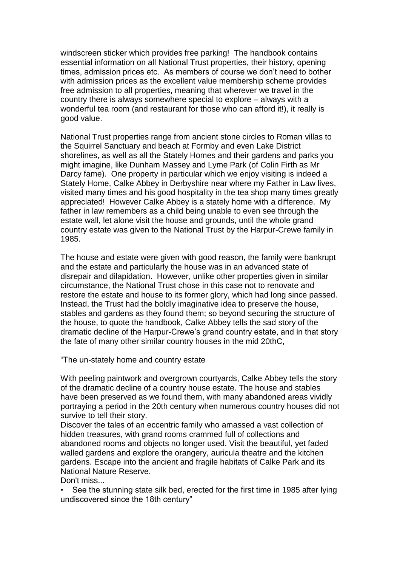windscreen sticker which provides free parking! The handbook contains essential information on all National Trust properties, their history, opening times, admission prices etc. As members of course we don't need to bother with admission prices as the excellent value membership scheme provides free admission to all properties, meaning that wherever we travel in the country there is always somewhere special to explore – always with a wonderful tea room (and restaurant for those who can afford it!), it really is good value.

National Trust properties range from ancient stone circles to Roman villas to the Squirrel Sanctuary and beach at Formby and even Lake District shorelines, as well as all the Stately Homes and their gardens and parks you might imagine, like Dunham Massey and Lyme Park (of Colin Firth as Mr Darcy fame). One property in particular which we enjoy visiting is indeed a Stately Home, Calke Abbey in Derbyshire near where my Father in Law lives, visited many times and his good hospitality in the tea shop many times greatly appreciated! However Calke Abbey is a stately home with a difference. My father in law remembers as a child being unable to even see through the estate wall, let alone visit the house and grounds, until the whole grand country estate was given to the National Trust by the Harpur-Crewe family in 1985.

The house and estate were given with good reason, the family were bankrupt and the estate and particularly the house was in an advanced state of disrepair and dilapidation. However, unlike other properties given in similar circumstance, the National Trust chose in this case not to renovate and restore the estate and house to its former glory, which had long since passed. Instead, the Trust had the boldly imaginative idea to preserve the house, stables and gardens as they found them; so beyond securing the structure of the house, to quote the handbook, Calke Abbey tells the sad story of the dramatic decline of the Harpur-Crewe's grand country estate, and in that story the fate of many other similar country houses in the mid 20thC,

"The un-stately home and country estate

With peeling paintwork and overgrown courtyards, Calke Abbey tells the story of the dramatic decline of a country house estate. The house and stables have been preserved as we found them, with many abandoned areas vividly portraying a period in the 20th century when numerous country houses did not survive to tell their story.

Discover the tales of an eccentric family who amassed a vast collection of hidden treasures, with grand rooms crammed full of collections and abandoned rooms and objects no longer used. Visit the beautiful, yet faded walled gardens and explore the orangery, auricula theatre and the kitchen gardens. Escape into the ancient and fragile habitats of Calke Park and its National Nature Reserve.

Don't miss...

See the stunning state silk bed, erected for the first time in 1985 after lying undiscovered since the 18th century"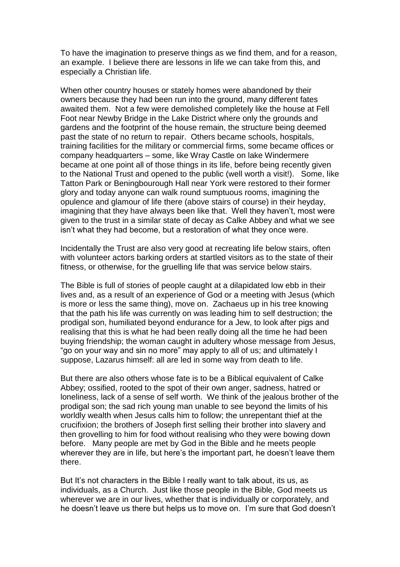To have the imagination to preserve things as we find them, and for a reason, an example. I believe there are lessons in life we can take from this, and especially a Christian life.

When other country houses or stately homes were abandoned by their owners because they had been run into the ground, many different fates awaited them. Not a few were demolished completely like the house at Fell Foot near Newby Bridge in the Lake District where only the grounds and gardens and the footprint of the house remain, the structure being deemed past the state of no return to repair. Others became schools, hospitals, training facilities for the military or commercial firms, some became offices or company headquarters – some, like Wray Castle on lake Windermere became at one point all of those things in its life, before being recently given to the National Trust and opened to the public (well worth a visit!). Some, like Tatton Park or Beningbourough Hall near York were restored to their former glory and today anyone can walk round sumptuous rooms, imagining the opulence and glamour of life there (above stairs of course) in their heyday, imagining that they have always been like that. Well they haven't, most were given to the trust in a similar state of decay as Calke Abbey and what we see isn't what they had become, but a restoration of what they once were.

Incidentally the Trust are also very good at recreating life below stairs, often with volunteer actors barking orders at startled visitors as to the state of their fitness, or otherwise, for the gruelling life that was service below stairs.

The Bible is full of stories of people caught at a dilapidated low ebb in their lives and, as a result of an experience of God or a meeting with Jesus (which is more or less the same thing), move on. Zachaeus up in his tree knowing that the path his life was currently on was leading him to self destruction; the prodigal son, humiliated beyond endurance for a Jew, to look after pigs and realising that this is what he had been really doing all the time he had been buying friendship; the woman caught in adultery whose message from Jesus, "go on your way and sin no more" may apply to all of us; and ultimately I suppose, Lazarus himself: all are led in some way from death to life.

But there are also others whose fate is to be a Biblical equivalent of Calke Abbey; ossified, rooted to the spot of their own anger, sadness, hatred or loneliness, lack of a sense of self worth. We think of the jealous brother of the prodigal son; the sad rich young man unable to see beyond the limits of his worldly wealth when Jesus calls him to follow; the unrepentant thief at the crucifixion; the brothers of Joseph first selling their brother into slavery and then grovelling to him for food without realising who they were bowing down before. Many people are met by God in the Bible and he meets people wherever they are in life, but here's the important part, he doesn't leave them there.

But It's not characters in the Bible I really want to talk about, its us, as individuals, as a Church. Just like those people in the Bible, God meets us wherever we are in our lives, whether that is individually or corporately, and he doesn't leave us there but helps us to move on. I'm sure that God doesn't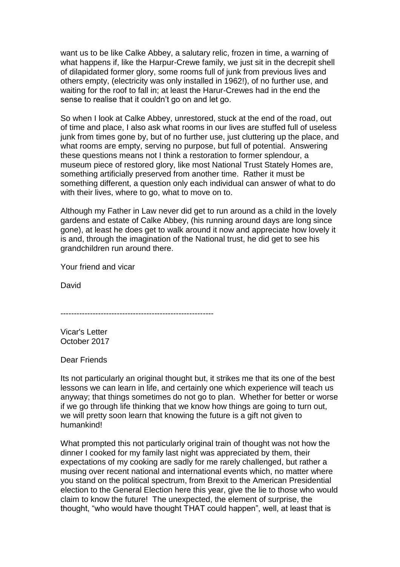want us to be like Calke Abbey, a salutary relic, frozen in time, a warning of what happens if, like the Harpur-Crewe family, we just sit in the decrepit shell of dilapidated former glory, some rooms full of junk from previous lives and others empty, (electricity was only installed in 1962!), of no further use, and waiting for the roof to fall in; at least the Harur-Crewes had in the end the sense to realise that it couldn't go on and let go.

So when I look at Calke Abbey, unrestored, stuck at the end of the road, out of time and place, I also ask what rooms in our lives are stuffed full of useless junk from times gone by, but of no further use, just cluttering up the place, and what rooms are empty, serving no purpose, but full of potential. Answering these questions means not I think a restoration to former splendour, a museum piece of restored glory, like most National Trust Stately Homes are, something artificially preserved from another time. Rather it must be something different, a question only each individual can answer of what to do with their lives, where to go, what to move on to.

Although my Father in Law never did get to run around as a child in the lovely gardens and estate of Calke Abbey, (his running around days are long since gone), at least he does get to walk around it now and appreciate how lovely it is and, through the imagination of the National trust, he did get to see his grandchildren run around there.

Your friend and vicar

David

---------------------------------------------------------

Vicar's Letter October 2017

Dear Friends

Its not particularly an original thought but, it strikes me that its one of the best lessons we can learn in life, and certainly one which experience will teach us anyway; that things sometimes do not go to plan. Whether for better or worse if we go through life thinking that we know how things are going to turn out, we will pretty soon learn that knowing the future is a gift not given to humankind!

What prompted this not particularly original train of thought was not how the dinner I cooked for my family last night was appreciated by them, their expectations of my cooking are sadly for me rarely challenged, but rather a musing over recent national and international events which, no matter where you stand on the political spectrum, from Brexit to the American Presidential election to the General Election here this year, give the lie to those who would claim to know the future! The unexpected, the element of surprise, the thought, "who would have thought THAT could happen", well, at least that is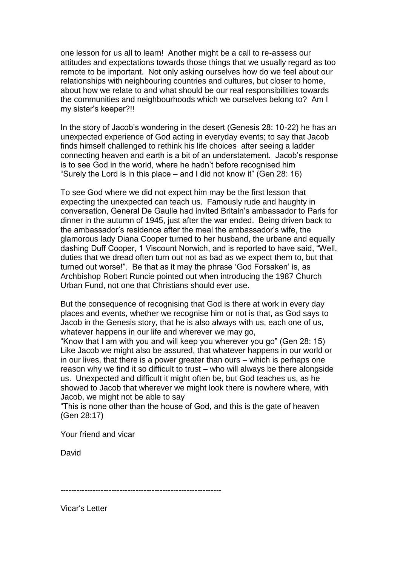one lesson for us all to learn! Another might be a call to re-assess our attitudes and expectations towards those things that we usually regard as too remote to be important. Not only asking ourselves how do we feel about our relationships with neighbouring countries and cultures, but closer to home, about how we relate to and what should be our real responsibilities towards the communities and neighbourhoods which we ourselves belong to? Am I my sister's keeper?!!

In the story of Jacob's wondering in the desert (Genesis 28: 10-22) he has an unexpected experience of God acting in everyday events; to say that Jacob finds himself challenged to rethink his life choices after seeing a ladder connecting heaven and earth is a bit of an understatement. Jacob's response is to see God in the world, where he hadn't before recognised him "Surely the Lord is in this place – and I did not know it" (Gen 28: 16)

To see God where we did not expect him may be the first lesson that expecting the unexpected can teach us. Famously rude and haughty in conversation, General De Gaulle had invited Britain's ambassador to Paris for dinner in the autumn of 1945, just after the war ended. Being driven back to the ambassador's residence after the meal the ambassador's wife, the glamorous lady Diana Cooper turned to her husband, the urbane and equally dashing Duff Cooper, 1 Viscount Norwich, and is reported to have said, "Well, duties that we dread often turn out not as bad as we expect them to, but that turned out worse!". Be that as it may the phrase 'God Forsaken' is, as Archbishop Robert Runcie pointed out when introducing the 1987 Church Urban Fund, not one that Christians should ever use.

But the consequence of recognising that God is there at work in every day places and events, whether we recognise him or not is that, as God says to Jacob in the Genesis story, that he is also always with us, each one of us, whatever happens in our life and wherever we may go,

"Know that I am with you and will keep you wherever you go" (Gen 28: 15) Like Jacob we might also be assured, that whatever happens in our world or in our lives, that there is a power greater than ours – which is perhaps one reason why we find it so difficult to trust – who will always be there alongside us. Unexpected and difficult it might often be, but God teaches us, as he showed to Jacob that wherever we might look there is nowhere where, with Jacob, we might not be able to say

"This is none other than the house of God, and this is the gate of heaven (Gen 28:17)

Your friend and vicar

David

------------------------------------------------------------

Vicar's Letter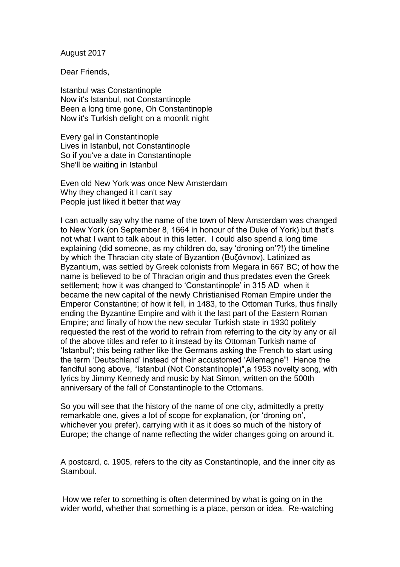#### August 2017

Dear Friends,

Istanbul was Constantinople Now it's Istanbul, not Constantinople Been a long time gone, Oh Constantinople Now it's Turkish delight on a moonlit night

Every gal in Constantinople Lives in Istanbul, not Constantinople So if you've a date in Constantinople She'll be waiting in Istanbul

Even old New York was once New Amsterdam Why they changed it I can't say People just liked it better that way

I can actually say why the name of the town of New Amsterdam was changed to New York (on September 8, 1664 in honour of the Duke of York) but that's not what I want to talk about in this letter. I could also spend a long time explaining (did someone, as my children do, say 'droning on'?!) the timeline by which the Thracian city state of Byzantion (Βυζάντιον), Latinized as Byzantium, was settled by Greek colonists from Megara in 667 BC; of how the name is believed to be of Thracian origin and thus predates even the Greek settlement; how it was changed to 'Constantinople' in 315 AD when it became the new capital of the newly Christianised Roman Empire under the Emperor Constantine; of how it fell, in 1483, to the Ottoman Turks, thus finally ending the Byzantine Empire and with it the last part of the Eastern Roman Empire; and finally of how the new secular Turkish state in 1930 politely requested the rest of the world to refrain from referring to the city by any or all of the above titles and refer to it instead by its Ottoman Turkish name of 'Istanbul'; this being rather like the Germans asking the French to start using the term 'Deutschland' instead of their accustomed 'Allemagne"! Hence the fanciful song above, "Istanbul (Not Constantinople)",a 1953 novelty song, with lyrics by Jimmy Kennedy and music by Nat Simon, written on the 500th anniversary of the fall of Constantinople to the Ottomans.

So you will see that the history of the name of one city, admittedly a pretty remarkable one, gives a lot of scope for explanation, (or 'droning on', whichever you prefer), carrying with it as it does so much of the history of Europe; the change of name reflecting the wider changes going on around it.

A postcard, c. 1905, refers to the city as Constantinople, and the inner city as Stamboul.

How we refer to something is often determined by what is going on in the wider world, whether that something is a place, person or idea. Re-watching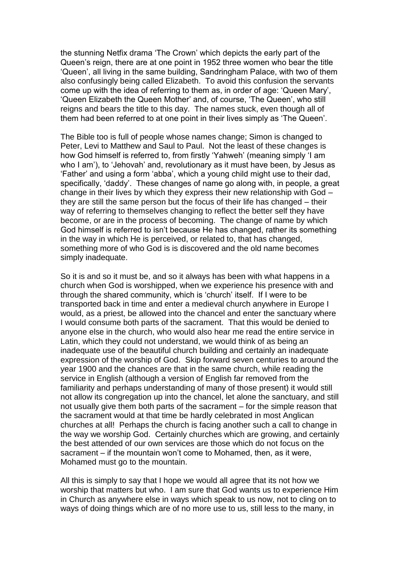the stunning Netfix drama 'The Crown' which depicts the early part of the Queen's reign, there are at one point in 1952 three women who bear the title 'Queen', all living in the same building, Sandringham Palace, with two of them also confusingly being called Elizabeth. To avoid this confusion the servants come up with the idea of referring to them as, in order of age: 'Queen Mary', 'Queen Elizabeth the Queen Mother' and, of course, 'The Queen', who still reigns and bears the title to this day. The names stuck, even though all of them had been referred to at one point in their lives simply as 'The Queen'.

The Bible too is full of people whose names change; Simon is changed to Peter, Levi to Matthew and Saul to Paul. Not the least of these changes is how God himself is referred to, from firstly 'Yahweh' (meaning simply 'I am who I am'), to 'Jehovah' and, revolutionary as it must have been, by Jesus as 'Father' and using a form 'abba', which a young child might use to their dad, specifically, 'daddy'. These changes of name go along with, in people, a great change in their lives by which they express their new relationship with God – they are still the same person but the focus of their life has changed – their way of referring to themselves changing to reflect the better self they have become, or are in the process of becoming. The change of name by which God himself is referred to isn't because He has changed, rather its something in the way in which He is perceived, or related to, that has changed, something more of who God is is discovered and the old name becomes simply inadequate.

So it is and so it must be, and so it always has been with what happens in a church when God is worshipped, when we experience his presence with and through the shared community, which is 'church' itself. If I were to be transported back in time and enter a medieval church anywhere in Europe I would, as a priest, be allowed into the chancel and enter the sanctuary where I would consume both parts of the sacrament. That this would be denied to anyone else in the church, who would also hear me read the entire service in Latin, which they could not understand, we would think of as being an inadequate use of the beautiful church building and certainly an inadequate expression of the worship of God. Skip forward seven centuries to around the year 1900 and the chances are that in the same church, while reading the service in English (although a version of English far removed from the familiarity and perhaps understanding of many of those present) it would still not allow its congregation up into the chancel, let alone the sanctuary, and still not usually give them both parts of the sacrament – for the simple reason that the sacrament would at that time be hardly celebrated in most Anglican churches at all! Perhaps the church is facing another such a call to change in the way we worship God. Certainly churches which are growing, and certainly the best attended of our own services are those which do not focus on the sacrament – if the mountain won't come to Mohamed, then, as it were, Mohamed must go to the mountain.

All this is simply to say that I hope we would all agree that its not how we worship that matters but who. I am sure that God wants us to experience Him in Church as anywhere else in ways which speak to us now, not to cling on to ways of doing things which are of no more use to us, still less to the many, in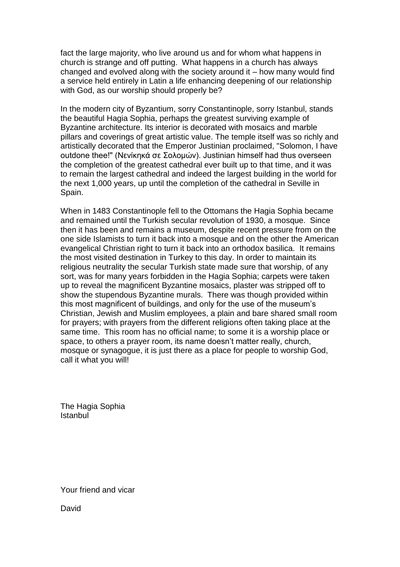fact the large majority, who live around us and for whom what happens in church is strange and off putting. What happens in a church has always changed and evolved along with the society around it – how many would find a service held entirely in Latin a life enhancing deepening of our relationship with God, as our worship should properly be?

In the modern city of Byzantium, sorry Constantinople, sorry Istanbul, stands the beautiful Hagia Sophia, perhaps the greatest surviving example of Byzantine architecture. Its interior is decorated with mosaics and marble pillars and coverings of great artistic value. The temple itself was so richly and artistically decorated that the Emperor Justinian proclaimed, "Solomon, I have outdone thee!" (Νενίκηκά σε Σολομών). Justinian himself had thus overseen the completion of the greatest cathedral ever built up to that time, and it was to remain the largest cathedral and indeed the largest building in the world for the next 1,000 years, up until the completion of the cathedral in Seville in Spain.

When in 1483 Constantinople fell to the Ottomans the Hagia Sophia became and remained until the Turkish secular revolution of 1930, a mosque. Since then it has been and remains a museum, despite recent pressure from on the one side Islamists to turn it back into a mosque and on the other the American evangelical Christian right to turn it back into an orthodox basilica. It remains the most visited destination in Turkey to this day. In order to maintain its religious neutrality the secular Turkish state made sure that worship, of any sort, was for many years forbidden in the Hagia Sophia; carpets were taken up to reveal the magnificent Byzantine mosaics, plaster was stripped off to show the stupendous Byzantine murals. There was though provided within this most magnificent of buildings, and only for the use of the museum's Christian, Jewish and Muslim employees, a plain and bare shared small room for prayers; with prayers from the different religions often taking place at the same time. This room has no official name; to some it is a worship place or space, to others a prayer room, its name doesn't matter really, church, mosque or synagogue, it is just there as a place for people to worship God, call it what you will!

The Hagia Sophia Istanbul

Your friend and vicar

David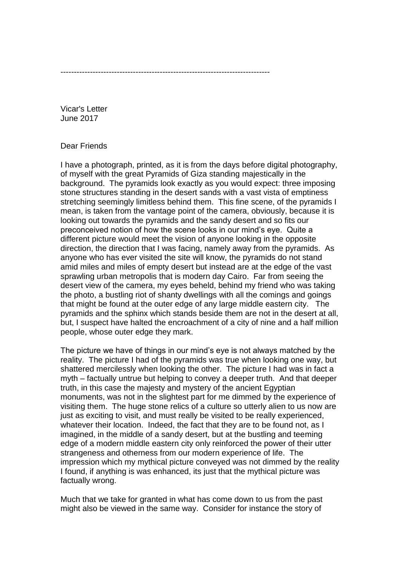------------------------------------------------------------------------------

Vicar's Letter June 2017

#### Dear Friends

I have a photograph, printed, as it is from the days before digital photography, of myself with the great Pyramids of Giza standing majestically in the background. The pyramids look exactly as you would expect: three imposing stone structures standing in the desert sands with a vast vista of emptiness stretching seemingly limitless behind them. This fine scene, of the pyramids I mean, is taken from the vantage point of the camera, obviously, because it is looking out towards the pyramids and the sandy desert and so fits our preconceived notion of how the scene looks in our mind's eye. Quite a different picture would meet the vision of anyone looking in the opposite direction, the direction that I was facing, namely away from the pyramids. As anyone who has ever visited the site will know, the pyramids do not stand amid miles and miles of empty desert but instead are at the edge of the vast sprawling urban metropolis that is modern day Cairo. Far from seeing the desert view of the camera, my eyes beheld, behind my friend who was taking the photo, a bustling riot of shanty dwellings with all the comings and goings that might be found at the outer edge of any large middle eastern city. The pyramids and the sphinx which stands beside them are not in the desert at all, but, I suspect have halted the encroachment of a city of nine and a half million people, whose outer edge they mark.

The picture we have of things in our mind's eye is not always matched by the reality. The picture I had of the pyramids was true when looking one way, but shattered mercilessly when looking the other. The picture I had was in fact a myth – factually untrue but helping to convey a deeper truth. And that deeper truth, in this case the majesty and mystery of the ancient Egyptian monuments, was not in the slightest part for me dimmed by the experience of visiting them. The huge stone relics of a culture so utterly alien to us now are just as exciting to visit, and must really be visited to be really experienced, whatever their location. Indeed, the fact that they are to be found not, as I imagined, in the middle of a sandy desert, but at the bustling and teeming edge of a modern middle eastern city only reinforced the power of their utter strangeness and otherness from our modern experience of life. The impression which my mythical picture conveyed was not dimmed by the reality I found, if anything is was enhanced, its just that the mythical picture was factually wrong.

Much that we take for granted in what has come down to us from the past might also be viewed in the same way. Consider for instance the story of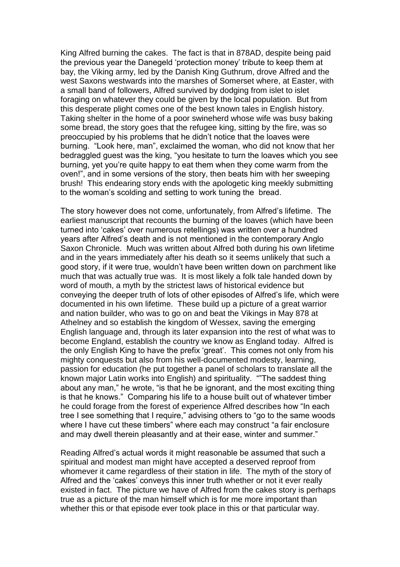King Alfred burning the cakes. The fact is that in 878AD, despite being paid the previous year the Danegeld 'protection money' tribute to keep them at bay, the Viking army, led by the Danish King Guthrum, drove Alfred and the west Saxons westwards into the marshes of Somerset where, at Easter, with a small band of followers, Alfred survived by dodging from islet to islet foraging on whatever they could be given by the local population. But from this desperate plight comes one of the best known tales in English history. Taking shelter in the home of a poor swineherd whose wife was busy baking some bread, the story goes that the refugee king, sitting by the fire, was so preoccupied by his problems that he didn't notice that the loaves were burning. "Look here, man", exclaimed the woman, who did not know that her bedraggled guest was the king, "you hesitate to turn the loaves which you see burning, yet you're quite happy to eat them when they come warm from the oven!", and in some versions of the story, then beats him with her sweeping brush! This endearing story ends with the apologetic king meekly submitting to the woman's scolding and setting to work tuning the bread.

The story however does not come, unfortunately, from Alfred's lifetime. The earliest manuscript that recounts the burning of the loaves (which have been turned into 'cakes' over numerous retellings) was written over a hundred years after Alfred's death and is not mentioned in the contemporary Anglo Saxon Chronicle. Much was written about Alfred both during his own lifetime and in the years immediately after his death so it seems unlikely that such a good story, if it were true, wouldn't have been written down on parchment like much that was actually true was. It is most likely a folk tale handed down by word of mouth, a myth by the strictest laws of historical evidence but conveying the deeper truth of lots of other episodes of Alfred's life, which were documented in his own lifetime. These build up a picture of a great warrior and nation builder, who was to go on and beat the Vikings in May 878 at Athelney and so establish the kingdom of Wessex, saving the emerging English language and, through its later expansion into the rest of what was to become England, establish the country we know as England today. Alfred is the only English King to have the prefix 'great'. This comes not only from his mighty conquests but also from his well-documented modesty, learning, passion for education (he put together a panel of scholars to translate all the known major Latin works into English) and spirituality. ""The saddest thing about any man," he wrote, "is that he be ignorant, and the most exciting thing is that he knows." Comparing his life to a house built out of whatever timber he could forage from the forest of experience Alfred describes how "In each tree I see something that I require," advising others to "go to the same woods where I have cut these timbers" where each may construct "a fair enclosure and may dwell therein pleasantly and at their ease, winter and summer."

Reading Alfred's actual words it might reasonable be assumed that such a spiritual and modest man might have accepted a deserved reproof from whomever it came regardless of their station in life. The myth of the story of Alfred and the 'cakes' conveys this inner truth whether or not it ever really existed in fact. The picture we have of Alfred from the cakes story is perhaps true as a picture of the man himself which is for me more important than whether this or that episode ever took place in this or that particular way.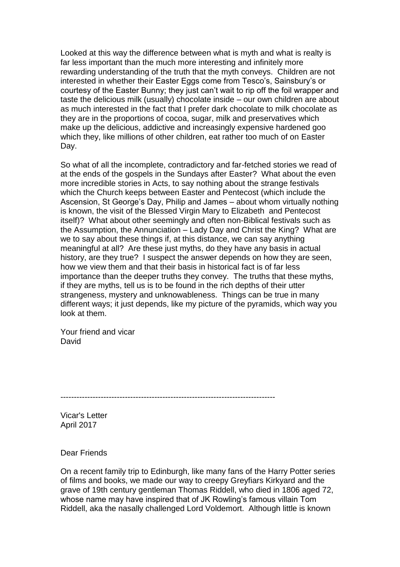Looked at this way the difference between what is myth and what is realty is far less important than the much more interesting and infinitely more rewarding understanding of the truth that the myth conveys. Children are not interested in whether their Easter Eggs come from Tesco's, Sainsbury's or courtesy of the Easter Bunny; they just can't wait to rip off the foil wrapper and taste the delicious milk (usually) chocolate inside – our own children are about as much interested in the fact that I prefer dark chocolate to milk chocolate as they are in the proportions of cocoa, sugar, milk and preservatives which make up the delicious, addictive and increasingly expensive hardened goo which they, like millions of other children, eat rather too much of on Easter Day.

So what of all the incomplete, contradictory and far-fetched stories we read of at the ends of the gospels in the Sundays after Easter? What about the even more incredible stories in Acts, to say nothing about the strange festivals which the Church keeps between Easter and Pentecost (which include the Ascension, St George's Day, Philip and James – about whom virtually nothing is known, the visit of the Blessed Virgin Mary to Elizabeth and Pentecost itself)? What about other seemingly and often non-Biblical festivals such as the Assumption, the Annunciation – Lady Day and Christ the King? What are we to say about these things if, at this distance, we can say anything meaningful at all? Are these just myths, do they have any basis in actual history, are they true? I suspect the answer depends on how they are seen, how we view them and that their basis in historical fact is of far less importance than the deeper truths they convey. The truths that these myths, if they are myths, tell us is to be found in the rich depths of their utter strangeness, mystery and unknowableness. Things can be true in many different ways; it just depends, like my picture of the pyramids, which way you look at them.

Your friend and vicar **David** 

--------------------------------------------------------------------------------

Vicar's Letter April 2017

Dear Friends

On a recent family trip to Edinburgh, like many fans of the Harry Potter series of films and books, we made our way to creepy Greyfiars Kirkyard and the grave of 19th century gentleman Thomas Riddell, who died in 1806 aged 72, whose name may have inspired that of JK Rowling's famous villain Tom Riddell, aka the nasally challenged Lord Voldemort. Although little is known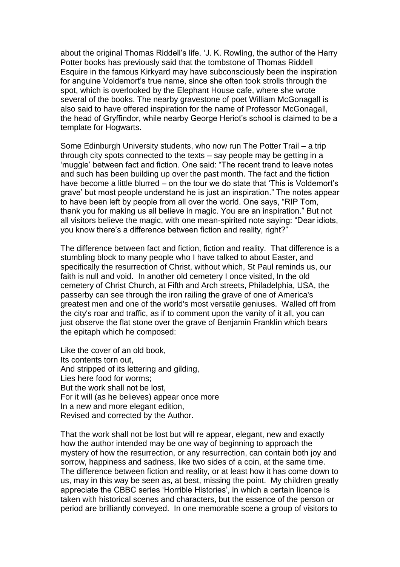about the original Thomas Riddell's life. 'J. K. Rowling, the author of the Harry Potter books has previously said that the tombstone of Thomas Riddell Esquire in the famous Kirkyard may have subconsciously been the inspiration for anguine Voldemort's true name, since she often took strolls through the spot, which is overlooked by the Elephant House cafe, where she wrote several of the books. The nearby gravestone of poet William McGonagall is also said to have offered inspiration for the name of Professor McGonagall, the head of Gryffindor, while nearby George Heriot's school is claimed to be a template for Hogwarts.

Some Edinburgh University students, who now run The Potter Trail – a trip through city spots connected to the texts – say people may be getting in a 'muggle' between fact and fiction. One said: "The recent trend to leave notes and such has been building up over the past month. The fact and the fiction have become a little blurred – on the tour we do state that 'This is Voldemort's grave' but most people understand he is just an inspiration." The notes appear to have been left by people from all over the world. One says, "RIP Tom, thank you for making us all believe in magic. You are an inspiration." But not all visitors believe the magic, with one mean-spirited note saying: "Dear idiots, you know there's a difference between fiction and reality, right?"

The difference between fact and fiction, fiction and reality. That difference is a stumbling block to many people who I have talked to about Easter, and specifically the resurrection of Christ, without which, St Paul reminds us, our faith is null and void. In another old cemetery I once visited, In the old cemetery of Christ Church, at Fifth and Arch streets, Philadelphia, USA, the passerby can see through the iron railing the grave of one of America's greatest men and one of the world's most versatile geniuses. Walled off from the city's roar and traffic, as if to comment upon the vanity of it all, you can just observe the flat stone over the grave of Benjamin Franklin which bears the epitaph which he composed:

Like the cover of an old book, Its contents torn out, And stripped of its lettering and gilding, Lies here food for worms; But the work shall not be lost, For it will (as he believes) appear once more In a new and more elegant edition, Revised and corrected by the Author.

That the work shall not be lost but will re appear, elegant, new and exactly how the author intended may be one way of beginning to approach the mystery of how the resurrection, or any resurrection, can contain both joy and sorrow, happiness and sadness, like two sides of a coin, at the same time. The difference between fiction and reality, or at least how it has come down to us, may in this way be seen as, at best, missing the point. My children greatly appreciate the CBBC series 'Horrible Histories', in which a certain licence is taken with historical scenes and characters, but the essence of the person or period are brilliantly conveyed. In one memorable scene a group of visitors to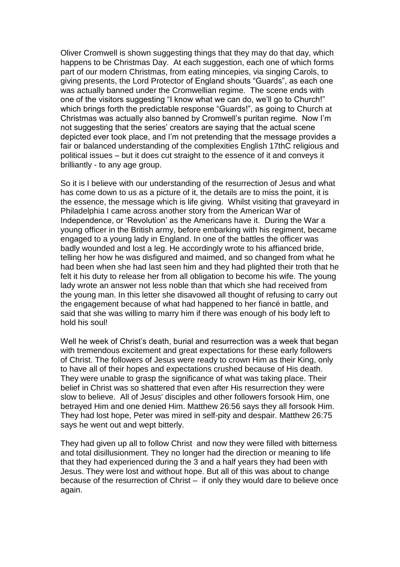Oliver Cromwell is shown suggesting things that they may do that day, which happens to be Christmas Day. At each suggestion, each one of which forms part of our modern Christmas, from eating mincepies, via singing Carols, to giving presents, the Lord Protector of England shouts "Guards", as each one was actually banned under the Cromwellian regime. The scene ends with one of the visitors suggesting "I know what we can do, we'll go to Church!" which brings forth the predictable response "Guards!", as going to Church at Christmas was actually also banned by Cromwell's puritan regime. Now I'm not suggesting that the series' creators are saying that the actual scene depicted ever took place, and I'm not pretending that the message provides a fair or balanced understanding of the complexities English 17thC religious and political issues – but it does cut straight to the essence of it and conveys it brilliantly - to any age group.

So it is I believe with our understanding of the resurrection of Jesus and what has come down to us as a picture of it, the details are to miss the point, it is the essence, the message which is life giving. Whilst visiting that graveyard in Philadelphia I came across another story from the American War of Independence, or 'Revolution' as the Americans have it. During the War a young officer in the British army, before embarking with his regiment, became engaged to a young lady in England. In one of the battles the officer was badly wounded and lost a leg. He accordingly wrote to his affianced bride, telling her how he was disfigured and maimed, and so changed from what he had been when she had last seen him and they had plighted their troth that he felt it his duty to release her from all obligation to become his wife. The young lady wrote an answer not less noble than that which she had received from the young man. In this letter she disavowed all thought of refusing to carry out the engagement because of what had happened to her fiancé in battle, and said that she was willing to marry him if there was enough of his body left to hold his soul!

Well he week of Christ's death, burial and resurrection was a week that began with tremendous excitement and great expectations for these early followers of Christ. The followers of Jesus were ready to crown Him as their King, only to have all of their hopes and expectations crushed because of His death. They were unable to grasp the significance of what was taking place. Their belief in Christ was so shattered that even after His resurrection they were slow to believe. All of Jesus' disciples and other followers forsook Him, one betrayed Him and one denied Him. Matthew 26:56 says they all forsook Him. They had lost hope, Peter was mired in self-pity and despair. Matthew 26:75 says he went out and wept bitterly.

They had given up all to follow Christ and now they were filled with bitterness and total disillusionment. They no longer had the direction or meaning to life that they had experienced during the 3 and a half years they had been with Jesus. They were lost and without hope. But all of this was about to change because of the resurrection of Christ – if only they would dare to believe once again.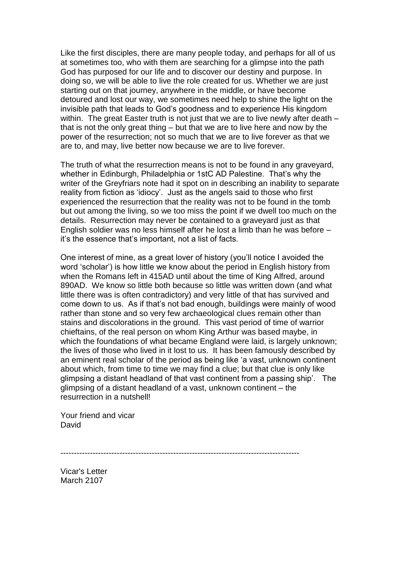Like the first disciples, there are many people today, and perhaps for all of us at sometimes too, who with them are searching for a glimpse into the path God has purposed for our life and to discover our destiny and purpose. In doing so, we will be able to live the role created for us. Whether we are just starting out on that journey, anywhere in the middle, or have become detoured and lost our way, we sometimes need help to shine the light on the invisible path that leads to God's goodness and to experience His kingdom within. The great Easter truth is not just that we are to live newly after death – that is not the only great thing – but that we are to live here and now by the power of the resurrection; not so much that we are to live forever as that we are to, and may, live better now because we are to live forever.

The truth of what the resurrection means is not to be found in any graveyard, whether in Edinburgh, Philadelphia or 1stC AD Palestine. That's why the writer of the Greyfriars note had it spot on in describing an inability to separate reality from fiction as 'idiocy'. Just as the angels said to those who first experienced the resurrection that the reality was not to be found in the tomb but out among the living, so we too miss the point if we dwell too much on the details. Resurrection may never be contained to a graveyard just as that English soldier was no less himself after he lost a limb than he was before – it's the essence that's important, not a list of facts.

One interest of mine, as a great lover of history (you'll notice I avoided the word 'scholar') is how little we know about the period in English history from when the Romans left in 415AD until about the time of King Alfred, around 890AD. We know so little both because so little was written down (and what little there was is often contradictory) and very little of that has survived and come down to us. As if that's not bad enough, buildings were mainly of wood rather than stone and so very few archaeological clues remain other than stains and discolorations in the ground. This vast period of time of warrior chieftains, of the real person on whom King Arthur was based maybe, in which the foundations of what became England were laid, is largely unknown; the lives of those who lived in it lost to us. It has been famously described by an eminent real scholar of the period as being like 'a vast, unknown continent about which, from time to time we may find a clue; but that clue is only like glimpsing a distant headland of that vast continent from a passing ship'. The glimpsing of a distant headland of a vast, unknown continent – the resurrection in a nutshell!

Your friend and vicar David

-----------------------------------------------------------------------------------------

Vicar's Letter March 2107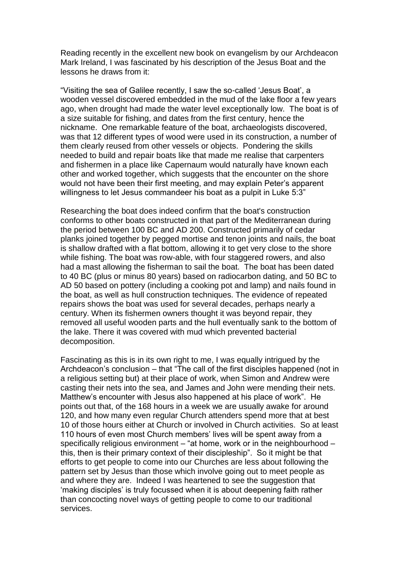Reading recently in the excellent new book on evangelism by our Archdeacon Mark Ireland, I was fascinated by his description of the Jesus Boat and the lessons he draws from it:

"Visiting the sea of Galilee recently, I saw the so-called 'Jesus Boat', a wooden vessel discovered embedded in the mud of the lake floor a few years ago, when drought had made the water level exceptionally low. The boat is of a size suitable for fishing, and dates from the first century, hence the nickname. One remarkable feature of the boat, archaeologists discovered, was that 12 different types of wood were used in its construction, a number of them clearly reused from other vessels or objects. Pondering the skills needed to build and repair boats like that made me realise that carpenters and fishermen in a place like Capernaum would naturally have known each other and worked together, which suggests that the encounter on the shore would not have been their first meeting, and may explain Peter's apparent willingness to let Jesus commandeer his boat as a pulpit in Luke 5:3"

Researching the boat does indeed confirm that the boat's construction conforms to other boats constructed in that part of the Mediterranean during the period between 100 BC and AD 200. Constructed primarily of cedar planks joined together by pegged mortise and tenon joints and nails, the boat is shallow drafted with a flat bottom, allowing it to get very close to the shore while fishing. The boat was row-able, with four staggered rowers, and also had a mast allowing the fisherman to sail the boat. The boat has been dated to 40 BC (plus or minus 80 years) based on radiocarbon dating, and 50 BC to AD 50 based on pottery (including a cooking pot and lamp) and nails found in the boat, as well as hull construction techniques. The evidence of repeated repairs shows the boat was used for several decades, perhaps nearly a century. When its fishermen owners thought it was beyond repair, they removed all useful wooden parts and the hull eventually sank to the bottom of the lake. There it was covered with mud which prevented bacterial decomposition.

Fascinating as this is in its own right to me, I was equally intrigued by the Archdeacon's conclusion – that "The call of the first disciples happened (not in a religious setting but) at their place of work, when Simon and Andrew were casting their nets into the sea, and James and John were mending their nets. Matthew's encounter with Jesus also happened at his place of work". He points out that, of the 168 hours in a week we are usually awake for around 120, and how many even regular Church attenders spend more that at best 10 of those hours either at Church or involved in Church activities. So at least 110 hours of even most Church members' lives will be spent away from a specifically religious environment – "at home, work or in the neighbourhood – this, then is their primary context of their discipleship". So it might be that efforts to get people to come into our Churches are less about following the pattern set by Jesus than those which involve going out to meet people as and where they are. Indeed I was heartened to see the suggestion that 'making disciples' is truly focussed when it is about deepening faith rather than concocting novel ways of getting people to come to our traditional services.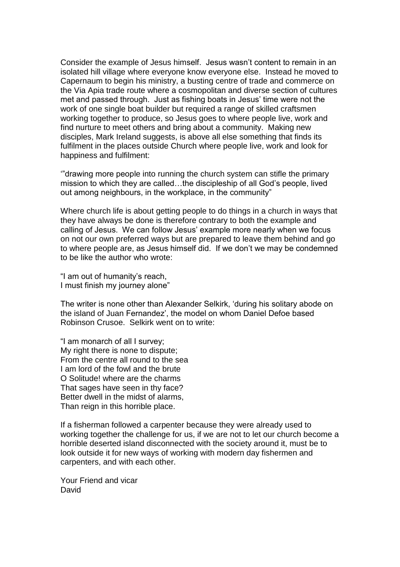Consider the example of Jesus himself. Jesus wasn't content to remain in an isolated hill village where everyone know everyone else. Instead he moved to Capernaum to begin his ministry, a busting centre of trade and commerce on the Via Apia trade route where a cosmopolitan and diverse section of cultures met and passed through. Just as fishing boats in Jesus' time were not the work of one single boat builder but required a range of skilled craftsmen working together to produce, so Jesus goes to where people live, work and find nurture to meet others and bring about a community. Making new disciples, Mark Ireland suggests, is above all else something that finds its fulfilment in the places outside Church where people live, work and look for happiness and fulfilment:

'"drawing more people into running the church system can stifle the primary mission to which they are called…the discipleship of all God's people, lived out among neighbours, in the workplace, in the community"

Where church life is about getting people to do things in a church in ways that they have always be done is therefore contrary to both the example and calling of Jesus. We can follow Jesus' example more nearly when we focus on not our own preferred ways but are prepared to leave them behind and go to where people are, as Jesus himself did. If we don't we may be condemned to be like the author who wrote:

"I am out of humanity's reach, I must finish my journey alone"

The writer is none other than Alexander Selkirk, 'during his solitary abode on the island of Juan Fernandez', the model on whom Daniel Defoe based Robinson Crusoe. Selkirk went on to write:

"I am monarch of all I survey; My right there is none to dispute; From the centre all round to the sea I am lord of the fowl and the brute O Solitude! where are the charms That sages have seen in thy face? Better dwell in the midst of alarms, Than reign in this horrible place.

If a fisherman followed a carpenter because they were already used to working together the challenge for us, if we are not to let our church become a horrible deserted island disconnected with the society around it, must be to look outside it for new ways of working with modern day fishermen and carpenters, and with each other.

Your Friend and vicar David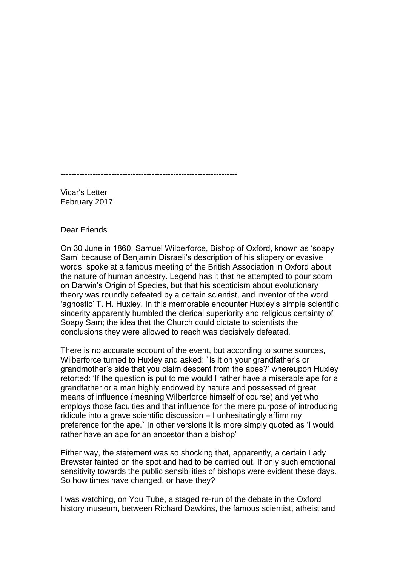------------------------------------------------------------------

Vicar's Letter February 2017

Dear Friends

On 30 June in 1860, Samuel Wilberforce, Bishop of Oxford, known as 'soapy Sam' because of Benjamin Disraeli's description of his slippery or evasive words, spoke at a famous meeting of the British Association in Oxford about the nature of human ancestry. Legend has it that he attempted to pour scorn on Darwin's Origin of Species, but that his scepticism about evolutionary theory was roundly defeated by a certain scientist, and inventor of the word 'agnostic' T. H. Huxley. In this memorable encounter Huxley's simple scientific sincerity apparently humbled the clerical superiority and religious certainty of Soapy Sam; the idea that the Church could dictate to scientists the conclusions they were allowed to reach was decisively defeated.

There is no accurate account of the event, but according to some sources, Wilberforce turned to Huxley and asked: `Is it on your grandfather's or grandmother's side that you claim descent from the apes?' whereupon Huxley retorted: 'If the question is put to me would I rather have a miserable ape for a grandfather or a man highly endowed by nature and possessed of great means of influence (meaning Wilberforce himself of course) and yet who employs those faculties and that influence for the mere purpose of introducing ridicule into a grave scientific discussion – I unhesitatingly affirm my preference for the ape.` In other versions it is more simply quoted as 'I would rather have an ape for an ancestor than a bishop'

Either way, the statement was so shocking that, apparently, a certain Lady Brewster fainted on the spot and had to be carried out. If only such emotional sensitivity towards the public sensibilities of bishops were evident these days. So how times have changed, or have they?

I was watching, on You Tube, a staged re-run of the debate in the Oxford history museum, between Richard Dawkins, the famous scientist, atheist and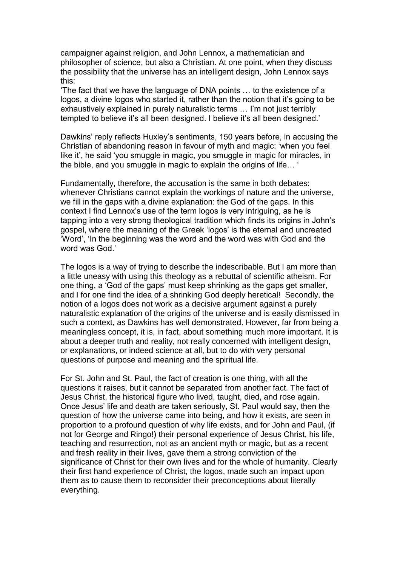campaigner against religion, and John Lennox, a mathematician and philosopher of science, but also a Christian. At one point, when they discuss the possibility that the universe has an intelligent design, John Lennox says this:

'The fact that we have the language of DNA points … to the existence of a logos, a divine logos who started it, rather than the notion that it's going to be exhaustively explained in purely naturalistic terms … I'm not just terribly tempted to believe it's all been designed. I believe it's all been designed.'

Dawkins' reply reflects Huxley's sentiments, 150 years before, in accusing the Christian of abandoning reason in favour of myth and magic: 'when you feel like it', he said 'you smuggle in magic, you smuggle in magic for miracles, in the bible, and you smuggle in magic to explain the origins of life… '

Fundamentally, therefore, the accusation is the same in both debates: whenever Christians cannot explain the workings of nature and the universe, we fill in the gaps with a divine explanation: the God of the gaps. In this context I find Lennox's use of the term logos is very intriguing, as he is tapping into a very strong theological tradition which finds its origins in John's gospel, where the meaning of the Greek 'logos' is the eternal and uncreated 'Word', 'In the beginning was the word and the word was with God and the word was God.'

The logos is a way of trying to describe the indescribable. But I am more than a little uneasy with using this theology as a rebuttal of scientific atheism. For one thing, a 'God of the gaps' must keep shrinking as the gaps get smaller, and I for one find the idea of a shrinking God deeply heretical! Secondly, the notion of a logos does not work as a decisive argument against a purely naturalistic explanation of the origins of the universe and is easily dismissed in such a context, as Dawkins has well demonstrated. However, far from being a meaningless concept, it is, in fact, about something much more important. It is about a deeper truth and reality, not really concerned with intelligent design, or explanations, or indeed science at all, but to do with very personal questions of purpose and meaning and the spiritual life.

For St. John and St. Paul, the fact of creation is one thing, with all the questions it raises, but it cannot be separated from another fact. The fact of Jesus Christ, the historical figure who lived, taught, died, and rose again. Once Jesus' life and death are taken seriously, St. Paul would say, then the question of how the universe came into being, and how it exists, are seen in proportion to a profound question of why life exists, and for John and Paul, (if not for George and Ringo!) their personal experience of Jesus Christ, his life, teaching and resurrection, not as an ancient myth or magic, but as a recent and fresh reality in their lives, gave them a strong conviction of the significance of Christ for their own lives and for the whole of humanity. Clearly their first hand experience of Christ, the logos, made such an impact upon them as to cause them to reconsider their preconceptions about literally everything.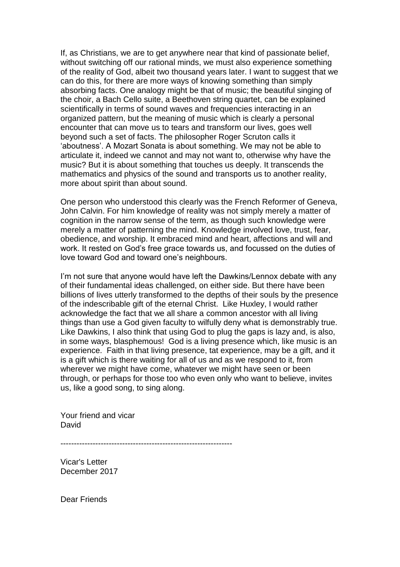If, as Christians, we are to get anywhere near that kind of passionate belief, without switching off our rational minds, we must also experience something of the reality of God, albeit two thousand years later. I want to suggest that we can do this, for there are more ways of knowing something than simply absorbing facts. One analogy might be that of music; the beautiful singing of the choir, a Bach Cello suite, a Beethoven string quartet, can be explained scientifically in terms of sound waves and frequencies interacting in an organized pattern, but the meaning of music which is clearly a personal encounter that can move us to tears and transform our lives, goes well beyond such a set of facts. The philosopher Roger Scruton calls it 'aboutness'. A Mozart Sonata is about something. We may not be able to articulate it, indeed we cannot and may not want to, otherwise why have the music? But it is about something that touches us deeply. It transcends the mathematics and physics of the sound and transports us to another reality, more about spirit than about sound.

One person who understood this clearly was the French Reformer of Geneva, John Calvin. For him knowledge of reality was not simply merely a matter of cognition in the narrow sense of the term, as though such knowledge were merely a matter of patterning the mind. Knowledge involved love, trust, fear, obedience, and worship. It embraced mind and heart, affections and will and work. It rested on God's free grace towards us, and focussed on the duties of love toward God and toward one's neighbours.

I'm not sure that anyone would have left the Dawkins/Lennox debate with any of their fundamental ideas challenged, on either side. But there have been billions of lives utterly transformed to the depths of their souls by the presence of the indescribable gift of the eternal Christ. Like Huxley, I would rather acknowledge the fact that we all share a common ancestor with all living things than use a God given faculty to wilfully deny what is demonstrably true. Like Dawkins, I also think that using God to plug the gaps is lazy and, is also, in some ways, blasphemous! God is a living presence which, like music is an experience. Faith in that living presence, tat experience, may be a gift, and it is a gift which is there waiting for all of us and as we respond to it, from wherever we might have come, whatever we might have seen or been through, or perhaps for those too who even only who want to believe, invites us, like a good song, to sing along.

Your friend and vicar David

----------------------------------------------------------------

Vicar's Letter December 2017

Dear Friends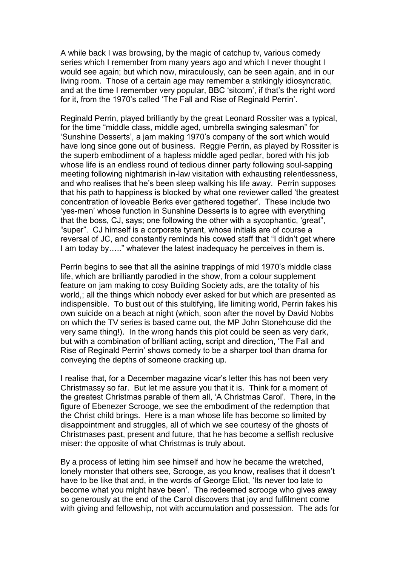A while back I was browsing, by the magic of catchup tv, various comedy series which I remember from many years ago and which I never thought I would see again; but which now, miraculously, can be seen again, and in our living room. Those of a certain age may remember a strikingly idiosyncratic, and at the time I remember very popular, BBC 'sitcom', if that's the right word for it, from the 1970's called 'The Fall and Rise of Reginald Perrin'.

Reginald Perrin, played brilliantly by the great Leonard Rossiter was a typical, for the time "middle class, middle aged, umbrella swinging salesman" for 'Sunshine Desserts', a jam making 1970's company of the sort which would have long since gone out of business. Reggie Perrin, as played by Rossiter is the superb embodiment of a hapless middle aged pedlar, bored with his job whose life is an endless round of tedious dinner party following soul-sapping meeting following nightmarish in-law visitation with exhausting relentlessness, and who realises that he's been sleep walking his life away. Perrin supposes that his path to happiness is blocked by what one reviewer called 'the greatest concentration of loveable Berks ever gathered together'. These include two 'yes-men' whose function in Sunshine Desserts is to agree with everything that the boss, CJ, says; one following the other with a sycophantic, 'great", "super". CJ himself is a corporate tyrant, whose initials are of course a reversal of JC, and constantly reminds his cowed staff that "I didn't get where I am today by….." whatever the latest inadequacy he perceives in them is.

Perrin begins to see that all the asinine trappings of mid 1970's middle class life, which are brilliantly parodied in the show, from a colour supplement feature on jam making to cosy Building Society ads, are the totality of his world,; all the things which nobody ever asked for but which are presented as indispensible. To bust out of this stultifying, life limiting world, Perrin fakes his own suicide on a beach at night (which, soon after the novel by David Nobbs on which the TV series is based came out, the MP John Stonehouse did the very same thing!). In the wrong hands this plot could be seen as very dark, but with a combination of brilliant acting, script and direction, 'The Fall and Rise of Reginald Perrin' shows comedy to be a sharper tool than drama for conveying the depths of someone cracking up.

I realise that, for a December magazine vicar's letter this has not been very Christmassy so far. But let me assure you that it is. Think for a moment of the greatest Christmas parable of them all, 'A Christmas Carol'. There, in the figure of Ebenezer Scrooge, we see the embodiment of the redemption that the Christ child brings. Here is a man whose life has become so limited by disappointment and struggles, all of which we see courtesy of the ghosts of Christmases past, present and future, that he has become a selfish reclusive miser: the opposite of what Christmas is truly about.

By a process of letting him see himself and how he became the wretched, lonely monster that others see, Scrooge, as you know, realises that it doesn't have to be like that and, in the words of George Eliot, 'Its never too late to become what you might have been'. The redeemed scrooge who gives away so generously at the end of the Carol discovers that joy and fulfilment come with giving and fellowship, not with accumulation and possession. The ads for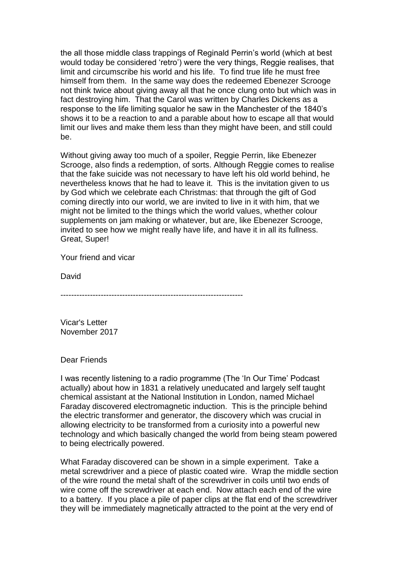the all those middle class trappings of Reginald Perrin's world (which at best would today be considered 'retro') were the very things, Reggie realises, that limit and circumscribe his world and his life. To find true life he must free himself from them. In the same way does the redeemed Ebenezer Scrooge not think twice about giving away all that he once clung onto but which was in fact destroying him. That the Carol was written by Charles Dickens as a response to the life limiting squalor he saw in the Manchester of the 1840's shows it to be a reaction to and a parable about how to escape all that would limit our lives and make them less than they might have been, and still could be.

Without giving away too much of a spoiler, Reggie Perrin, like Ebenezer Scrooge, also finds a redemption, of sorts. Although Reggie comes to realise that the fake suicide was not necessary to have left his old world behind, he nevertheless knows that he had to leave it. This is the invitation given to us by God which we celebrate each Christmas: that through the gift of God coming directly into our world, we are invited to live in it with him, that we might not be limited to the things which the world values, whether colour supplements on jam making or whatever, but are, like Ebenezer Scrooge, invited to see how we might really have life, and have it in all its fullness. Great, Super!

Your friend and vicar

David

--------------------------------------------------------------------

Vicar's Letter November 2017

Dear Friends

I was recently listening to a radio programme (The 'In Our Time' Podcast actually) about how in 1831 a relatively uneducated and largely self taught chemical assistant at the National Institution in London, named Michael Faraday discovered electromagnetic induction. This is the principle behind the electric transformer and generator, the discovery which was crucial in allowing electricity to be transformed from a curiosity into a powerful new technology and which basically changed the world from being steam powered to being electrically powered.

What Faraday discovered can be shown in a simple experiment. Take a metal screwdriver and a piece of plastic coated wire. Wrap the middle section of the wire round the metal shaft of the screwdriver in coils until two ends of wire come off the screwdriver at each end. Now attach each end of the wire to a battery. If you place a pile of paper clips at the flat end of the screwdriver they will be immediately magnetically attracted to the point at the very end of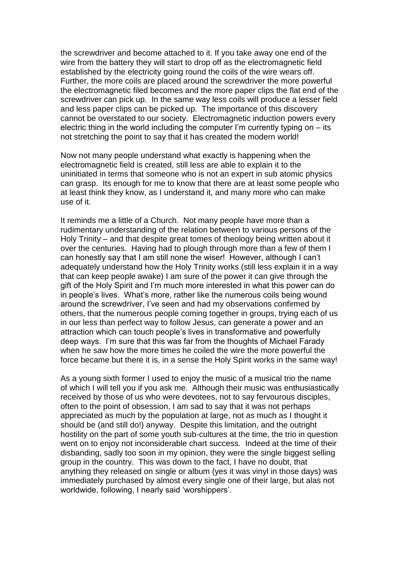the screwdriver and become attached to it. If you take away one end of the wire from the battery they will start to drop off as the electromagnetic field established by the electricity going round the coils of the wire wears off. Further, the more coils are placed around the screwdriver the more powerful the electromagnetic filed becomes and the more paper clips the flat end of the screwdriver can pick up. In the same way less coils will produce a lesser field and less paper clips can be picked up. The importance of this discovery cannot be overstated to our society. Electromagnetic induction powers every electric thing in the world including the computer I'm currently typing on – its not stretching the point to say that it has created the modern world!

Now not many people understand what exactly is happening when the electromagnetic field is created, still less are able to explain it to the uninitiated in terms that someone who is not an expert in sub atomic physics can grasp. Its enough for me to know that there are at least some people who at least think they know, as I understand it, and many more who can make use of it.

It reminds me a little of a Church. Not many people have more than a rudimentary understanding of the relation between to various persons of the Holy Trinity – and that despite great tomes of theology being written about it over the centuries. Having had to plough through more than a few of them I can honestly say that I am still none the wiser! However, although I can't adequately understand how the Holy Trinity works (still less explain it in a way that can keep people awake) I am sure of the power it can give through the gift of the Holy Spirit and I'm much more interested in what this power can do in people's lives. What's more, rather like the numerous coils being wound around the screwdriver, I've seen and had my observations confirmed by others, that the numerous people coming together in groups, trying each of us in our less than perfect way to follow Jesus, can generate a power and an attraction which can touch people's lives in transformative and powerfully deep ways. I'm sure that this was far from the thoughts of Michael Farady when he saw how the more times he coiled the wire the more powerful the force became but there it is, in a sense the Holy Spirit works in the same way!

As a young sixth former I used to enjoy the music of a musical trio the name of which I will tell you if you ask me. Although their music was enthusiastically received by those of us who were devotees, not to say fervourous disciples, often to the point of obsession, I am sad to say that it was not perhaps appreciated as much by the population at large, not as much as I thought it should be (and still do!) anyway. Despite this limitation, and the outright hostility on the part of some youth sub-cultures at the time, the trio in question went on to enjoy not inconsiderable chart success. Indeed at the time of their disbanding, sadly too soon in my opinion, they were the single biggest selling group in the country. This was down to the fact, I have no doubt, that anything they released on single or album (yes it was vinyl in those days) was immediately purchased by almost every single one of their large, but alas not worldwide, following, I nearly said 'worshippers'.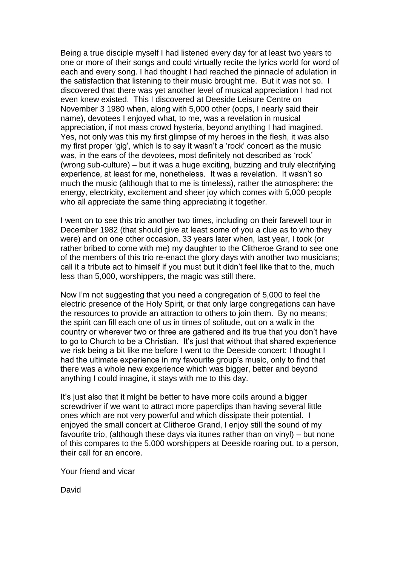Being a true disciple myself I had listened every day for at least two years to one or more of their songs and could virtually recite the lyrics world for word of each and every song. I had thought I had reached the pinnacle of adulation in the satisfaction that listening to their music brought me. But it was not so. I discovered that there was yet another level of musical appreciation I had not even knew existed. This I discovered at Deeside Leisure Centre on November 3 1980 when, along with 5,000 other (oops, I nearly said their name), devotees I enjoyed what, to me, was a revelation in musical appreciation, if not mass crowd hysteria, beyond anything I had imagined. Yes, not only was this my first glimpse of my heroes in the flesh, it was also my first proper 'gig', which is to say it wasn't a 'rock' concert as the music was, in the ears of the devotees, most definitely not described as 'rock' (wrong sub-culture) – but it was a huge exciting, buzzing and truly electrifying experience, at least for me, nonetheless. It was a revelation. It wasn't so much the music (although that to me is timeless), rather the atmosphere: the energy, electricity, excitement and sheer joy which comes with 5,000 people who all appreciate the same thing appreciating it together.

I went on to see this trio another two times, including on their farewell tour in December 1982 (that should give at least some of you a clue as to who they were) and on one other occasion, 33 years later when, last year, I took (or rather bribed to come with me) my daughter to the Clitheroe Grand to see one of the members of this trio re-enact the glory days with another two musicians; call it a tribute act to himself if you must but it didn't feel like that to the, much less than 5,000, worshippers, the magic was still there.

Now I'm not suggesting that you need a congregation of 5,000 to feel the electric presence of the Holy Spirit, or that only large congregations can have the resources to provide an attraction to others to join them. By no means; the spirit can fill each one of us in times of solitude, out on a walk in the country or wherever two or three are gathered and its true that you don't have to go to Church to be a Christian. It's just that without that shared experience we risk being a bit like me before I went to the Deeside concert: I thought I had the ultimate experience in my favourite group's music, only to find that there was a whole new experience which was bigger, better and beyond anything I could imagine, it stays with me to this day.

It's just also that it might be better to have more coils around a bigger screwdriver if we want to attract more paperclips than having several little ones which are not very powerful and which dissipate their potential. I enjoyed the small concert at Clitheroe Grand, I enjoy still the sound of my favourite trio, (although these days via itunes rather than on vinyl) – but none of this compares to the 5,000 worshippers at Deeside roaring out, to a person, their call for an encore.

Your friend and vicar

David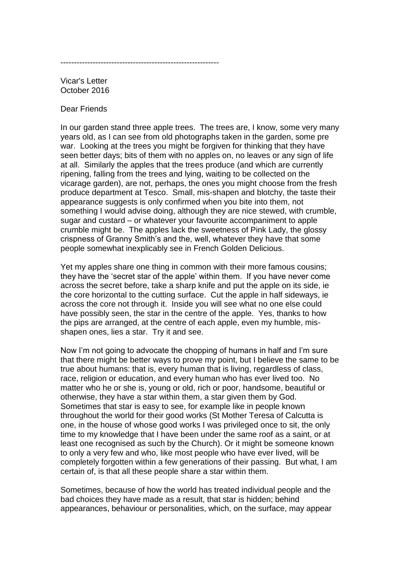# -----------------------------------------------------------

Vicar's Letter October 2016

Dear Friends

In our garden stand three apple trees. The trees are, I know, some very many years old, as I can see from old photographs taken in the garden, some pre war. Looking at the trees you might be forgiven for thinking that they have seen better days; bits of them with no apples on, no leaves or any sign of life at all. Similarly the apples that the trees produce (and which are currently ripening, falling from the trees and lying, waiting to be collected on the vicarage garden), are not, perhaps, the ones you might choose from the fresh produce department at Tesco. Small, mis-shapen and blotchy, the taste their appearance suggests is only confirmed when you bite into them, not something I would advise doing, although they are nice stewed, with crumble, sugar and custard – or whatever your favourite accompaniment to apple crumble might be. The apples lack the sweetness of Pink Lady, the glossy crispness of Granny Smith's and the, well, whatever they have that some people somewhat inexplicably see in French Golden Delicious.

Yet my apples share one thing in common with their more famous cousins; they have the 'secret star of the apple' within them. If you have never come across the secret before, take a sharp knife and put the apple on its side, ie the core horizontal to the cutting surface. Cut the apple in half sideways, ie across the core not through it. Inside you will see what no one else could have possibly seen, the star in the centre of the apple. Yes, thanks to how the pips are arranged, at the centre of each apple, even my humble, misshapen ones, lies a star. Try it and see.

Now I'm not going to advocate the chopping of humans in half and I'm sure that there might be better ways to prove my point, but I believe the same to be true about humans: that is, every human that is living, regardless of class, race, religion or education, and every human who has ever lived too. No matter who he or she is, young or old, rich or poor, handsome, beautiful or otherwise, they have a star within them, a star given them by God. Sometimes that star is easy to see, for example like in people known throughout the world for their good works (St Mother Teresa of Calcutta is one, in the house of whose good works I was privileged once to sit, the only time to my knowledge that I have been under the same roof as a saint, or at least one recognised as such by the Church). Or it might be someone known to only a very few and who, like most people who have ever lived, will be completely forgotten within a few generations of their passing. But what, I am certain of, is that all these people share a star within them.

Sometimes, because of how the world has treated individual people and the bad choices they have made as a result, that star is hidden; behind appearances, behaviour or personalities, which, on the surface, may appear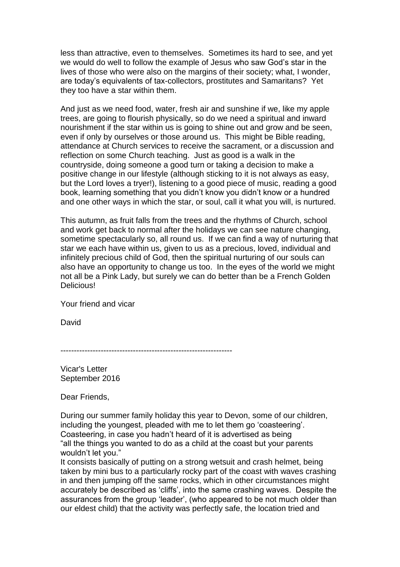less than attractive, even to themselves. Sometimes its hard to see, and yet we would do well to follow the example of Jesus who saw God's star in the lives of those who were also on the margins of their society; what, I wonder, are today's equivalents of tax-collectors, prostitutes and Samaritans? Yet they too have a star within them.

And just as we need food, water, fresh air and sunshine if we, like my apple trees, are going to flourish physically, so do we need a spiritual and inward nourishment if the star within us is going to shine out and grow and be seen, even if only by ourselves or those around us. This might be Bible reading, attendance at Church services to receive the sacrament, or a discussion and reflection on some Church teaching. Just as good is a walk in the countryside, doing someone a good turn or taking a decision to make a positive change in our lifestyle (although sticking to it is not always as easy, but the Lord loves a tryer!), listening to a good piece of music, reading a good book, learning something that you didn't know you didn't know or a hundred and one other ways in which the star, or soul, call it what you will, is nurtured.

This autumn, as fruit falls from the trees and the rhythms of Church, school and work get back to normal after the holidays we can see nature changing, sometime spectacularly so, all round us. If we can find a way of nurturing that star we each have within us, given to us as a precious, loved, individual and infinitely precious child of God, then the spiritual nurturing of our souls can also have an opportunity to change us too. In the eyes of the world we might not all be a Pink Lady, but surely we can do better than be a French Golden Delicious!

Your friend and vicar

David

----------------------------------------------------------------

Vicar's Letter September 2016

Dear Friends,

During our summer family holiday this year to Devon, some of our children, including the youngest, pleaded with me to let them go 'coasteering'. Coasteering, in case you hadn't heard of it is advertised as being "all the things you wanted to do as a child at the coast but your parents wouldn't let you."

It consists basically of putting on a strong wetsuit and crash helmet, being taken by mini bus to a particularly rocky part of the coast with waves crashing in and then jumping off the same rocks, which in other circumstances might accurately be described as 'cliffs', into the same crashing waves. Despite the assurances from the group 'leader', (who appeared to be not much older than our eldest child) that the activity was perfectly safe, the location tried and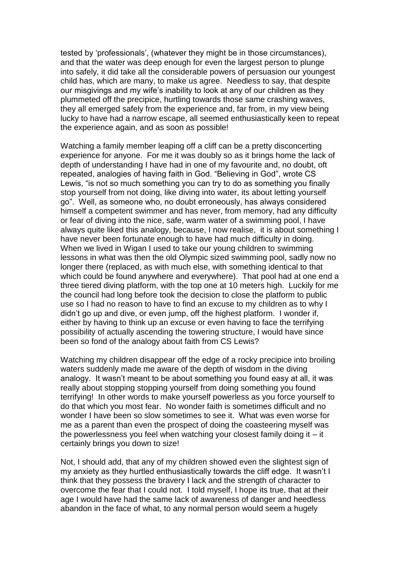tested by 'professionals', (whatever they might be in those circumstances), and that the water was deep enough for even the largest person to plunge into safely, it did take all the considerable powers of persuasion our youngest child has, which are many, to make us agree. Needless to say, that despite our misgivings and my wife's inability to look at any of our children as they plummeted off the precipice, hurtling towards those same crashing waves, they all emerged safely from the experience and, far from, in my view being lucky to have had a narrow escape, all seemed enthusiastically keen to repeat the experience again, and as soon as possible!

Watching a family member leaping off a cliff can be a pretty disconcerting experience for anyone. For me it was doubly so as it brings home the lack of depth of understanding I have had in one of my favourite and, no doubt, oft repeated, analogies of having faith in God. "Believing in God", wrote CS Lewis, "is not so much something you can try to do as something you finally stop yourself from not doing, like diving into water, its about letting yourself go". Well, as someone who, no doubt erroneously, has always considered himself a competent swimmer and has never, from memory, had any difficulty or fear of diving into the nice, safe, warm water of a swimming pool, I have always quite liked this analogy, because, I now realise, it is about something I have never been fortunate enough to have had much difficulty in doing. When we lived in Wigan I used to take our young children to swimming lessons in what was then the old Olympic sized swimming pool, sadly now no longer there (replaced, as with much else, with something identical to that which could be found anywhere and everywhere). That pool had at one end a three tiered diving platform, with the top one at 10 meters high. Luckily for me the council had long before took the decision to close the platform to public use so I had no reason to have to find an excuse to my children as to why I didn't go up and dive, or even jump, off the highest platform. I wonder if, either by having to think up an excuse or even having to face the terrifying possibility of actually ascending the towering structure, I would have since been so fond of the analogy about faith from CS Lewis?

Watching my children disappear off the edge of a rocky precipice into broiling waters suddenly made me aware of the depth of wisdom in the diving analogy. It wasn't meant to be about something you found easy at all, it was really about stopping stopping yourself from doing something you found terrifying! In other words to make yourself powerless as you force yourself to do that which you most fear. No wonder faith is sometimes difficult and no wonder I have been so slow sometimes to see it. What was even worse for me as a parent than even the prospect of doing the coasteering myself was the powerlessness you feel when watching your closest family doing it – it certainly brings you down to size!

Not, I should add, that any of my children showed even the slightest sign of my anxiety as they hurtled enthusiastically towards the cliff edge. It wasn't I think that they possess the bravery I lack and the strength of character to overcome the fear that I could not. I told myself, I hope its true, that at their age I would have had the same lack of awareness of danger and heedless abandon in the face of what, to any normal person would seem a hugely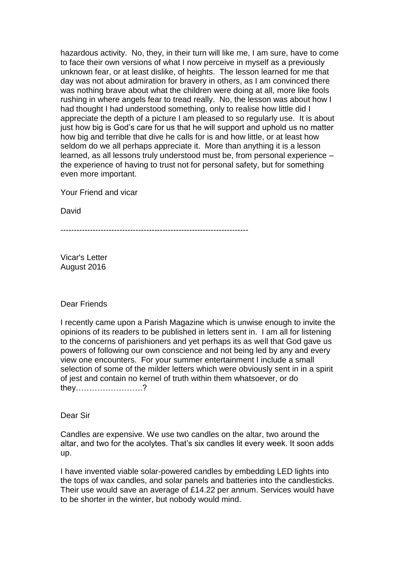hazardous activity. No, they, in their turn will like me, I am sure, have to come to face their own versions of what I now perceive in myself as a previously unknown fear, or at least dislike, of heights. The lesson learned for me that day was not about admiration for bravery in others, as I am convinced there was nothing brave about what the children were doing at all, more like fools rushing in where angels fear to tread really. No, the lesson was about how I had thought I had understood something, only to realise how little did I appreciate the depth of a picture I am pleased to so regularly use. It is about just how big is God's care for us that he will support and uphold us no matter how big and terrible that dive he calls for is and how little, or at least how seldom do we all perhaps appreciate it. More than anything it is a lesson learned, as all lessons truly understood must be, from personal experience – the experience of having to trust not for personal safety, but for something even more important.

Your Friend and vicar

David

----------------------------------------------------------------------

Vicar's Letter August 2016

# Dear Friends

I recently came upon a Parish Magazine which is unwise enough to invite the opinions of its readers to be published in letters sent in. I am all for listening to the concerns of parishioners and yet perhaps its as well that God gave us powers of following our own conscience and not being led by any and every view one encounters. For your summer entertainment I include a small selection of some of the milder letters which were obviously sent in in a spirit of jest and contain no kernel of truth within them whatsoever, or do they…………………….?

#### Dear Sir

Candles are expensive. We use two candles on the altar, two around the altar, and two for the acolytes. That's six candles lit every week. It soon adds up.

I have invented viable solar-powered candles by embedding LED lights into the tops of wax candles, and solar panels and batteries into the candlesticks. Their use would save an average of £14.22 per annum. Services would have to be shorter in the winter, but nobody would mind.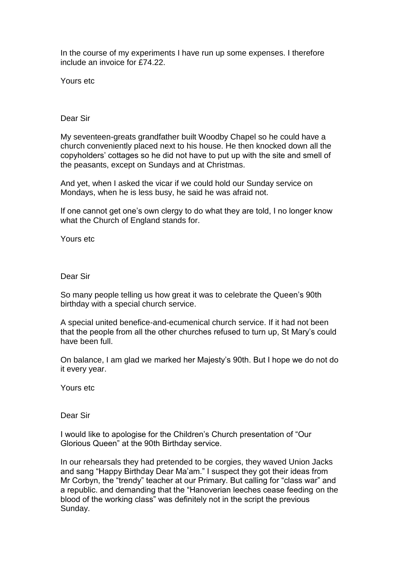In the course of my experiments I have run up some expenses. I therefore include an invoice for £74.22.

Yours etc

Dear Sir

My seventeen-greats grandfather built Woodby Chapel so he could have a church conveniently placed next to his house. He then knocked down all the copyholders' cottages so he did not have to put up with the site and smell of the peasants, except on Sundays and at Christmas.

And yet, when I asked the vicar if we could hold our Sunday service on Mondays, when he is less busy, he said he was afraid not.

If one cannot get one's own clergy to do what they are told, I no longer know what the Church of England stands for.

Yours etc

Dear Sir

So many people telling us how great it was to celebrate the Queen's 90th birthday with a special church service.

A special united benefice-and-ecumenical church service. If it had not been that the people from all the other churches refused to turn up, St Mary's could have been full.

On balance, I am glad we marked her Majesty's 90th. But I hope we do not do it every year.

Yours etc

Dear Sir

I would like to apologise for the Children's Church presentation of "Our Glorious Queen" at the 90th Birthday service.

In our rehearsals they had pretended to be corgies, they waved Union Jacks and sang "Happy Birthday Dear Ma'am." I suspect they got their ideas from Mr Corbyn, the "trendy" teacher at our Primary. But calling for "class war" and a republic. and demanding that the "Hanoverian leeches cease feeding on the blood of the working class" was definitely not in the script the previous Sunday.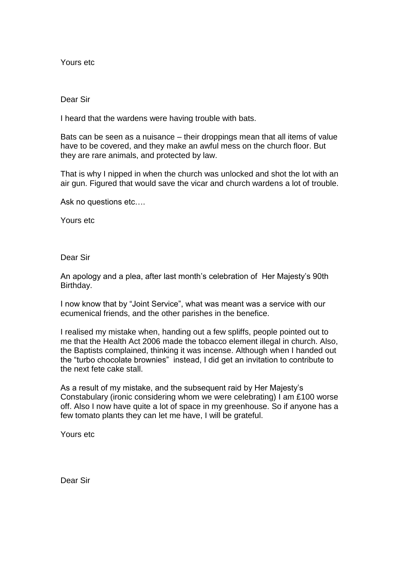Yours etc

# Dear Sir

I heard that the wardens were having trouble with bats.

Bats can be seen as a nuisance – their droppings mean that all items of value have to be covered, and they make an awful mess on the church floor. But they are rare animals, and protected by law.

That is why I nipped in when the church was unlocked and shot the lot with an air gun. Figured that would save the vicar and church wardens a lot of trouble.

Ask no questions etc….

Yours etc

Dear Sir

An apology and a plea, after last month's celebration of Her Majesty's 90th Birthday.

I now know that by "Joint Service", what was meant was a service with our ecumenical friends, and the other parishes in the benefice.

I realised my mistake when, handing out a few spliffs, people pointed out to me that the Health Act 2006 made the tobacco element illegal in church. Also, the Baptists complained, thinking it was incense. Although when I handed out the "turbo chocolate brownies" instead, I did get an invitation to contribute to the next fete cake stall.

As a result of my mistake, and the subsequent raid by Her Majesty's Constabulary (ironic considering whom we were celebrating) I am £100 worse off. Also I now have quite a lot of space in my greenhouse. So if anyone has a few tomato plants they can let me have, I will be grateful.

Yours etc

Dear Sir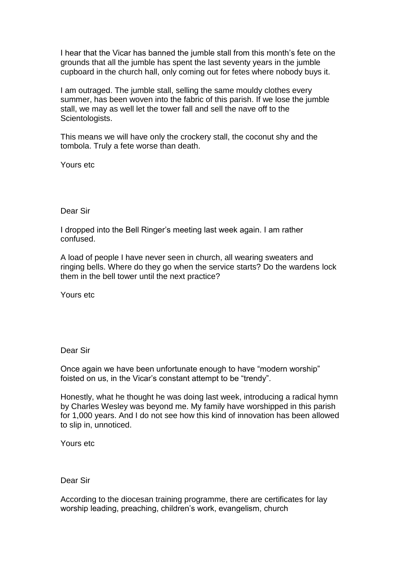I hear that the Vicar has banned the jumble stall from this month's fete on the grounds that all the jumble has spent the last seventy years in the jumble cupboard in the church hall, only coming out for fetes where nobody buys it.

I am outraged. The jumble stall, selling the same mouldy clothes every summer, has been woven into the fabric of this parish. If we lose the jumble stall, we may as well let the tower fall and sell the nave off to the Scientologists.

This means we will have only the crockery stall, the coconut shy and the tombola. Truly a fete worse than death.

Yours etc

# Dear Sir

I dropped into the Bell Ringer's meeting last week again. I am rather confused.

A load of people I have never seen in church, all wearing sweaters and ringing bells. Where do they go when the service starts? Do the wardens lock them in the bell tower until the next practice?

Yours etc

# Dear Sir

Once again we have been unfortunate enough to have "modern worship" foisted on us, in the Vicar's constant attempt to be "trendy".

Honestly, what he thought he was doing last week, introducing a radical hymn by Charles Wesley was beyond me. My family have worshipped in this parish for 1,000 years. And I do not see how this kind of innovation has been allowed to slip in, unnoticed.

Yours etc

Dear Sir

According to the diocesan training programme, there are certificates for lay worship leading, preaching, children's work, evangelism, church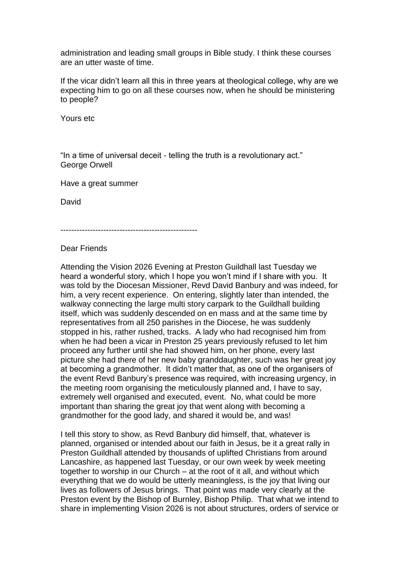administration and leading small groups in Bible study. I think these courses are an utter waste of time.

If the vicar didn't learn all this in three years at theological college, why are we expecting him to go on all these courses now, when he should be ministering to people?

Yours etc

"In a time of universal deceit - telling the truth is a revolutionary act." George Orwell

Have a great summer

David

---------------------------------------------------

Dear Friends

Attending the Vision 2026 Evening at Preston Guildhall last Tuesday we heard a wonderful story, which I hope you won't mind if I share with you. It was told by the Diocesan Missioner, Revd David Banbury and was indeed, for him, a very recent experience. On entering, slightly later than intended, the walkway connecting the large multi story carpark to the Guildhall building itself, which was suddenly descended on en mass and at the same time by representatives from all 250 parishes in the Diocese, he was suddenly stopped in his, rather rushed, tracks. A lady who had recognised him from when he had been a vicar in Preston 25 years previously refused to let him proceed any further until she had showed him, on her phone, every last picture she had there of her new baby granddaughter, such was her great joy at becoming a grandmother. It didn't matter that, as one of the organisers of the event Revd Banbury's presence was required, with increasing urgency, in the meeting room organising the meticulously planned and, I have to say, extremely well organised and executed, event. No, what could be more important than sharing the great joy that went along with becoming a grandmother for the good lady, and shared it would be, and was!

I tell this story to show, as Revd Banbury did himself, that, whatever is planned, organised or intended about our faith in Jesus, be it a great rally in Preston Guildhall attended by thousands of uplifted Christians from around Lancashire, as happened last Tuesday, or our own week by week meeting together to worship in our Church – at the root of it all, and without which everything that we do would be utterly meaningless, is the joy that living our lives as followers of Jesus brings. That point was made very clearly at the Preston event by the Bishop of Burnley, Bishop Philip. That what we intend to share in implementing Vision 2026 is not about structures, orders of service or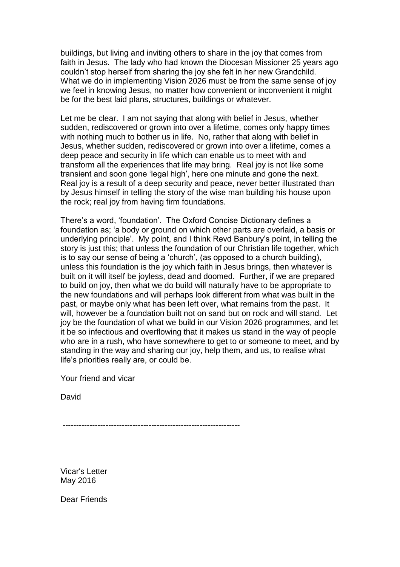buildings, but living and inviting others to share in the joy that comes from faith in Jesus. The lady who had known the Diocesan Missioner 25 years ago couldn't stop herself from sharing the joy she felt in her new Grandchild. What we do in implementing Vision 2026 must be from the same sense of joy we feel in knowing Jesus, no matter how convenient or inconvenient it might be for the best laid plans, structures, buildings or whatever.

Let me be clear. I am not saying that along with belief in Jesus, whether sudden, rediscovered or grown into over a lifetime, comes only happy times with nothing much to bother us in life. No, rather that along with belief in Jesus, whether sudden, rediscovered or grown into over a lifetime, comes a deep peace and security in life which can enable us to meet with and transform all the experiences that life may bring. Real joy is not like some transient and soon gone 'legal high', here one minute and gone the next. Real joy is a result of a deep security and peace, never better illustrated than by Jesus himself in telling the story of the wise man building his house upon the rock; real joy from having firm foundations.

There's a word, 'foundation'. The Oxford Concise Dictionary defines a foundation as; 'a body or ground on which other parts are overlaid, a basis or underlying principle'. My point, and I think Revd Banbury's point, in telling the story is just this; that unless the foundation of our Christian life together, which is to say our sense of being a 'church', (as opposed to a church building), unless this foundation is the joy which faith in Jesus brings, then whatever is built on it will itself be joyless, dead and doomed. Further, if we are prepared to build on joy, then what we do build will naturally have to be appropriate to the new foundations and will perhaps look different from what was built in the past, or maybe only what has been left over, what remains from the past. It will, however be a foundation built not on sand but on rock and will stand. Let joy be the foundation of what we build in our Vision 2026 programmes, and let it be so infectious and overflowing that it makes us stand in the way of people who are in a rush, who have somewhere to get to or someone to meet, and by standing in the way and sharing our joy, help them, and us, to realise what life's priorities really are, or could be.

Your friend and vicar

**David** 

------------------------------------------------------------------

Vicar's Letter May 2016

Dear Friends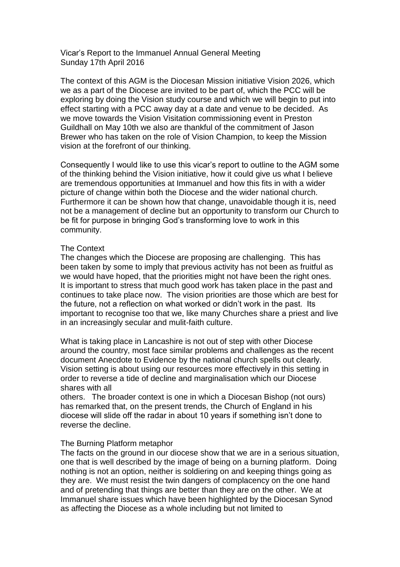Vicar's Report to the Immanuel Annual General Meeting Sunday 17th April 2016

The context of this AGM is the Diocesan Mission initiative Vision 2026, which we as a part of the Diocese are invited to be part of, which the PCC will be exploring by doing the Vision study course and which we will begin to put into effect starting with a PCC away day at a date and venue to be decided. As we move towards the Vision Visitation commissioning event in Preston Guildhall on May 10th we also are thankful of the commitment of Jason Brewer who has taken on the role of Vision Champion, to keep the Mission vision at the forefront of our thinking.

Consequently I would like to use this vicar's report to outline to the AGM some of the thinking behind the Vision initiative, how it could give us what I believe are tremendous opportunities at Immanuel and how this fits in with a wider picture of change within both the Diocese and the wider national church. Furthermore it can be shown how that change, unavoidable though it is, need not be a management of decline but an opportunity to transform our Church to be fit for purpose in bringing God's transforming love to work in this community.

# The Context

The changes which the Diocese are proposing are challenging. This has been taken by some to imply that previous activity has not been as fruitful as we would have hoped, that the priorities might not have been the right ones. It is important to stress that much good work has taken place in the past and continues to take place now. The vision priorities are those which are best for the future, not a reflection on what worked or didn't work in the past. Its important to recognise too that we, like many Churches share a priest and live in an increasingly secular and mulit-faith culture.

What is taking place in Lancashire is not out of step with other Diocese around the country, most face similar problems and challenges as the recent document Anecdote to Evidence by the national church spells out clearly. Vision setting is about using our resources more effectively in this setting in order to reverse a tide of decline and marginalisation which our Diocese shares with all

others. The broader context is one in which a Diocesan Bishop (not ours) has remarked that, on the present trends, the Church of England in his diocese will slide off the radar in about 10 years if something isn't done to reverse the decline.

# The Burning Platform metaphor

The facts on the ground in our diocese show that we are in a serious situation, one that is well described by the image of being on a burning platform. Doing nothing is not an option, neither is soldiering on and keeping things going as they are. We must resist the twin dangers of complacency on the one hand and of pretending that things are better than they are on the other. We at Immanuel share issues which have been highlighted by the Diocesan Synod as affecting the Diocese as a whole including but not limited to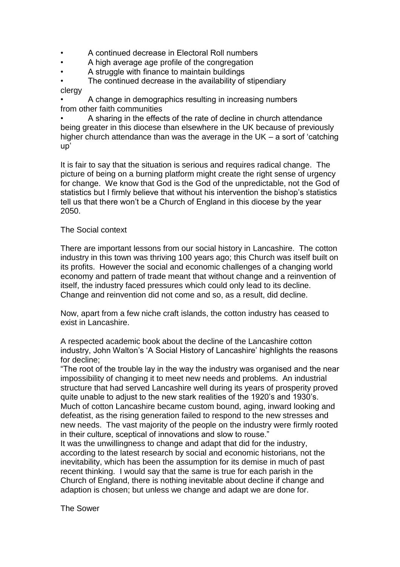- A continued decrease in Electoral Roll numbers
- A high average age profile of the congregation
- A struggle with finance to maintain buildings
- The continued decrease in the availability of stipendiary clergy

• A change in demographics resulting in increasing numbers from other faith communities

• A sharing in the effects of the rate of decline in church attendance being greater in this diocese than elsewhere in the UK because of previously higher church attendance than was the average in the UK – a sort of 'catching up'

It is fair to say that the situation is serious and requires radical change. The picture of being on a burning platform might create the right sense of urgency for change. We know that God is the God of the unpredictable, not the God of statistics but I firmly believe that without his intervention the bishop's statistics tell us that there won't be a Church of England in this diocese by the year 2050.

# The Social context

There are important lessons from our social history in Lancashire. The cotton industry in this town was thriving 100 years ago; this Church was itself built on its profits. However the social and economic challenges of a changing world economy and pattern of trade meant that without change and a reinvention of itself, the industry faced pressures which could only lead to its decline. Change and reinvention did not come and so, as a result, did decline.

Now, apart from a few niche craft islands, the cotton industry has ceased to exist in Lancashire.

A respected academic book about the decline of the Lancashire cotton industry, John Walton's 'A Social History of Lancashire' highlights the reasons for decline;

"The root of the trouble lay in the way the industry was organised and the near impossibility of changing it to meet new needs and problems. An industrial structure that had served Lancashire well during its years of prosperity proved quite unable to adjust to the new stark realities of the 1920's and 1930's. Much of cotton Lancashire became custom bound, aging, inward looking and defeatist, as the rising generation failed to respond to the new stresses and new needs. The vast majority of the people on the industry were firmly rooted in their culture, sceptical of innovations and slow to rouse."

It was the unwillingness to change and adapt that did for the industry, according to the latest research by social and economic historians, not the inevitability, which has been the assumption for its demise in much of past recent thinking. I would say that the same is true for each parish in the Church of England, there is nothing inevitable about decline if change and adaption is chosen; but unless we change and adapt we are done for.

The Sower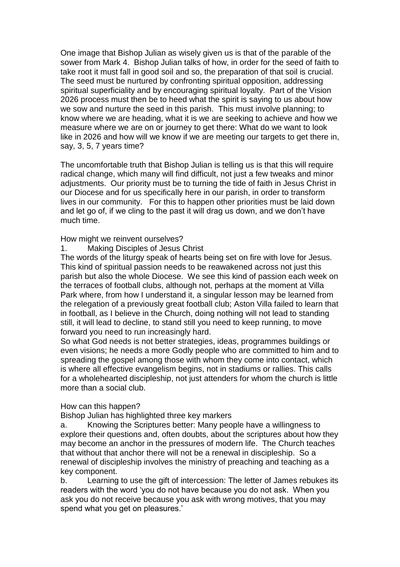One image that Bishop Julian as wisely given us is that of the parable of the sower from Mark 4. Bishop Julian talks of how, in order for the seed of faith to take root it must fall in good soil and so, the preparation of that soil is crucial. The seed must be nurtured by confronting spiritual opposition, addressing spiritual superficiality and by encouraging spiritual loyalty. Part of the Vision 2026 process must then be to heed what the spirit is saying to us about how we sow and nurture the seed in this parish. This must involve planning; to know where we are heading, what it is we are seeking to achieve and how we measure where we are on or journey to get there: What do we want to look like in 2026 and how will we know if we are meeting our targets to get there in, say, 3, 5, 7 years time?

The uncomfortable truth that Bishop Julian is telling us is that this will require radical change, which many will find difficult, not just a few tweaks and minor adjustments. Our priority must be to turning the tide of faith in Jesus Christ in our Diocese and for us specifically here in our parish, in order to transform lives in our community. For this to happen other priorities must be laid down and let go of, if we cling to the past it will drag us down, and we don't have much time.

## How might we reinvent ourselves?

1. Making Disciples of Jesus Christ

The words of the liturgy speak of hearts being set on fire with love for Jesus. This kind of spiritual passion needs to be reawakened across not just this parish but also the whole Diocese. We see this kind of passion each week on the terraces of football clubs, although not, perhaps at the moment at Villa Park where, from how I understand it, a singular lesson may be learned from the relegation of a previously great football club; Aston Villa failed to learn that in football, as I believe in the Church, doing nothing will not lead to standing still, it will lead to decline, to stand still you need to keep running, to move forward you need to run increasingly hard.

So what God needs is not better strategies, ideas, programmes buildings or even visions; he needs a more Godly people who are committed to him and to spreading the gospel among those with whom they come into contact, which is where all effective evangelism begins, not in stadiums or rallies. This calls for a wholehearted discipleship, not just attenders for whom the church is little more than a social club.

## How can this happen?

Bishop Julian has highlighted three key markers

a. Knowing the Scriptures better: Many people have a willingness to explore their questions and, often doubts, about the scriptures about how they may become an anchor in the pressures of modern life. The Church teaches that without that anchor there will not be a renewal in discipleship. So a renewal of discipleship involves the ministry of preaching and teaching as a key component.

b. Learning to use the gift of intercession: The letter of James rebukes its readers with the word 'you do not have because you do not ask. When you ask you do not receive because you ask with wrong motives, that you may spend what you get on pleasures.'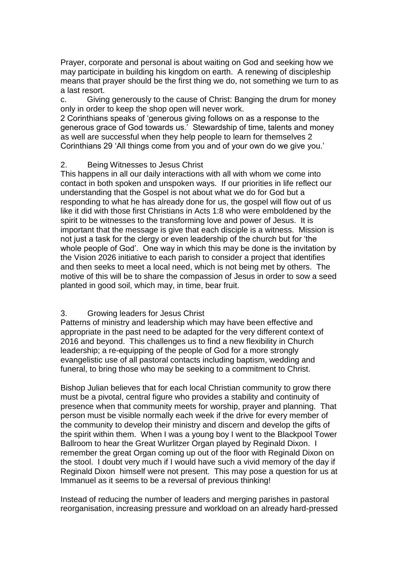Prayer, corporate and personal is about waiting on God and seeking how we may participate in building his kingdom on earth. A renewing of discipleship means that prayer should be the first thing we do, not something we turn to as a last resort.

c. Giving generously to the cause of Christ: Banging the drum for money only in order to keep the shop open will never work.

2 Corinthians speaks of 'generous giving follows on as a response to the generous grace of God towards us.' Stewardship of time, talents and money as well are successful when they help people to learn for themselves 2 Corinthians 29 'All things come from you and of your own do we give you.'

# 2. Being Witnesses to Jesus Christ

This happens in all our daily interactions with all with whom we come into contact in both spoken and unspoken ways. If our priorities in life reflect our understanding that the Gospel is not about what we do for God but a responding to what he has already done for us, the gospel will flow out of us like it did with those first Christians in Acts 1:8 who were emboldened by the spirit to be witnesses to the transforming love and power of Jesus. It is important that the message is give that each disciple is a witness. Mission is not just a task for the clergy or even leadership of the church but for 'the whole people of God'. One way in which this may be done is the invitation by the Vision 2026 initiative to each parish to consider a project that identifies and then seeks to meet a local need, which is not being met by others. The motive of this will be to share the compassion of Jesus in order to sow a seed planted in good soil, which may, in time, bear fruit.

# 3. Growing leaders for Jesus Christ

Patterns of ministry and leadership which may have been effective and appropriate in the past need to be adapted for the very different context of 2016 and beyond. This challenges us to find a new flexibility in Church leadership; a re-equipping of the people of God for a more strongly evangelistic use of all pastoral contacts including baptism, wedding and funeral, to bring those who may be seeking to a commitment to Christ.

Bishop Julian believes that for each local Christian community to grow there must be a pivotal, central figure who provides a stability and continuity of presence when that community meets for worship, prayer and planning. That person must be visible normally each week if the drive for every member of the community to develop their ministry and discern and develop the gifts of the spirit within them. When I was a young boy I went to the Blackpool Tower Ballroom to hear the Great Wurlitzer Organ played by Reginald Dixon. I remember the great Organ coming up out of the floor with Reginald Dixon on the stool. I doubt very much if I would have such a vivid memory of the day if Reginald Dixon himself were not present. This may pose a question for us at Immanuel as it seems to be a reversal of previous thinking!

Instead of reducing the number of leaders and merging parishes in pastoral reorganisation, increasing pressure and workload on an already hard-pressed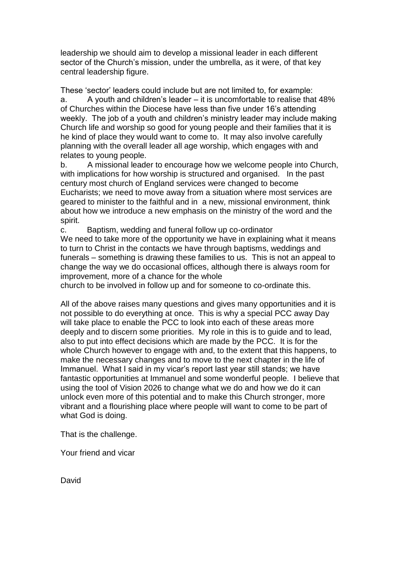leadership we should aim to develop a missional leader in each different sector of the Church's mission, under the umbrella, as it were, of that key central leadership figure.

These 'sector' leaders could include but are not limited to, for example: a. A youth and children's leader – it is uncomfortable to realise that 48% of Churches within the Diocese have less than five under 16's attending weekly. The job of a youth and children's ministry leader may include making Church life and worship so good for young people and their families that it is he kind of place they would want to come to. It may also involve carefully planning with the overall leader all age worship, which engages with and relates to young people.

b. A missional leader to encourage how we welcome people into Church, with implications for how worship is structured and organised. In the past century most church of England services were changed to become Eucharists; we need to move away from a situation where most services are geared to minister to the faithful and in a new, missional environment, think about how we introduce a new emphasis on the ministry of the word and the spirit.

c. Baptism, wedding and funeral follow up co-ordinator We need to take more of the opportunity we have in explaining what it means to turn to Christ in the contacts we have through baptisms, weddings and funerals – something is drawing these families to us. This is not an appeal to change the way we do occasional offices, although there is always room for improvement, more of a chance for the whole

church to be involved in follow up and for someone to co-ordinate this.

All of the above raises many questions and gives many opportunities and it is not possible to do everything at once. This is why a special PCC away Day will take place to enable the PCC to look into each of these areas more deeply and to discern some priorities. My role in this is to guide and to lead, also to put into effect decisions which are made by the PCC. It is for the whole Church however to engage with and, to the extent that this happens, to make the necessary changes and to move to the next chapter in the life of Immanuel. What I said in my vicar's report last year still stands; we have fantastic opportunities at Immanuel and some wonderful people. I believe that using the tool of Vision 2026 to change what we do and how we do it can unlock even more of this potential and to make this Church stronger, more vibrant and a flourishing place where people will want to come to be part of what God is doing.

That is the challenge.

Your friend and vicar

David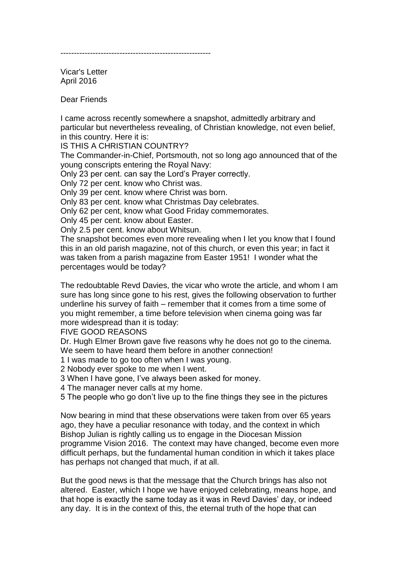#### --------------------------------------------------------

Vicar's Letter April 2016

Dear Friends

I came across recently somewhere a snapshot, admittedly arbitrary and particular but nevertheless revealing, of Christian knowledge, not even belief, in this country. Here it is:

IS THIS A CHRISTIAN COUNTRY?

The Commander-in-Chief, Portsmouth, not so long ago announced that of the young conscripts entering the Royal Navy:

Only 23 per cent. can say the Lord's Prayer correctly.

Only 72 per cent. know who Christ was.

Only 39 per cent. know where Christ was born.

Only 83 per cent. know what Christmas Day celebrates.

Only 62 per cent, know what Good Friday commemorates.

Only 45 per cent. know about Easter.

Only 2.5 per cent. know about Whitsun.

The snapshot becomes even more revealing when I let you know that I found this in an old parish magazine, not of this church, or even this year; in fact it was taken from a parish magazine from Easter 1951! I wonder what the percentages would be today?

The redoubtable Revd Davies, the vicar who wrote the article, and whom I am sure has long since gone to his rest, gives the following observation to further underline his survey of faith – remember that it comes from a time some of you might remember, a time before television when cinema going was far more widespread than it is today:

FIVE GOOD REASONS

Dr. Hugh Elmer Brown gave five reasons why he does not go to the cinema. We seem to have heard them before in another connection!

1 I was made to go too often when I was young.

2 Nobody ever spoke to me when I went.

3 When I have gone, I've always been asked for money.

4 The manager never calls at my home.

5 The people who go don't live up to the fine things they see in the pictures

Now bearing in mind that these observations were taken from over 65 years ago, they have a peculiar resonance with today, and the context in which Bishop Julian is rightly calling us to engage in the Diocesan Mission programme Vision 2016. The context may have changed, become even more difficult perhaps, but the fundamental human condition in which it takes place has perhaps not changed that much, if at all.

But the good news is that the message that the Church brings has also not altered. Easter, which I hope we have enjoyed celebrating, means hope, and that hope is exactly the same today as it was in Revd Davies' day, or indeed any day. It is in the context of this, the eternal truth of the hope that can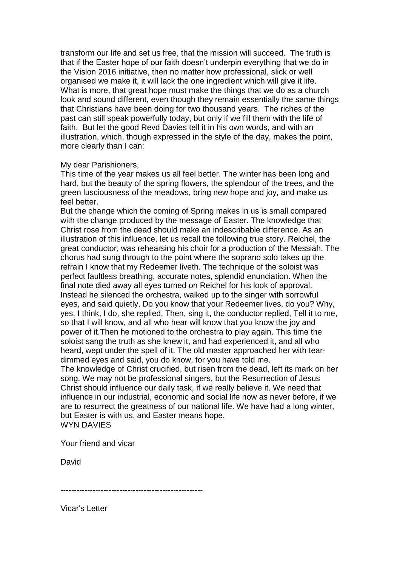transform our life and set us free, that the mission will succeed. The truth is that if the Easter hope of our faith doesn't underpin everything that we do in the Vision 2016 initiative, then no matter how professional, slick or well organised we make it, it will lack the one ingredient which will give it life. What is more, that great hope must make the things that we do as a church look and sound different, even though they remain essentially the same things that Christians have been doing for two thousand years. The riches of the past can still speak powerfully today, but only if we fill them with the life of faith. But let the good Revd Davies tell it in his own words, and with an illustration, which, though expressed in the style of the day, makes the point, more clearly than I can:

## My dear Parishioners,

This time of the year makes us all feel better. The winter has been long and hard, but the beauty of the spring flowers, the splendour of the trees, and the green lusciousness of the meadows, bring new hope and joy, and make us feel better.

But the change which the coming of Spring makes in us is small compared with the change produced by the message of Easter. The knowledge that Christ rose from the dead should make an indescribable difference. As an illustration of this influence, let us recall the following true story. Reichel, the great conductor, was rehearsing his choir for a production of the Messiah. The chorus had sung through to the point where the soprano solo takes up the refrain I know that my Redeemer liveth. The technique of the soloist was perfect faultless breathing, accurate notes, splendid enunciation. When the final note died away all eyes turned on Reichel for his look of approval. Instead he silenced the orchestra, walked up to the singer with sorrowful eyes, and said quietly, Do you know that your Redeemer lives, do you? Why, yes, I think, I do, she replied. Then, sing it, the conductor replied, Tell it to me, so that I will know, and all who hear will know that you know the joy and power of it.Then he motioned to the orchestra to play again. This time the soloist sang the truth as she knew it, and had experienced it, and all who heard, wept under the spell of it. The old master approached her with teardimmed eyes and said, you do know, for you have told me.

The knowledge of Christ crucified, but risen from the dead, left its mark on her song. We may not be professional singers, but the Resurrection of Jesus Christ should influence our daily task, if we really believe it. We need that influence in our industrial, economic and social life now as never before, if we are to resurrect the greatness of our national life. We have had a long winter, but Easter is with us, and Easter means hope. WYN DAVIES

Your friend and vicar

David

-----------------------------------------------------

Vicar's Letter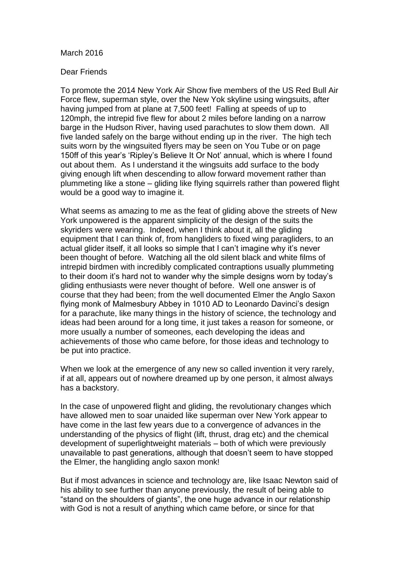## March 2016

#### Dear Friends

To promote the 2014 New York Air Show five members of the US Red Bull Air Force flew, superman style, over the New Yok skyline using wingsuits, after having jumped from at plane at 7,500 feet! Falling at speeds of up to 120mph, the intrepid five flew for about 2 miles before landing on a narrow barge in the Hudson River, having used parachutes to slow them down. All five landed safely on the barge without ending up in the river. The high tech suits worn by the wingsuited flyers may be seen on You Tube or on page 150ff of this year's 'Ripley's Believe It Or Not' annual, which is where I found out about them. As I understand it the wingsuits add surface to the body giving enough lift when descending to allow forward movement rather than plummeting like a stone – gliding like flying squirrels rather than powered flight would be a good way to imagine it.

What seems as amazing to me as the feat of gliding above the streets of New York unpowered is the apparent simplicity of the design of the suits the skyriders were wearing. Indeed, when I think about it, all the gliding equipment that I can think of, from hangliders to fixed wing paragliders, to an actual glider itself, it all looks so simple that I can't imagine why it's never been thought of before. Watching all the old silent black and white films of intrepid birdmen with incredibly complicated contraptions usually plummeting to their doom it's hard not to wander why the simple designs worn by today's gliding enthusiasts were never thought of before. Well one answer is of course that they had been; from the well documented Elmer the Anglo Saxon flying monk of Malmesbury Abbey in 1010 AD to Leonardo Davinci's design for a parachute, like many things in the history of science, the technology and ideas had been around for a long time, it just takes a reason for someone, or more usually a number of someones, each developing the ideas and achievements of those who came before, for those ideas and technology to be put into practice.

When we look at the emergence of any new so called invention it very rarely, if at all, appears out of nowhere dreamed up by one person, it almost always has a backstory.

In the case of unpowered flight and gliding, the revolutionary changes which have allowed men to soar unaided like superman over New York appear to have come in the last few years due to a convergence of advances in the understanding of the physics of flight (lift, thrust, drag etc) and the chemical development of superlightweight materials – both of which were previously unavailable to past generations, although that doesn't seem to have stopped the Elmer, the hangliding anglo saxon monk!

But if most advances in science and technology are, like Isaac Newton said of his ability to see further than anyone previously, the result of being able to "stand on the shoulders of giants", the one huge advance in our relationship with God is not a result of anything which came before, or since for that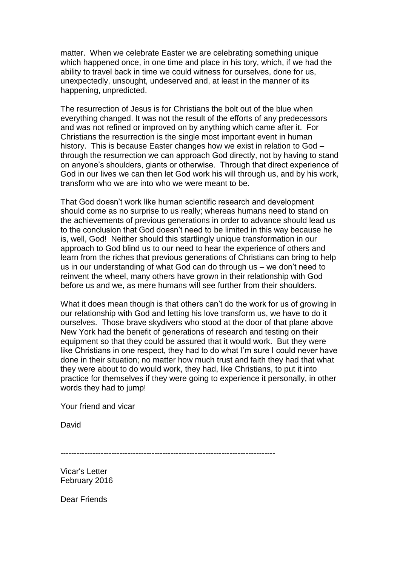matter. When we celebrate Easter we are celebrating something unique which happened once, in one time and place in his tory, which, if we had the ability to travel back in time we could witness for ourselves, done for us, unexpectedly, unsought, undeserved and, at least in the manner of its happening, unpredicted.

The resurrection of Jesus is for Christians the bolt out of the blue when everything changed. It was not the result of the efforts of any predecessors and was not refined or improved on by anything which came after it. For Christians the resurrection is the single most important event in human history. This is because Easter changes how we exist in relation to God – through the resurrection we can approach God directly, not by having to stand on anyone's shoulders, giants or otherwise. Through that direct experience of God in our lives we can then let God work his will through us, and by his work, transform who we are into who we were meant to be.

That God doesn't work like human scientific research and development should come as no surprise to us really; whereas humans need to stand on the achievements of previous generations in order to advance should lead us to the conclusion that God doesn't need to be limited in this way because he is, well, God! Neither should this startlingly unique transformation in our approach to God blind us to our need to hear the experience of others and learn from the riches that previous generations of Christians can bring to help us in our understanding of what God can do through us – we don't need to reinvent the wheel, many others have grown in their relationship with God before us and we, as mere humans will see further from their shoulders.

What it does mean though is that others can't do the work for us of growing in our relationship with God and letting his love transform us, we have to do it ourselves. Those brave skydivers who stood at the door of that plane above New York had the benefit of generations of research and testing on their equipment so that they could be assured that it would work. But they were like Christians in one respect, they had to do what I'm sure I could never have done in their situation; no matter how much trust and faith they had that what they were about to do would work, they had, like Christians, to put it into practice for themselves if they were going to experience it personally, in other words they had to jump!

Your friend and vicar

David

--------------------------------------------------------------------------------

Vicar's Letter February 2016

Dear Friends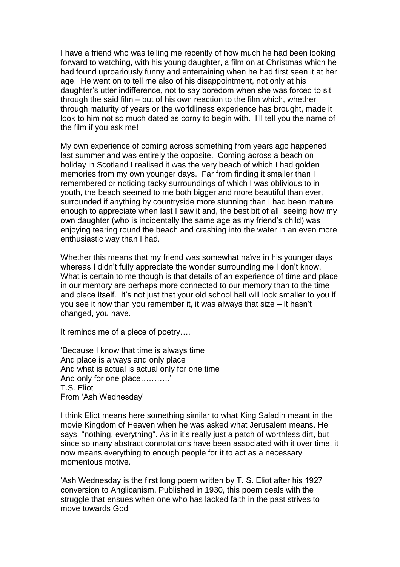I have a friend who was telling me recently of how much he had been looking forward to watching, with his young daughter, a film on at Christmas which he had found uproariously funny and entertaining when he had first seen it at her age. He went on to tell me also of his disappointment, not only at his daughter's utter indifference, not to say boredom when she was forced to sit through the said film – but of his own reaction to the film which, whether through maturity of years or the worldliness experience has brought, made it look to him not so much dated as corny to begin with. I'll tell you the name of the film if you ask me!

My own experience of coming across something from years ago happened last summer and was entirely the opposite. Coming across a beach on holiday in Scotland I realised it was the very beach of which I had golden memories from my own younger days. Far from finding it smaller than I remembered or noticing tacky surroundings of which I was oblivious to in youth, the beach seemed to me both bigger and more beautiful than ever, surrounded if anything by countryside more stunning than I had been mature enough to appreciate when last I saw it and, the best bit of all, seeing how my own daughter (who is incidentally the same age as my friend's child) was enjoying tearing round the beach and crashing into the water in an even more enthusiastic way than I had.

Whether this means that my friend was somewhat naïve in his younger days whereas I didn't fully appreciate the wonder surrounding me I don't know. What is certain to me though is that details of an experience of time and place in our memory are perhaps more connected to our memory than to the time and place itself. It's not just that your old school hall will look smaller to you if you see it now than you remember it, it was always that size – it hasn't changed, you have.

It reminds me of a piece of poetry....

'Because I know that time is always time And place is always and only place And what is actual is actual only for one time And only for one place………..' T.S. Eliot From 'Ash Wednesday'

I think Eliot means here something similar to what King Saladin meant in the movie Kingdom of Heaven when he was asked what Jerusalem means. He says, "nothing, everything". As in it's really just a patch of worthless dirt, but since so many abstract connotations have been associated with it over time, it now means everything to enough people for it to act as a necessary momentous motive.

'Ash Wednesday is the first long poem written by T. S. Eliot after his 1927 conversion to Anglicanism. Published in 1930, this poem deals with the struggle that ensues when one who has lacked faith in the past strives to move towards God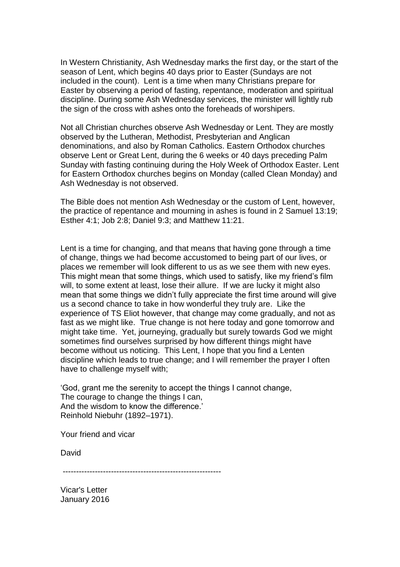In Western Christianity, Ash Wednesday marks the first day, or the start of the season of Lent, which begins 40 days prior to Easter (Sundays are not included in the count). Lent is a time when many Christians prepare for Easter by observing a period of fasting, repentance, moderation and spiritual discipline. During some Ash Wednesday services, the minister will lightly rub the sign of the cross with ashes onto the foreheads of worshipers.

Not all Christian churches observe Ash Wednesday or Lent. They are mostly observed by the Lutheran, Methodist, Presbyterian and Anglican denominations, and also by Roman Catholics. Eastern Orthodox churches observe Lent or Great Lent, during the 6 weeks or 40 days preceding Palm Sunday with fasting continuing during the Holy Week of Orthodox Easter. Lent for Eastern Orthodox churches begins on Monday (called Clean Monday) and Ash Wednesday is not observed.

The Bible does not mention Ash Wednesday or the custom of Lent, however, the practice of repentance and mourning in ashes is found in 2 Samuel 13:19; Esther 4:1; Job 2:8; Daniel 9:3; and Matthew 11:21.

Lent is a time for changing, and that means that having gone through a time of change, things we had become accustomed to being part of our lives, or places we remember will look different to us as we see them with new eyes. This might mean that some things, which used to satisfy, like my friend's film will, to some extent at least, lose their allure. If we are lucky it might also mean that some things we didn't fully appreciate the first time around will give us a second chance to take in how wonderful they truly are. Like the experience of TS Eliot however, that change may come gradually, and not as fast as we might like. True change is not here today and gone tomorrow and might take time. Yet, journeying, gradually but surely towards God we might sometimes find ourselves surprised by how different things might have become without us noticing. This Lent, I hope that you find a Lenten discipline which leads to true change; and I will remember the prayer I often have to challenge myself with;

'God, grant me the serenity to accept the things I cannot change, The courage to change the things I can. And the wisdom to know the difference.' Reinhold Niebuhr (1892–1971).

Your friend and vicar

David

-----------------------------------------------------------

Vicar's Letter January 2016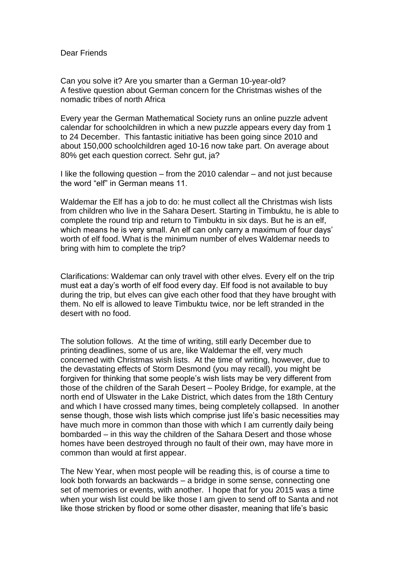Dear Friends

Can you solve it? Are you smarter than a German 10-year-old? A festive question about German concern for the Christmas wishes of the nomadic tribes of north Africa

Every year the German Mathematical Society runs an online puzzle advent calendar for schoolchildren in which a new puzzle appears every day from 1 to 24 December. This fantastic initiative has been going since 2010 and about 150,000 schoolchildren aged 10-16 now take part. On average about 80% get each question correct. Sehr gut, ja?

I like the following question – from the 2010 calendar – and not just because the word "elf" in German means 11.

Waldemar the Elf has a job to do: he must collect all the Christmas wish lists from children who live in the Sahara Desert. Starting in Timbuktu, he is able to complete the round trip and return to Timbuktu in six days. But he is an elf, which means he is very small. An elf can only carry a maximum of four days' worth of elf food. What is the minimum number of elves Waldemar needs to bring with him to complete the trip?

Clarifications: Waldemar can only travel with other elves. Every elf on the trip must eat a day's worth of elf food every day. Elf food is not available to buy during the trip, but elves can give each other food that they have brought with them. No elf is allowed to leave Timbuktu twice, nor be left stranded in the desert with no food.

The solution follows. At the time of writing, still early December due to printing deadlines, some of us are, like Waldemar the elf, very much concerned with Christmas wish lists. At the time of writing, however, due to the devastating effects of Storm Desmond (you may recall), you might be forgiven for thinking that some people's wish lists may be very different from those of the children of the Sarah Desert – Pooley Bridge, for example, at the north end of Ulswater in the Lake District, which dates from the 18th Century and which I have crossed many times, being completely collapsed. In another sense though, those wish lists which comprise just life's basic necessities may have much more in common than those with which I am currently daily being bombarded – in this way the children of the Sahara Desert and those whose homes have been destroyed through no fault of their own, may have more in common than would at first appear.

The New Year, when most people will be reading this, is of course a time to look both forwards an backwards – a bridge in some sense, connecting one set of memories or events, with another. I hope that for you 2015 was a time when your wish list could be like those I am given to send off to Santa and not like those stricken by flood or some other disaster, meaning that life's basic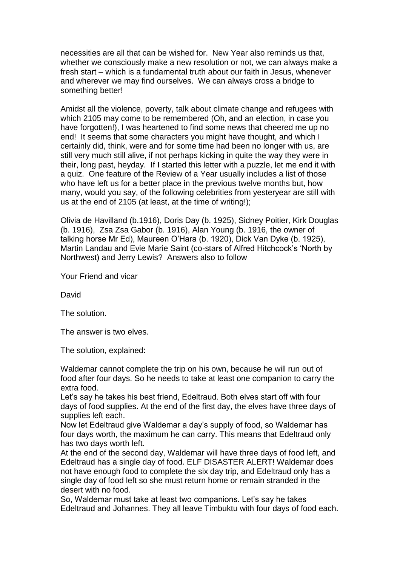necessities are all that can be wished for. New Year also reminds us that, whether we consciously make a new resolution or not, we can always make a fresh start – which is a fundamental truth about our faith in Jesus, whenever and wherever we may find ourselves. We can always cross a bridge to something better!

Amidst all the violence, poverty, talk about climate change and refugees with which 2105 may come to be remembered (Oh, and an election, in case you have forgotten!), I was heartened to find some news that cheered me up no end! It seems that some characters you might have thought, and which I certainly did, think, were and for some time had been no longer with us, are still very much still alive, if not perhaps kicking in quite the way they were in their, long past, heyday. If I started this letter with a puzzle, let me end it with a quiz. One feature of the Review of a Year usually includes a list of those who have left us for a better place in the previous twelve months but, how many, would you say, of the following celebrities from yesteryear are still with us at the end of 2105 (at least, at the time of writing!);

Olivia de Havilland (b.1916), Doris Day (b. 1925), Sidney Poitier, Kirk Douglas (b. 1916), Zsa Zsa Gabor (b. 1916), Alan Young (b. 1916, the owner of talking horse Mr Ed), Maureen O'Hara (b. 1920), Dick Van Dyke (b. 1925), Martin Landau and Evie Marie Saint (co-stars of Alfred Hitchcock's 'North by Northwest) and Jerry Lewis? Answers also to follow

Your Friend and vicar

David

The solution.

The answer is two elves.

The solution, explained:

Waldemar cannot complete the trip on his own, because he will run out of food after four days. So he needs to take at least one companion to carry the extra food.

Let's say he takes his best friend, Edeltraud. Both elves start off with four days of food supplies. At the end of the first day, the elves have three days of supplies left each.

Now let Edeltraud give Waldemar a day's supply of food, so Waldemar has four days worth, the maximum he can carry. This means that Edeltraud only has two days worth left.

At the end of the second day, Waldemar will have three days of food left, and Edeltraud has a single day of food. ELF DISASTER ALERT! Waldemar does not have enough food to complete the six day trip, and Edeltraud only has a single day of food left so she must return home or remain stranded in the desert with no food.

So, Waldemar must take at least two companions. Let's say he takes Edeltraud and Johannes. They all leave Timbuktu with four days of food each.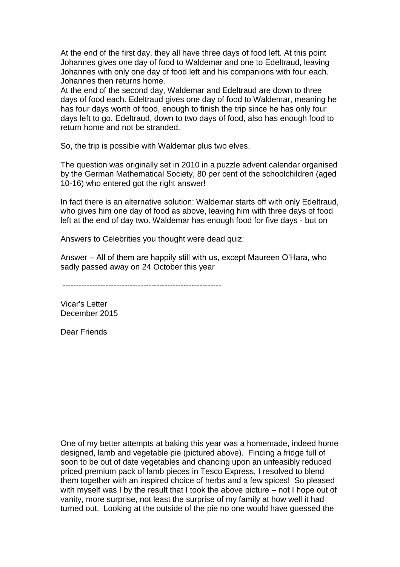At the end of the first day, they all have three days of food left. At this point Johannes gives one day of food to Waldemar and one to Edeltraud, leaving Johannes with only one day of food left and his companions with four each. Johannes then returns home.

At the end of the second day, Waldemar and Edeltraud are down to three days of food each. Edeltraud gives one day of food to Waldemar, meaning he has four days worth of food, enough to finish the trip since he has only four days left to go. Edeltraud, down to two days of food, also has enough food to return home and not be stranded.

So, the trip is possible with Waldemar plus two elves.

The question was originally set in 2010 in a puzzle advent calendar organised by the German Mathematical Society, 80 per cent of the schoolchildren (aged 10-16) who entered got the right answer!

In fact there is an alternative solution: Waldemar starts off with only Edeltraud, who gives him one day of food as above, leaving him with three days of food left at the end of day two. Waldemar has enough food for five days - but on

Answers to Celebrities you thought were dead quiz;

Answer – All of them are happily still with us, except Maureen O'Hara, who sadly passed away on 24 October this year

-----------------------------------------------------------

Vicar's Letter December 2015

Dear Friends

One of my better attempts at baking this year was a homemade, indeed home designed, lamb and vegetable pie (pictured above). Finding a fridge full of soon to be out of date vegetables and chancing upon an unfeasibly reduced priced premium pack of lamb pieces in Tesco Express, I resolved to blend them together with an inspired choice of herbs and a few spices! So pleased with myself was I by the result that I took the above picture – not I hope out of vanity, more surprise, not least the surprise of my family at how well it had turned out. Looking at the outside of the pie no one would have guessed the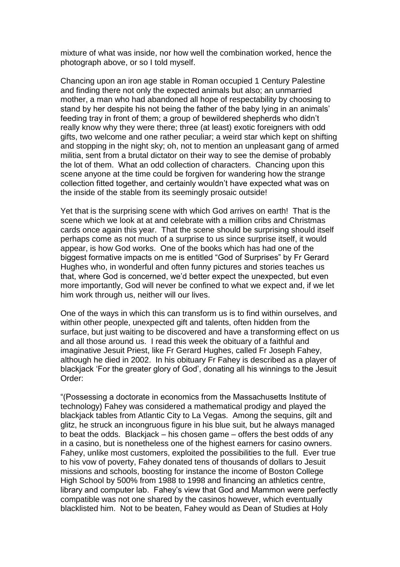mixture of what was inside, nor how well the combination worked, hence the photograph above, or so I told myself.

Chancing upon an iron age stable in Roman occupied 1 Century Palestine and finding there not only the expected animals but also; an unmarried mother, a man who had abandoned all hope of respectability by choosing to stand by her despite his not being the father of the baby lying in an animals' feeding tray in front of them; a group of bewildered shepherds who didn't really know why they were there; three (at least) exotic foreigners with odd gifts, two welcome and one rather peculiar; a weird star which kept on shifting and stopping in the night sky; oh, not to mention an unpleasant gang of armed militia, sent from a brutal dictator on their way to see the demise of probably the lot of them. What an odd collection of characters. Chancing upon this scene anyone at the time could be forgiven for wandering how the strange collection fitted together, and certainly wouldn't have expected what was on the inside of the stable from its seemingly prosaic outside!

Yet that is the surprising scene with which God arrives on earth! That is the scene which we look at at and celebrate with a million cribs and Christmas cards once again this year. That the scene should be surprising should itself perhaps come as not much of a surprise to us since surprise itself, it would appear, is how God works. One of the books which has had one of the biggest formative impacts on me is entitled "God of Surprises" by Fr Gerard Hughes who, in wonderful and often funny pictures and stories teaches us that, where God is concerned, we'd better expect the unexpected, but even more importantly, God will never be confined to what we expect and, if we let him work through us, neither will our lives.

One of the ways in which this can transform us is to find within ourselves, and within other people, unexpected gift and talents, often hidden from the surface, but just waiting to be discovered and have a transforming effect on us and all those around us. I read this week the obituary of a faithful and imaginative Jesuit Priest, like Fr Gerard Hughes, called Fr Joseph Fahey, although he died in 2002. In his obituary Fr Fahey is described as a player of blackjack 'For the greater glory of God', donating all his winnings to the Jesuit Order:

"(Possessing a doctorate in economics from the Massachusetts Institute of technology) Fahey was considered a mathematical prodigy and played the blackjack tables from Atlantic City to La Vegas. Among the sequins, gilt and glitz, he struck an incongruous figure in his blue suit, but he always managed to beat the odds. Blackjack – his chosen game – offers the best odds of any in a casino, but is nonetheless one of the highest earners for casino owners. Fahey, unlike most customers, exploited the possibilities to the full. Ever true to his vow of poverty, Fahey donated tens of thousands of dollars to Jesuit missions and schools, boosting for instance the income of Boston College High School by 500% from 1988 to 1998 and financing an athletics centre, library and computer lab. Fahey's view that God and Mammon were perfectly compatible was not one shared by the casinos however, which eventually blacklisted him. Not to be beaten, Fahey would as Dean of Studies at Holy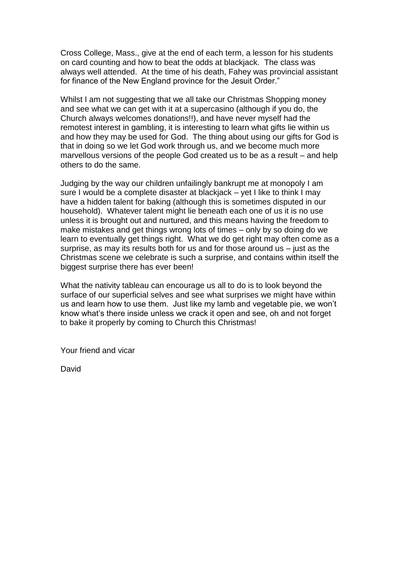Cross College, Mass., give at the end of each term, a lesson for his students on card counting and how to beat the odds at blackjack. The class was always well attended. At the time of his death, Fahey was provincial assistant for finance of the New England province for the Jesuit Order."

Whilst I am not suggesting that we all take our Christmas Shopping money and see what we can get with it at a supercasino (although if you do, the Church always welcomes donations!!), and have never myself had the remotest interest in gambling, it is interesting to learn what gifts lie within us and how they may be used for God. The thing about using our gifts for God is that in doing so we let God work through us, and we become much more marvellous versions of the people God created us to be as a result – and help others to do the same.

Judging by the way our children unfailingly bankrupt me at monopoly I am sure I would be a complete disaster at blackjack – yet I like to think I may have a hidden talent for baking (although this is sometimes disputed in our household). Whatever talent might lie beneath each one of us it is no use unless it is brought out and nurtured, and this means having the freedom to make mistakes and get things wrong lots of times – only by so doing do we learn to eventually get things right. What we do get right may often come as a surprise, as may its results both for us and for those around us – just as the Christmas scene we celebrate is such a surprise, and contains within itself the biggest surprise there has ever been!

What the nativity tableau can encourage us all to do is to look beyond the surface of our superficial selves and see what surprises we might have within us and learn how to use them. Just like my lamb and vegetable pie, we won't know what's there inside unless we crack it open and see, oh and not forget to bake it properly by coming to Church this Christmas!

Your friend and vicar

David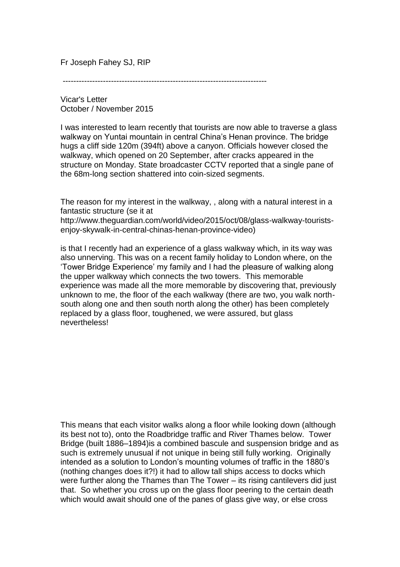Fr Joseph Fahey SJ, RIP

----------------------------------------------------------------------------

Vicar's Letter October / November 2015

I was interested to learn recently that tourists are now able to traverse a glass walkway on Yuntai mountain in central China's Henan province. The bridge hugs a cliff side 120m (394ft) above a canyon. Officials however closed the walkway, which opened on 20 September, after cracks appeared in the structure on Monday. State broadcaster CCTV reported that a single pane of the 68m-long section shattered into coin-sized segments.

The reason for my interest in the walkway, , along with a natural interest in a fantastic structure (se it at

http://www.theguardian.com/world/video/2015/oct/08/glass-walkway-touristsenjoy-skywalk-in-central-chinas-henan-province-video)

is that I recently had an experience of a glass walkway which, in its way was also unnerving. This was on a recent family holiday to London where, on the 'Tower Bridge Experience' my family and I had the pleasure of walking along the upper walkway which connects the two towers. This memorable experience was made all the more memorable by discovering that, previously unknown to me, the floor of the each walkway (there are two, you walk northsouth along one and then south north along the other) has been completely replaced by a glass floor, toughened, we were assured, but glass nevertheless!

This means that each visitor walks along a floor while looking down (although its best not to), onto the Roadbridge traffic and River Thames below. Tower Bridge (built 1886–1894)is a combined bascule and suspension bridge and as such is extremely unusual if not unique in being still fully working. Originally intended as a solution to London's mounting volumes of traffic in the 1880's (nothing changes does it?!) it had to allow tall ships access to docks which were further along the Thames than The Tower – its rising cantilevers did just that. So whether you cross up on the glass floor peering to the certain death which would await should one of the panes of glass give way, or else cross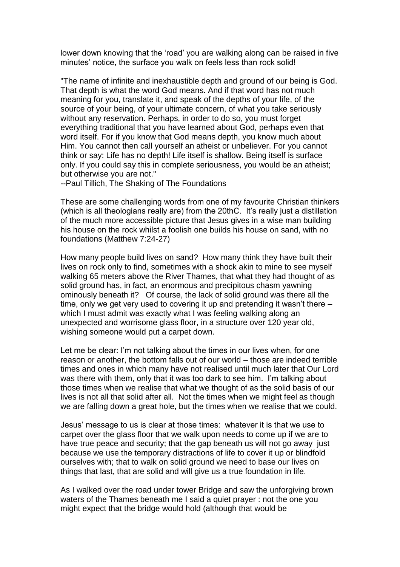lower down knowing that the 'road' you are walking along can be raised in five minutes' notice, the surface you walk on feels less than rock solid!

"The name of infinite and inexhaustible depth and ground of our being is God. That depth is what the word God means. And if that word has not much meaning for you, translate it, and speak of the depths of your life, of the source of your being, of your ultimate concern, of what you take seriously without any reservation. Perhaps, in order to do so, you must forget everything traditional that you have learned about God, perhaps even that word itself. For if you know that God means depth, you know much about Him. You cannot then call yourself an atheist or unbeliever. For you cannot think or say: Life has no depth! Life itself is shallow. Being itself is surface only. If you could say this in complete seriousness, you would be an atheist; but otherwise you are not."

--Paul Tillich, The Shaking of The Foundations

These are some challenging words from one of my favourite Christian thinkers (which is all theologians really are) from the 20thC. It's really just a distillation of the much more accessible picture that Jesus gives in a wise man building his house on the rock whilst a foolish one builds his house on sand, with no foundations (Matthew 7:24-27)

How many people build lives on sand? How many think they have built their lives on rock only to find, sometimes with a shock akin to mine to see myself walking 65 meters above the River Thames, that what they had thought of as solid ground has, in fact, an enormous and precipitous chasm yawning ominously beneath it? Of course, the lack of solid ground was there all the time, only we get very used to covering it up and pretending it wasn't there – which I must admit was exactly what I was feeling walking along an unexpected and worrisome glass floor, in a structure over 120 year old, wishing someone would put a carpet down.

Let me be clear: I'm not talking about the times in our lives when, for one reason or another, the bottom falls out of our world – those are indeed terrible times and ones in which many have not realised until much later that Our Lord was there with them, only that it was too dark to see him. I'm talking about those times when we realise that what we thought of as the solid basis of our lives is not all that solid after all. Not the times when we might feel as though we are falling down a great hole, but the times when we realise that we could.

Jesus' message to us is clear at those times: whatever it is that we use to carpet over the glass floor that we walk upon needs to come up if we are to have true peace and security; that the gap beneath us will not go away just because we use the temporary distractions of life to cover it up or blindfold ourselves with; that to walk on solid ground we need to base our lives on things that last, that are solid and will give us a true foundation in life.

As I walked over the road under tower Bridge and saw the unforgiving brown waters of the Thames beneath me I said a quiet prayer : not the one you might expect that the bridge would hold (although that would be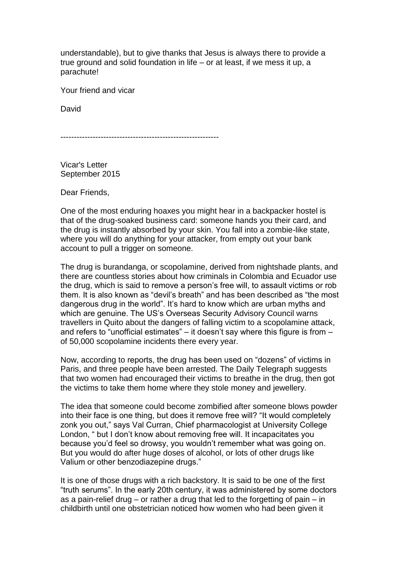understandable), but to give thanks that Jesus is always there to provide a true ground and solid foundation in life – or at least, if we mess it up, a parachute!

Your friend and vicar

David

-----------------------------------------------------------

Vicar's Letter September 2015

Dear Friends,

One of the most enduring hoaxes you might hear in a backpacker hostel is that of the drug-soaked business card: someone hands you their card, and the drug is instantly absorbed by your skin. You fall into a zombie-like state, where you will do anything for your attacker, from empty out your bank account to pull a trigger on someone.

The drug is burandanga, or scopolamine, derived from nightshade plants, and there are countless stories about how criminals in Colombia and Ecuador use the drug, which is said to remove a person's free will, to assault victims or rob them. It is also known as "devil's breath" and has been described as "the most dangerous drug in the world". It's hard to know which are urban myths and which are genuine. The US's Overseas Security Advisory Council warns travellers in Quito about the dangers of falling victim to a scopolamine attack, and refers to "unofficial estimates" – it doesn't say where this figure is from – of 50,000 scopolamine incidents there every year.

Now, according to reports, the drug has been used on "dozens" of victims in Paris, and three people have been arrested. The Daily Telegraph suggests that two women had encouraged their victims to breathe in the drug, then got the victims to take them home where they stole money and jewellery.

The idea that someone could become zombified after someone blows powder into their face is one thing, but does it remove free will? "It would completely zonk you out," says Val Curran, Chief pharmacologist at University College London, " but I don't know about removing free will. It incapacitates you because you'd feel so drowsy, you wouldn't remember what was going on. But you would do after huge doses of alcohol, or lots of other drugs like Valium or other benzodiazepine drugs."

It is one of those drugs with a rich backstory. It is said to be one of the first "truth serums". In the early 20th century, it was administered by some doctors as a pain-relief drug – or rather a drug that led to the forgetting of pain – in childbirth until one obstetrician noticed how women who had been given it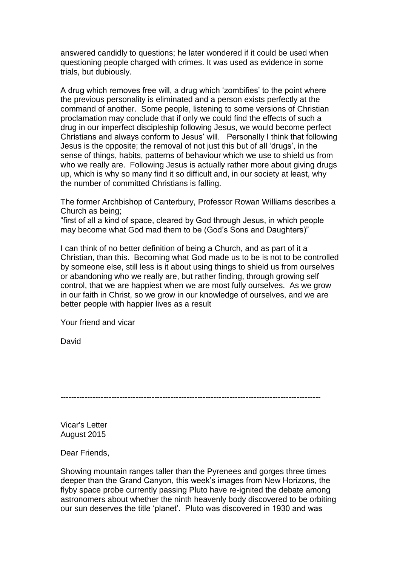answered candidly to questions; he later wondered if it could be used when questioning people charged with crimes. It was used as evidence in some trials, but dubiously.

A drug which removes free will, a drug which 'zombifies' to the point where the previous personality is eliminated and a person exists perfectly at the command of another. Some people, listening to some versions of Christian proclamation may conclude that if only we could find the effects of such a drug in our imperfect discipleship following Jesus, we would become perfect Christians and always conform to Jesus' will. Personally I think that following Jesus is the opposite; the removal of not just this but of all 'drugs', in the sense of things, habits, patterns of behaviour which we use to shield us from who we really are. Following Jesus is actually rather more about giving drugs up, which is why so many find it so difficult and, in our society at least, why the number of committed Christians is falling.

The former Archbishop of Canterbury, Professor Rowan Williams describes a Church as being;

"first of all a kind of space, cleared by God through Jesus, in which people may become what God mad them to be (God's Sons and Daughters)"

I can think of no better definition of being a Church, and as part of it a Christian, than this. Becoming what God made us to be is not to be controlled by someone else, still less is it about using things to shield us from ourselves or abandoning who we really are, but rather finding, through growing self control, that we are happiest when we are most fully ourselves. As we grow in our faith in Christ, so we grow in our knowledge of ourselves, and we are better people with happier lives as a result

Your friend and vicar

**David** 

-------------------------------------------------------------------------------------------------

Vicar's Letter August 2015

Dear Friends,

Showing mountain ranges taller than the Pyrenees and gorges three times deeper than the Grand Canyon, this week's images from New Horizons, the flyby space probe currently passing Pluto have re-ignited the debate among astronomers about whether the ninth heavenly body discovered to be orbiting our sun deserves the title 'planet'. Pluto was discovered in 1930 and was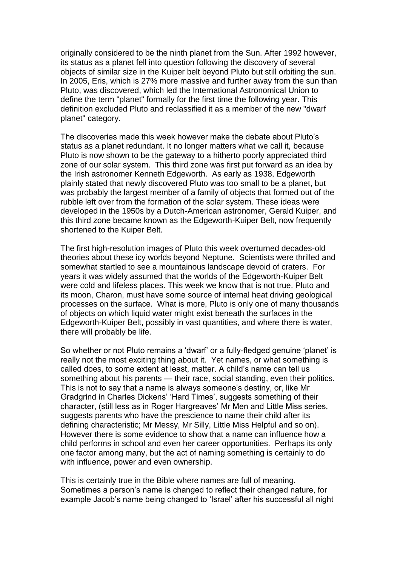originally considered to be the ninth planet from the Sun. After 1992 however, its status as a planet fell into question following the discovery of several objects of similar size in the Kuiper belt beyond Pluto but still orbiting the sun. In 2005, Eris, which is 27% more massive and further away from the sun than Pluto, was discovered, which led the International Astronomical Union to define the term "planet" formally for the first time the following year. This definition excluded Pluto and reclassified it as a member of the new "dwarf planet" category.

The discoveries made this week however make the debate about Pluto's status as a planet redundant. It no longer matters what we call it, because Pluto is now shown to be the gateway to a hitherto poorly appreciated third zone of our solar system. This third zone was first put forward as an idea by the Irish astronomer Kenneth Edgeworth. As early as 1938, Edgeworth plainly stated that newly discovered Pluto was too small to be a planet, but was probably the largest member of a family of objects that formed out of the rubble left over from the formation of the solar system. These ideas were developed in the 1950s by a Dutch-American astronomer, Gerald Kuiper, and this third zone became known as the Edgeworth-Kuiper Belt, now frequently shortened to the Kuiper Belt.

The first high-resolution images of Pluto this week overturned decades-old theories about these icy worlds beyond Neptune. Scientists were thrilled and somewhat startled to see a mountainous landscape devoid of craters. For years it was widely assumed that the worlds of the Edgeworth-Kuiper Belt were cold and lifeless places. This week we know that is not true. Pluto and its moon, Charon, must have some source of internal heat driving geological processes on the surface. What is more, Pluto is only one of many thousands of objects on which liquid water might exist beneath the surfaces in the Edgeworth-Kuiper Belt, possibly in vast quantities, and where there is water, there will probably be life.

So whether or not Pluto remains a 'dwarf' or a fully-fledged genuine 'planet' is really not the most exciting thing about it. Yet names, or what something is called does, to some extent at least, matter. A child's name can tell us something about his parents — their race, social standing, even their politics. This is not to say that a name is always someone's destiny, or, like Mr Gradgrind in Charles Dickens' 'Hard Times', suggests something of their character, (still less as in Roger Hargreaves' Mr Men and Little Miss series, suggests parents who have the prescience to name their child after its defining characteristic; Mr Messy, Mr Silly, Little Miss Helpful and so on). However there is some evidence to show that a name can influence how a child performs in school and even her career opportunities. Perhaps its only one factor among many, but the act of naming something is certainly to do with influence, power and even ownership.

This is certainly true in the Bible where names are full of meaning. Sometimes a person's name is changed to reflect their changed nature, for example Jacob's name being changed to 'Israel' after his successful all night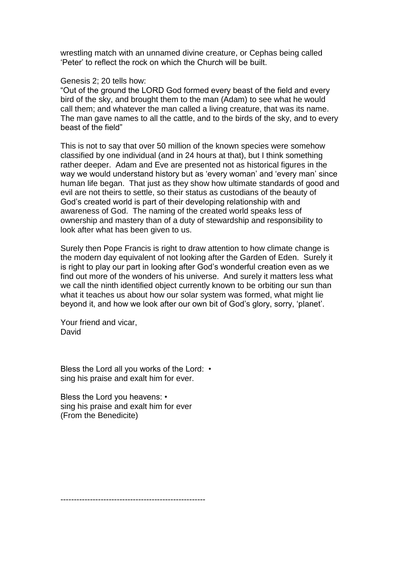wrestling match with an unnamed divine creature, or Cephas being called 'Peter' to reflect the rock on which the Church will be built.

#### Genesis 2; 20 tells how:

"Out of the ground the LORD God formed every beast of the field and every bird of the sky, and brought them to the man (Adam) to see what he would call them; and whatever the man called a living creature, that was its name. The man gave names to all the cattle, and to the birds of the sky, and to every beast of the field"

This is not to say that over 50 million of the known species were somehow classified by one individual (and in 24 hours at that), but I think something rather deeper. Adam and Eve are presented not as historical figures in the way we would understand history but as 'every woman' and 'every man' since human life began. That just as they show how ultimate standards of good and evil are not theirs to settle, so their status as custodians of the beauty of God's created world is part of their developing relationship with and awareness of God. The naming of the created world speaks less of ownership and mastery than of a duty of stewardship and responsibility to look after what has been given to us.

Surely then Pope Francis is right to draw attention to how climate change is the modern day equivalent of not looking after the Garden of Eden. Surely it is right to play our part in looking after God's wonderful creation even as we find out more of the wonders of his universe. And surely it matters less what we call the ninth identified object currently known to be orbiting our sun than what it teaches us about how our solar system was formed, what might lie beyond it, and how we look after our own bit of God's glory, sorry, 'planet'.

Your friend and vicar, David

Bless the Lord all you works of the Lord: • sing his praise and exalt him for ever.

Bless the Lord you heavens: • sing his praise and exalt him for ever (From the Benedicite)

------------------------------------------------------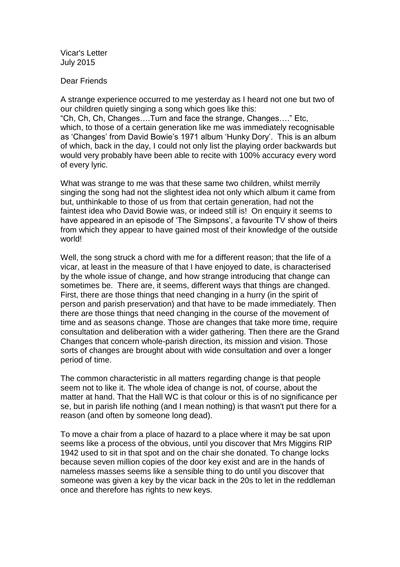Vicar's Letter July 2015

Dear Friends

A strange experience occurred to me yesterday as I heard not one but two of our children quietly singing a song which goes like this:

"Ch, Ch, Ch, Changes….Turn and face the strange, Changes…." Etc, which, to those of a certain generation like me was immediately recognisable as 'Changes' from David Bowie's 1971 album 'Hunky Dory'. This is an album of which, back in the day, I could not only list the playing order backwards but would very probably have been able to recite with 100% accuracy every word of every lyric.

What was strange to me was that these same two children, whilst merrily singing the song had not the slightest idea not only which album it came from but, unthinkable to those of us from that certain generation, had not the faintest idea who David Bowie was, or indeed still is! On enquiry it seems to have appeared in an episode of 'The Simpsons', a favourite TV show of theirs from which they appear to have gained most of their knowledge of the outside world!

Well, the song struck a chord with me for a different reason; that the life of a vicar, at least in the measure of that I have enjoyed to date, is characterised by the whole issue of change, and how strange introducing that change can sometimes be. There are, it seems, different ways that things are changed. First, there are those things that need changing in a hurry (in the spirit of person and parish preservation) and that have to be made immediately. Then there are those things that need changing in the course of the movement of time and as seasons change. Those are changes that take more time, require consultation and deliberation with a wider gathering. Then there are the Grand Changes that concern whole-parish direction, its mission and vision. Those sorts of changes are brought about with wide consultation and over a longer period of time.

The common characteristic in all matters regarding change is that people seem not to like it. The whole idea of change is not, of course, about the matter at hand. That the Hall WC is that colour or this is of no significance per se, but in parish life nothing (and I mean nothing) is that wasn't put there for a reason (and often by someone long dead).

To move a chair from a place of hazard to a place where it may be sat upon seems like a process of the obvious, until you discover that Mrs Miggins RIP 1942 used to sit in that spot and on the chair she donated. To change locks because seven million copies of the door key exist and are in the hands of nameless masses seems like a sensible thing to do until you discover that someone was given a key by the vicar back in the 20s to let in the reddleman once and therefore has rights to new keys.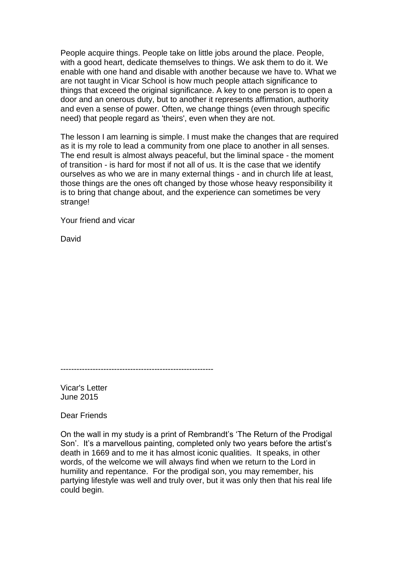People acquire things. People take on little jobs around the place. People, with a good heart, dedicate themselves to things. We ask them to do it. We enable with one hand and disable with another because we have to. What we are not taught in Vicar School is how much people attach significance to things that exceed the original significance. A key to one person is to open a door and an onerous duty, but to another it represents affirmation, authority and even a sense of power. Often, we change things (even through specific need) that people regard as 'theirs', even when they are not.

The lesson I am learning is simple. I must make the changes that are required as it is my role to lead a community from one place to another in all senses. The end result is almost always peaceful, but the liminal space - the moment of transition - is hard for most if not all of us. It is the case that we identify ourselves as who we are in many external things - and in church life at least, those things are the ones oft changed by those whose heavy responsibility it is to bring that change about, and the experience can sometimes be very strange!

Your friend and vicar

David

---------------------------------------------------------

Vicar's Letter June 2015

Dear Friends

On the wall in my study is a print of Rembrandt's 'The Return of the Prodigal Son'. It's a marvellous painting, completed only two years before the artist's death in 1669 and to me it has almost iconic qualities. It speaks, in other words, of the welcome we will always find when we return to the Lord in humility and repentance. For the prodigal son, you may remember, his partying lifestyle was well and truly over, but it was only then that his real life could begin.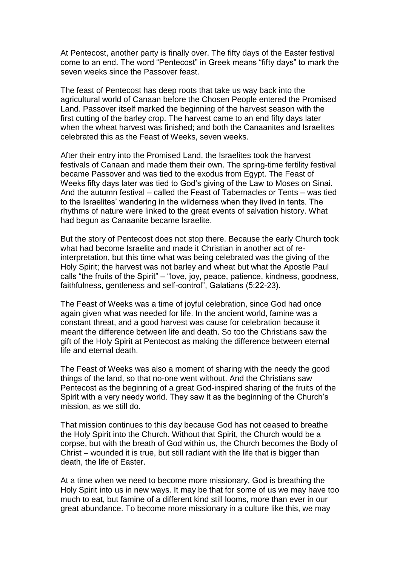At Pentecost, another party is finally over. The fifty days of the Easter festival come to an end. The word "Pentecost" in Greek means "fifty days" to mark the seven weeks since the Passover feast.

The feast of Pentecost has deep roots that take us way back into the agricultural world of Canaan before the Chosen People entered the Promised Land. Passover itself marked the beginning of the harvest season with the first cutting of the barley crop. The harvest came to an end fifty days later when the wheat harvest was finished; and both the Canaanites and Israelites celebrated this as the Feast of Weeks, seven weeks.

After their entry into the Promised Land, the Israelites took the harvest festivals of Canaan and made them their own. The spring-time fertility festival became Passover and was tied to the exodus from Egypt. The Feast of Weeks fifty days later was tied to God's giving of the Law to Moses on Sinai. And the autumn festival – called the Feast of Tabernacles or Tents – was tied to the Israelites' wandering in the wilderness when they lived in tents. The rhythms of nature were linked to the great events of salvation history. What had begun as Canaanite became Israelite.

But the story of Pentecost does not stop there. Because the early Church took what had become Israelite and made it Christian in another act of reinterpretation, but this time what was being celebrated was the giving of the Holy Spirit; the harvest was not barley and wheat but what the Apostle Paul calls "the fruits of the Spirit" – "love, joy, peace, patience, kindness, goodness, faithfulness, gentleness and self-control", Galatians (5:22-23).

The Feast of Weeks was a time of joyful celebration, since God had once again given what was needed for life. In the ancient world, famine was a constant threat, and a good harvest was cause for celebration because it meant the difference between life and death. So too the Christians saw the gift of the Holy Spirit at Pentecost as making the difference between eternal life and eternal death.

The Feast of Weeks was also a moment of sharing with the needy the good things of the land, so that no-one went without. And the Christians saw Pentecost as the beginning of a great God-inspired sharing of the fruits of the Spirit with a very needy world. They saw it as the beginning of the Church's mission, as we still do.

That mission continues to this day because God has not ceased to breathe the Holy Spirit into the Church. Without that Spirit, the Church would be a corpse, but with the breath of God within us, the Church becomes the Body of Christ – wounded it is true, but still radiant with the life that is bigger than death, the life of Easter.

At a time when we need to become more missionary, God is breathing the Holy Spirit into us in new ways. It may be that for some of us we may have too much to eat, but famine of a different kind still looms, more than ever in our great abundance. To become more missionary in a culture like this, we may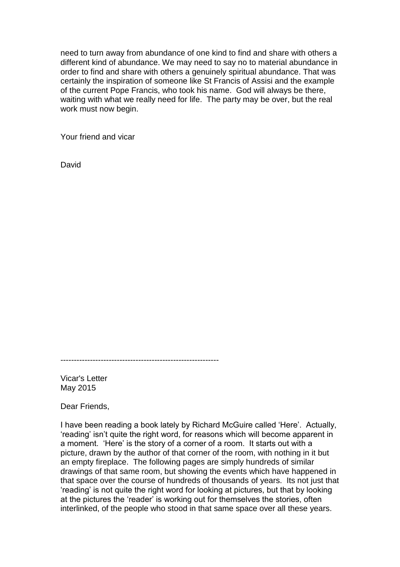need to turn away from abundance of one kind to find and share with others a different kind of abundance. We may need to say no to material abundance in order to find and share with others a genuinely spiritual abundance. That was certainly the inspiration of someone like St Francis of Assisi and the example of the current Pope Francis, who took his name. God will always be there, waiting with what we really need for life. The party may be over, but the real work must now begin.

Your friend and vicar

David

-----------------------------------------------------------

Vicar's Letter May 2015

Dear Friends,

I have been reading a book lately by Richard McGuire called 'Here'. Actually, 'reading' isn't quite the right word, for reasons which will become apparent in a moment. 'Here' is the story of a corner of a room. It starts out with a picture, drawn by the author of that corner of the room, with nothing in it but an empty fireplace. The following pages are simply hundreds of similar drawings of that same room, but showing the events which have happened in that space over the course of hundreds of thousands of years. Its not just that 'reading' is not quite the right word for looking at pictures, but that by looking at the pictures the 'reader' is working out for themselves the stories, often interlinked, of the people who stood in that same space over all these years.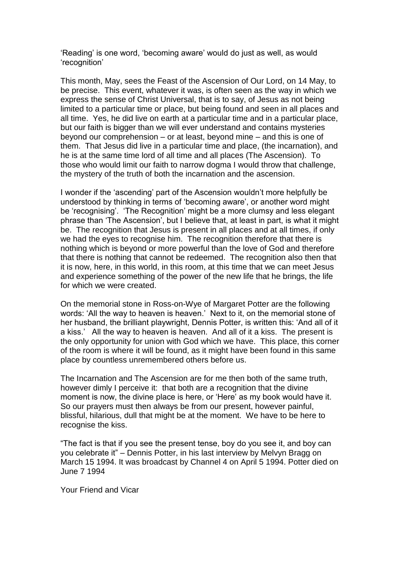'Reading' is one word, 'becoming aware' would do just as well, as would 'recognition'

This month, May, sees the Feast of the Ascension of Our Lord, on 14 May, to be precise. This event, whatever it was, is often seen as the way in which we express the sense of Christ Universal, that is to say, of Jesus as not being limited to a particular time or place, but being found and seen in all places and all time. Yes, he did live on earth at a particular time and in a particular place, but our faith is bigger than we will ever understand and contains mysteries beyond our comprehension – or at least, beyond mine – and this is one of them. That Jesus did live in a particular time and place, (the incarnation), and he is at the same time lord of all time and all places (The Ascension). To those who would limit our faith to narrow dogma I would throw that challenge, the mystery of the truth of both the incarnation and the ascension.

I wonder if the 'ascending' part of the Ascension wouldn't more helpfully be understood by thinking in terms of 'becoming aware', or another word might be 'recognising'. 'The Recognition' might be a more clumsy and less elegant phrase than 'The Ascension', but I believe that, at least in part, is what it might be. The recognition that Jesus is present in all places and at all times, if only we had the eyes to recognise him. The recognition therefore that there is nothing which is beyond or more powerful than the love of God and therefore that there is nothing that cannot be redeemed. The recognition also then that it is now, here, in this world, in this room, at this time that we can meet Jesus and experience something of the power of the new life that he brings, the life for which we were created.

On the memorial stone in Ross-on-Wye of Margaret Potter are the following words: 'All the way to heaven is heaven.' Next to it, on the memorial stone of her husband, the brilliant playwright, Dennis Potter, is written this: 'And all of it a kiss.' All the way to heaven is heaven. And all of it a kiss. The present is the only opportunity for union with God which we have. This place, this corner of the room is where it will be found, as it might have been found in this same place by countless unremembered others before us.

The Incarnation and The Ascension are for me then both of the same truth, however dimly I perceive it: that both are a recognition that the divine moment is now, the divine place is here, or 'Here' as my book would have it. So our prayers must then always be from our present, however painful, blissful, hilarious, dull that might be at the moment. We have to be here to recognise the kiss.

"The fact is that if you see the present tense, boy do you see it, and boy can you celebrate it" – Dennis Potter, in his last interview by Melvyn Bragg on March 15 1994. It was broadcast by Channel 4 on April 5 1994. Potter died on June 7 1994

Your Friend and Vicar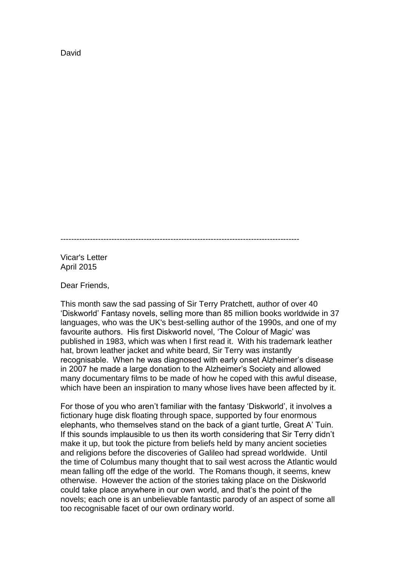David

-----------------------------------------------------------------------------------------

Vicar's Letter April 2015

Dear Friends,

This month saw the sad passing of Sir Terry Pratchett, author of over 40 'Diskworld' Fantasy novels, selling more than 85 million books worldwide in 37 languages, who was the UK's best-selling author of the 1990s, and one of my favourite authors. His first Diskworld novel, 'The Colour of Magic' was published in 1983, which was when I first read it. With his trademark leather hat, brown leather jacket and white beard, Sir Terry was instantly recognisable. When he was diagnosed with early onset Alzheimer's disease in 2007 he made a large donation to the Alzheimer's Society and allowed many documentary films to be made of how he coped with this awful disease, which have been an inspiration to many whose lives have been affected by it.

For those of you who aren't familiar with the fantasy 'Diskworld', it involves a fictionary huge disk floating through space, supported by four enormous elephants, who themselves stand on the back of a giant turtle, Great A' Tuin. If this sounds implausible to us then its worth considering that Sir Terry didn't make it up, but took the picture from beliefs held by many ancient societies and religions before the discoveries of Galileo had spread worldwide. Until the time of Columbus many thought that to sail west across the Atlantic would mean falling off the edge of the world. The Romans though, it seems, knew otherwise. However the action of the stories taking place on the Diskworld could take place anywhere in our own world, and that's the point of the novels; each one is an unbelievable fantastic parody of an aspect of some all too recognisable facet of our own ordinary world.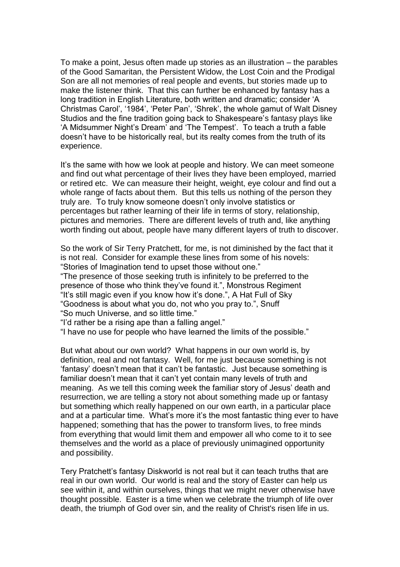To make a point, Jesus often made up stories as an illustration – the parables of the Good Samaritan, the Persistent Widow, the Lost Coin and the Prodigal Son are all not memories of real people and events, but stories made up to make the listener think. That this can further be enhanced by fantasy has a long tradition in English Literature, both written and dramatic; consider 'A Christmas Carol', '1984', 'Peter Pan', 'Shrek', the whole gamut of Walt Disney Studios and the fine tradition going back to Shakespeare's fantasy plays like 'A Midsummer Night's Dream' and 'The Tempest'. To teach a truth a fable doesn't have to be historically real, but its realty comes from the truth of its experience.

It's the same with how we look at people and history. We can meet someone and find out what percentage of their lives they have been employed, married or retired etc. We can measure their height, weight, eye colour and find out a whole range of facts about them. But this tells us nothing of the person they truly are. To truly know someone doesn't only involve statistics or percentages but rather learning of their life in terms of story, relationship, pictures and memories. There are different levels of truth and, like anything worth finding out about, people have many different layers of truth to discover.

So the work of Sir Terry Pratchett, for me, is not diminished by the fact that it is not real. Consider for example these lines from some of his novels: "Stories of Imagination tend to upset those without one."

"The presence of those seeking truth is infinitely to be preferred to the presence of those who think they've found it.", Monstrous Regiment "It's still magic even if you know how it's done.", A Hat Full of Sky "Goodness is about what you do, not who you pray to.", Snuff "So much Universe, and so little time."

"I'd rather be a rising ape than a falling angel."

"I have no use for people who have learned the limits of the possible."

But what about our own world? What happens in our own world is, by definition, real and not fantasy. Well, for me just because something is not 'fantasy' doesn't mean that it can't be fantastic. Just because something is familiar doesn't mean that it can't yet contain many levels of truth and meaning. As we tell this coming week the familiar story of Jesus' death and resurrection, we are telling a story not about something made up or fantasy but something which really happened on our own earth, in a particular place and at a particular time. What's more it's the most fantastic thing ever to have happened; something that has the power to transform lives, to free minds from everything that would limit them and empower all who come to it to see themselves and the world as a place of previously unimagined opportunity and possibility.

Tery Pratchett's fantasy Diskworld is not real but it can teach truths that are real in our own world. Our world is real and the story of Easter can help us see within it, and within ourselves, things that we might never otherwise have thought possible. Easter is a time when we celebrate the triumph of life over death, the triumph of God over sin, and the reality of Christ's risen life in us.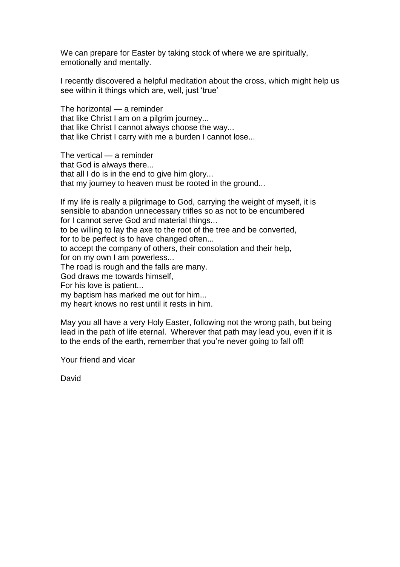We can prepare for Easter by taking stock of where we are spiritually, emotionally and mentally.

I recently discovered a helpful meditation about the cross, which might help us see within it things which are, well, just 'true'

The horizontal — a reminder that like Christ I am on a pilgrim journey... that like Christ I cannot always choose the way... that like Christ I carry with me a burden I cannot lose...

The vertical — a reminder that God is always there... that all I do is in the end to give him glory... that my journey to heaven must be rooted in the ground...

If my life is really a pilgrimage to God, carrying the weight of myself, it is sensible to abandon unnecessary trifles so as not to be encumbered for I cannot serve God and material things...

to be willing to lay the axe to the root of the tree and be converted,

for to be perfect is to have changed often...

to accept the company of others, their consolation and their help,

for on my own I am powerless...

The road is rough and the falls are many.

God draws me towards himself,

For his love is patient...

my baptism has marked me out for him...

my heart knows no rest until it rests in him.

May you all have a very Holy Easter, following not the wrong path, but being lead in the path of life eternal. Wherever that path may lead you, even if it is to the ends of the earth, remember that you're never going to fall off!

Your friend and vicar

David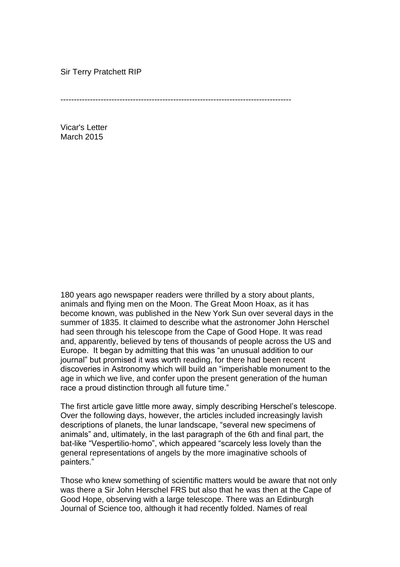Sir Terry Pratchett RIP

--------------------------------------------------------------------------------------

Vicar's Letter March 2015

180 years ago newspaper readers were thrilled by a story about plants, animals and flying men on the Moon. The Great Moon Hoax, as it has become known, was published in the New York Sun over several days in the summer of 1835. It claimed to describe what the astronomer John Herschel had seen through his telescope from the Cape of Good Hope. It was read and, apparently, believed by tens of thousands of people across the US and Europe. It began by admitting that this was "an unusual addition to our journal" but promised it was worth reading, for there had been recent discoveries in Astronomy which will build an "imperishable monument to the age in which we live, and confer upon the present generation of the human race a proud distinction through all future time."

The first article gave little more away, simply describing Herschel's telescope. Over the following days, however, the articles included increasingly lavish descriptions of planets, the lunar landscape, "several new specimens of animals" and, ultimately, in the last paragraph of the 6th and final part, the bat-like "Vespertilio-homo", which appeared "scarcely less lovely than the general representations of angels by the more imaginative schools of painters."

Those who knew something of scientific matters would be aware that not only was there a Sir John Herschel FRS but also that he was then at the Cape of Good Hope, observing with a large telescope. There was an Edinburgh Journal of Science too, although it had recently folded. Names of real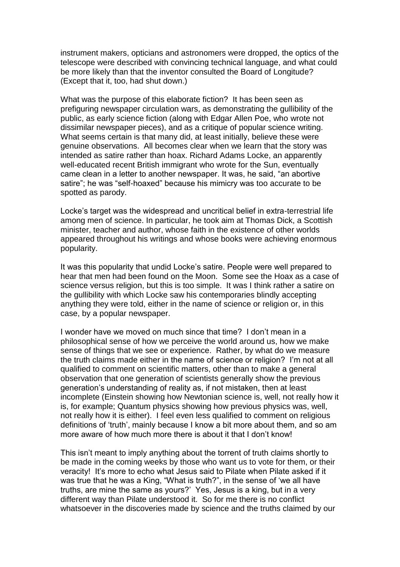instrument makers, opticians and astronomers were dropped, the optics of the telescope were described with convincing technical language, and what could be more likely than that the inventor consulted the Board of Longitude? (Except that it, too, had shut down.)

What was the purpose of this elaborate fiction? It has been seen as prefiguring newspaper circulation wars, as demonstrating the gullibility of the public, as early science fiction (along with Edgar Allen Poe, who wrote not dissimilar newspaper pieces), and as a critique of popular science writing. What seems certain is that many did, at least initially, believe these were genuine observations. All becomes clear when we learn that the story was intended as satire rather than hoax. Richard Adams Locke, an apparently well-educated recent British immigrant who wrote for the Sun, eventually came clean in a letter to another newspaper. It was, he said, "an abortive satire"; he was "self-hoaxed" because his mimicry was too accurate to be spotted as parody.

Locke's target was the widespread and uncritical belief in extra-terrestrial life among men of science. In particular, he took aim at Thomas Dick, a Scottish minister, teacher and author, whose faith in the existence of other worlds appeared throughout his writings and whose books were achieving enormous popularity.

It was this popularity that undid Locke's satire. People were well prepared to hear that men had been found on the Moon. Some see the Hoax as a case of science versus religion, but this is too simple. It was I think rather a satire on the gullibility with which Locke saw his contemporaries blindly accepting anything they were told, either in the name of science or religion or, in this case, by a popular newspaper.

I wonder have we moved on much since that time? I don't mean in a philosophical sense of how we perceive the world around us, how we make sense of things that we see or experience. Rather, by what do we measure the truth claims made either in the name of science or religion? I'm not at all qualified to comment on scientific matters, other than to make a general observation that one generation of scientists generally show the previous generation's understanding of reality as, if not mistaken, then at least incomplete (Einstein showing how Newtonian science is, well, not really how it is, for example; Quantum physics showing how previous physics was, well, not really how it is either). I feel even less qualified to comment on religious definitions of 'truth', mainly because I know a bit more about them, and so am more aware of how much more there is about it that I don't know!

This isn't meant to imply anything about the torrent of truth claims shortly to be made in the coming weeks by those who want us to vote for them, or their veracity! It's more to echo what Jesus said to Pilate when Pilate asked if it was true that he was a King, "What is truth?", in the sense of 'we all have truths, are mine the same as yours?' Yes, Jesus is a king, but in a very different way than Pilate understood it. So for me there is no conflict whatsoever in the discoveries made by science and the truths claimed by our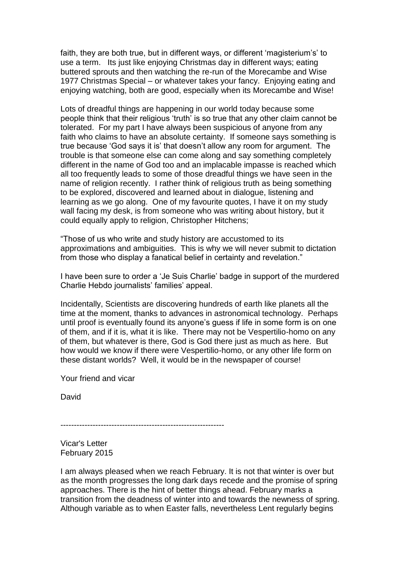faith, they are both true, but in different ways, or different 'magisterium's' to use a term. Its just like enjoying Christmas day in different ways; eating buttered sprouts and then watching the re-run of the Morecambe and Wise 1977 Christmas Special – or whatever takes your fancy. Enjoying eating and enjoying watching, both are good, especially when its Morecambe and Wise!

Lots of dreadful things are happening in our world today because some people think that their religious 'truth' is so true that any other claim cannot be tolerated. For my part I have always been suspicious of anyone from any faith who claims to have an absolute certainty. If someone says something is true because 'God says it is' that doesn't allow any room for argument. The trouble is that someone else can come along and say something completely different in the name of God too and an implacable impasse is reached which all too frequently leads to some of those dreadful things we have seen in the name of religion recently. I rather think of religious truth as being something to be explored, discovered and learned about in dialogue, listening and learning as we go along. One of my favourite quotes, I have it on my study wall facing my desk, is from someone who was writing about history, but it could equally apply to religion, Christopher Hitchens;

"Those of us who write and study history are accustomed to its approximations and ambiguities. This is why we will never submit to dictation from those who display a fanatical belief in certainty and revelation."

I have been sure to order a 'Je Suis Charlie' badge in support of the murdered Charlie Hebdo journalists' families' appeal.

Incidentally, Scientists are discovering hundreds of earth like planets all the time at the moment, thanks to advances in astronomical technology. Perhaps until proof is eventually found its anyone's guess if life in some form is on one of them, and if it is, what it is like. There may not be Vespertilio-homo on any of them, but whatever is there, God is God there just as much as here. But how would we know if there were Vespertilio-homo, or any other life form on these distant worlds? Well, it would be in the newspaper of course!

Your friend and vicar

**David** 

-------------------------------------------------------------

Vicar's Letter February 2015

I am always pleased when we reach February. It is not that winter is over but as the month progresses the long dark days recede and the promise of spring approaches. There is the hint of better things ahead. February marks a transition from the deadness of winter into and towards the newness of spring. Although variable as to when Easter falls, nevertheless Lent regularly begins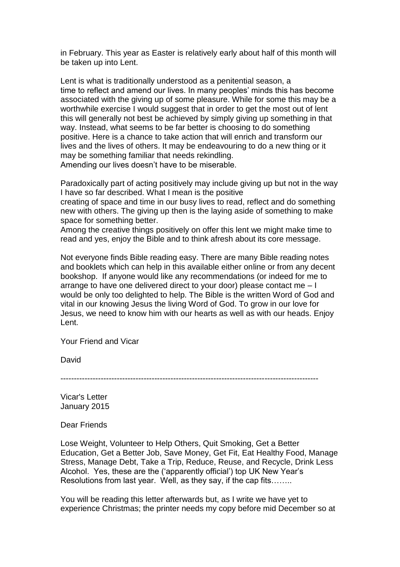in February. This year as Easter is relatively early about half of this month will be taken up into Lent.

Lent is what is traditionally understood as a penitential season, a time to reflect and amend our lives. In many peoples' minds this has become associated with the giving up of some pleasure. While for some this may be a worthwhile exercise I would suggest that in order to get the most out of lent this will generally not best be achieved by simply giving up something in that way. Instead, what seems to be far better is choosing to do something positive. Here is a chance to take action that will enrich and transform our lives and the lives of others. It may be endeavouring to do a new thing or it may be something familiar that needs rekindling.

Amending our lives doesn't have to be miserable.

Paradoxically part of acting positively may include giving up but not in the way I have so far described. What I mean is the positive

creating of space and time in our busy lives to read, reflect and do something new with others. The giving up then is the laying aside of something to make space for something better.

Among the creative things positively on offer this lent we might make time to read and yes, enjoy the Bible and to think afresh about its core message.

Not everyone finds Bible reading easy. There are many Bible reading notes and booklets which can help in this available either online or from any decent bookshop. If anyone would like any recommendations (or indeed for me to arrange to have one delivered direct to your door) please contact me – I would be only too delighted to help. The Bible is the written Word of God and vital in our knowing Jesus the living Word of God. To grow in our love for Jesus, we need to know him with our hearts as well as with our heads. Enjoy Lent.

Your Friend and Vicar

David

------------------------------------------------------------------------------------------------

Vicar's Letter January 2015

Dear Friends

Lose Weight, Volunteer to Help Others, Quit Smoking, Get a Better Education, Get a Better Job, Save Money, Get Fit, Eat Healthy Food, Manage Stress, Manage Debt, Take a Trip, Reduce, Reuse, and Recycle, Drink Less Alcohol. Yes, these are the ('apparently official') top UK New Year's Resolutions from last year. Well, as they say, if the cap fits……..

You will be reading this letter afterwards but, as I write we have yet to experience Christmas; the printer needs my copy before mid December so at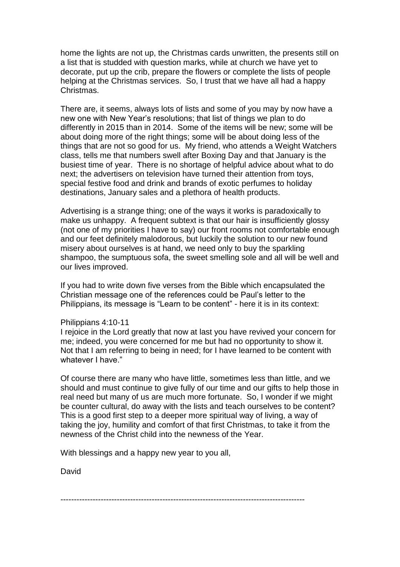home the lights are not up, the Christmas cards unwritten, the presents still on a list that is studded with question marks, while at church we have yet to decorate, put up the crib, prepare the flowers or complete the lists of people helping at the Christmas services. So, I trust that we have all had a happy Christmas.

There are, it seems, always lots of lists and some of you may by now have a new one with New Year's resolutions; that list of things we plan to do differently in 2015 than in 2014. Some of the items will be new; some will be about doing more of the right things; some will be about doing less of the things that are not so good for us. My friend, who attends a Weight Watchers class, tells me that numbers swell after Boxing Day and that January is the busiest time of year. There is no shortage of helpful advice about what to do next; the advertisers on television have turned their attention from toys, special festive food and drink and brands of exotic perfumes to holiday destinations, January sales and a plethora of health products.

Advertising is a strange thing; one of the ways it works is paradoxically to make us unhappy. A frequent subtext is that our hair is insufficiently glossy (not one of my priorities I have to say) our front rooms not comfortable enough and our feet definitely malodorous, but luckily the solution to our new found misery about ourselves is at hand, we need only to buy the sparkling shampoo, the sumptuous sofa, the sweet smelling sole and all will be well and our lives improved.

If you had to write down five verses from the Bible which encapsulated the Christian message one of the references could be Paul's letter to the Philippians, its message is "Learn to be content" - here it is in its context:

## Philippians 4:10-11

I rejoice in the Lord greatly that now at last you have revived your concern for me; indeed, you were concerned for me but had no opportunity to show it. Not that I am referring to being in need; for I have learned to be content with whatever I have."

Of course there are many who have little, sometimes less than little, and we should and must continue to give fully of our time and our gifts to help those in real need but many of us are much more fortunate. So, I wonder if we might be counter cultural, do away with the lists and teach ourselves to be content? This is a good first step to a deeper more spiritual way of living, a way of taking the joy, humility and comfort of that first Christmas, to take it from the newness of the Christ child into the newness of the Year.

With blessings and a happy new year to you all,

David

-------------------------------------------------------------------------------------------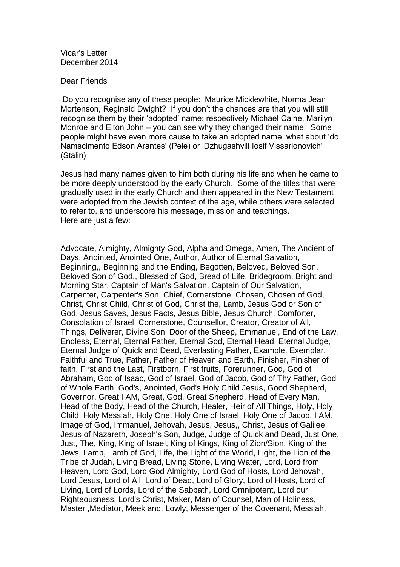Vicar's Letter December 2014

Dear Friends

Do you recognise any of these people: Maurice Micklewhite, Norma Jean Mortenson, Reginald Dwight? If you don't the chances are that you will still recognise them by their 'adopted' name: respectively Michael Caine, Marilyn Monroe and Elton John – you can see why they changed their name! Some people might have even more cause to take an adopted name, what about 'do Namscimento Edson Arantes' (Pele) or 'Dzhugashvili Iosif Vissarionovich' (Stalin)

Jesus had many names given to him both during his life and when he came to be more deeply understood by the early Church. Some of the titles that were gradually used in the early Church and then appeared in the New Testament were adopted from the Jewish context of the age, while others were selected to refer to, and underscore his message, mission and teachings. Here are just a few:

Advocate, Almighty, Almighty God, Alpha and Omega, Amen, The Ancient of Days, Anointed, Anointed One, Author, Author of Eternal Salvation, Beginning,, Beginning and the Ending, Begotten, Beloved, Beloved Son, Beloved Son of God,, Blessed of God, Bread of Life, Bridegroom, Bright and Morning Star, Captain of Man's Salvation, Captain of Our Salvation, Carpenter, Carpenter's Son, Chief, Cornerstone, Chosen, Chosen of God, Christ, Christ Child, Christ of God, Christ the, Lamb, Jesus God or Son of God, Jesus Saves, Jesus Facts, Jesus Bible, Jesus Church, Comforter, Consolation of Israel, Cornerstone, Counsellor, Creator, Creator of All, Things, Deliverer, Divine Son, Door of the Sheep, Emmanuel, End of the Law, Endless, Eternal, Eternal Father, Eternal God, Eternal Head, Eternal Judge, Eternal Judge of Quick and Dead, Everlasting Father, Example, Exemplar, Faithful and True, Father, Father of Heaven and Earth, Finisher, Finisher of faith, First and the Last, Firstborn, First fruits, Forerunner, God, God of Abraham, God of Isaac, God of Israel, God of Jacob, God of Thy Father, God of Whole Earth, God's, Anointed, God's Holy Child Jesus, Good Shepherd, Governor, Great I AM, Great, God, Great Shepherd, Head of Every Man, Head of the Body, Head of the Church, Healer, Heir of All Things, Holy, Holy Child, Holy Messiah, Holy One, Holy One of Israel, Holy One of Jacob, I AM, Image of God, Immanuel, Jehovah, Jesus, Jesus,, Christ, Jesus of Galilee, Jesus of Nazareth, Joseph's Son, Judge, Judge of Quick and Dead, Just One, Just, The, King, King of Israel, King of Kings, King of Zion/Sion, King of the Jews, Lamb, Lamb of God, Life, the Light of the World, Light, the Lion of the Tribe of Judah, Living Bread, Living Stone, Living Water, Lord, Lord from Heaven, Lord God, Lord God Almighty, Lord God of Hosts, Lord Jehovah, Lord Jesus, Lord of All, Lord of Dead, Lord of Glory, Lord of Hosts, Lord of Living, Lord of Lords, Lord of the Sabbath, Lord Omnipotent, Lord our Righteousness, Lord's Christ, Maker, Man of Counsel, Man of Holiness, Master ,Mediator, Meek and, Lowly, Messenger of the Covenant, Messiah,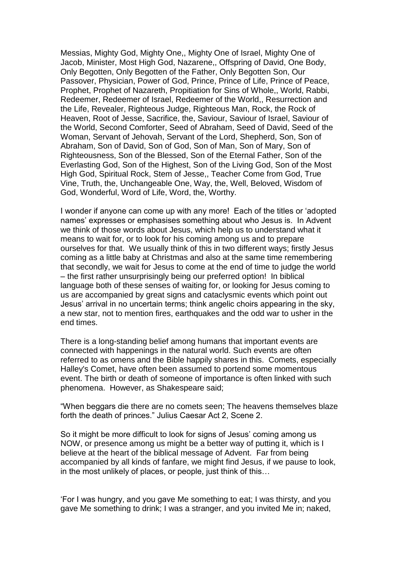Messias, Mighty God, Mighty One,, Mighty One of Israel, Mighty One of Jacob, Minister, Most High God, Nazarene,, Offspring of David, One Body, Only Begotten, Only Begotten of the Father, Only Begotten Son, Our Passover, Physician, Power of God, Prince, Prince of Life, Prince of Peace, Prophet, Prophet of Nazareth, Propitiation for Sins of Whole,, World, Rabbi, Redeemer, Redeemer of Israel, Redeemer of the World,, Resurrection and the Life, Revealer, Righteous Judge, Righteous Man, Rock, the Rock of Heaven, Root of Jesse, Sacrifice, the, Saviour, Saviour of Israel, Saviour of the World, Second Comforter, Seed of Abraham, Seed of David, Seed of the Woman, Servant of Jehovah, Servant of the Lord, Shepherd, Son, Son of Abraham, Son of David, Son of God, Son of Man, Son of Mary, Son of Righteousness, Son of the Blessed, Son of the Eternal Father, Son of the Everlasting God, Son of the Highest, Son of the Living God, Son of the Most High God, Spiritual Rock, Stem of Jesse,, Teacher Come from God, True Vine, Truth, the, Unchangeable One, Way, the, Well, Beloved, Wisdom of God, Wonderful, Word of Life, Word, the, Worthy.

I wonder if anyone can come up with any more! Each of the titles or 'adopted names' expresses or emphasises something about who Jesus is. In Advent we think of those words about Jesus, which help us to understand what it means to wait for, or to look for his coming among us and to prepare ourselves for that. We usually think of this in two different ways; firstly Jesus coming as a little baby at Christmas and also at the same time remembering that secondly, we wait for Jesus to come at the end of time to judge the world – the first rather unsurprisingly being our preferred option! In biblical language both of these senses of waiting for, or looking for Jesus coming to us are accompanied by great signs and cataclysmic events which point out Jesus' arrival in no uncertain terms; think angelic choirs appearing in the sky, a new star, not to mention fires, earthquakes and the odd war to usher in the end times.

There is a long-standing belief among humans that important events are connected with happenings in the natural world. Such events are often referred to as omens and the Bible happily shares in this. Comets, especially Halley's Comet, have often been assumed to portend some momentous event. The birth or death of someone of importance is often linked with such phenomena. However, as Shakespeare said;

"When beggars die there are no comets seen; The heavens themselves blaze forth the death of princes." Julius Caesar Act 2, Scene 2.

So it might be more difficult to look for signs of Jesus' coming among us NOW, or presence among us might be a better way of putting it, which is I believe at the heart of the biblical message of Advent. Far from being accompanied by all kinds of fanfare, we might find Jesus, if we pause to look, in the most unlikely of places, or people, just think of this…

'For I was hungry, and you gave Me something to eat; I was thirsty, and you gave Me something to drink; I was a stranger, and you invited Me in; naked,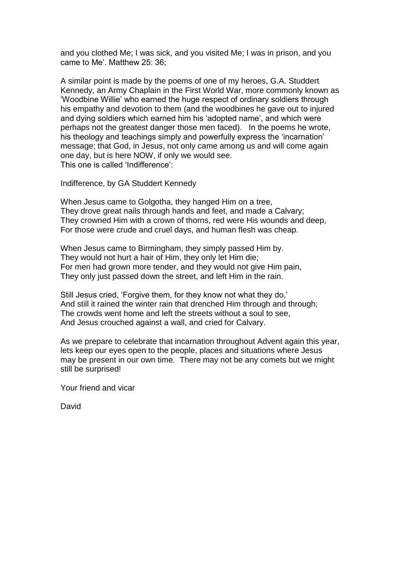and you clothed Me; I was sick, and you visited Me; I was in prison, and you came to Me'. Matthew 25: 36;

A similar point is made by the poems of one of my heroes, G.A. Studdert Kennedy, an Army Chaplain in the First World War, more commonly known as 'Woodbine Willie' who earned the huge respect of ordinary soldiers through his empathy and devotion to them (and the woodbines he gave out to injured and dying soldiers which earned him his 'adopted name', and which were perhaps not the greatest danger those men faced). In the poems he wrote, his theology and teachings simply and powerfully express the 'incarnation' message; that God, in Jesus, not only came among us and will come again one day, but is here NOW, if only we would see. This one is called 'Indifference':

Indifference, by GA Studdert Kennedy

When Jesus came to Golgotha, they hanged Him on a tree, They drove great nails through hands and feet, and made a Calvary; They crowned Him with a crown of thorns, red were His wounds and deep, For those were crude and cruel days, and human flesh was cheap.

When Jesus came to Birmingham, they simply passed Him by. They would not hurt a hair of Him, they only let Him die; For men had grown more tender, and they would not give Him pain, They only just passed down the street, and left Him in the rain.

Still Jesus cried, 'Forgive them, for they know not what they do,' And still it rained the winter rain that drenched Him through and through; The crowds went home and left the streets without a soul to see, And Jesus crouched against a wall, and cried for Calvary.

As we prepare to celebrate that incarnation throughout Advent again this year, lets keep our eyes open to the people, places and situations where Jesus may be present in our own time. There may not be any comets but we might still be surprised!

Your friend and vicar

**David**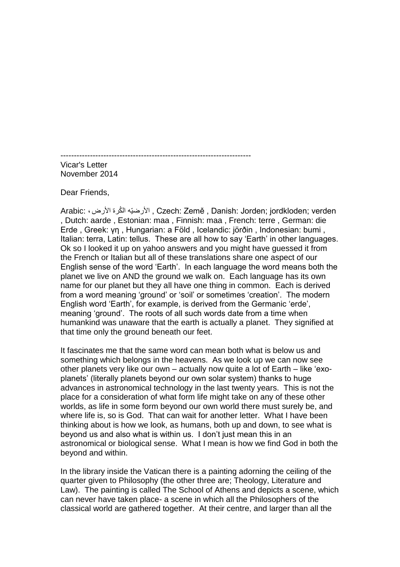----------------------------------------------------------------------- Vicar's Letter November 2014

Dear Friends,

Arabic: ،األرض ر ا األر , Czech: Země , Danish: Jorden; jordkloden; verden , Dutch: aarde , Estonian: maa , Finnish: maa , French: terre , German: die Erde , Greek: γη , Hungarian: a Föld , Icelandic: jörðin , Indonesian: bumi , Italian: terra, Latin: tellus. These are all how to say 'Earth' in other languages. Ok so I looked it up on yahoo answers and you might have guessed it from the French or Italian but all of these translations share one aspect of our English sense of the word 'Earth'. In each language the word means both the planet we live on AND the ground we walk on. Each language has its own name for our planet but they all have one thing in common. Each is derived from a word meaning 'ground' or 'soil' or sometimes 'creation'. The modern English word 'Earth', for example, is derived from the Germanic 'erde', meaning 'ground'. The roots of all such words date from a time when humankind was unaware that the earth is actually a planet. They signified at that time only the ground beneath our feet.

It fascinates me that the same word can mean both what is below us and something which belongs in the heavens. As we look up we can now see other planets very like our own – actually now quite a lot of Earth – like 'exoplanets' (literally planets beyond our own solar system) thanks to huge advances in astronomical technology in the last twenty years. This is not the place for a consideration of what form life might take on any of these other worlds, as life in some form beyond our own world there must surely be, and where life is, so is God. That can wait for another letter. What I have been thinking about is how we look, as humans, both up and down, to see what is beyond us and also what is within us. I don't just mean this in an astronomical or biological sense. What I mean is how we find God in both the beyond and within.

In the library inside the Vatican there is a painting adorning the ceiling of the quarter given to Philosophy (the other three are; Theology, Literature and Law). The painting is called The School of Athens and depicts a scene, which can never have taken place- a scene in which all the Philosophers of the classical world are gathered together. At their centre, and larger than all the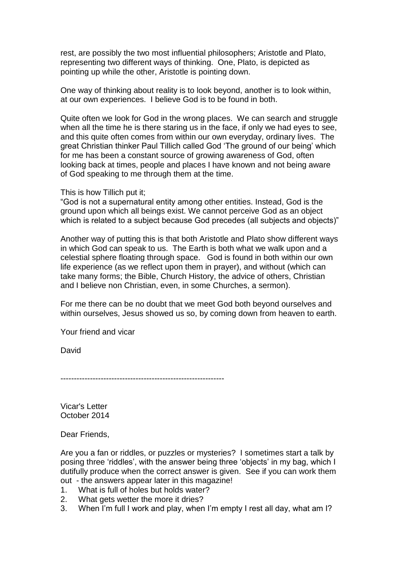rest, are possibly the two most influential philosophers; Aristotle and Plato, representing two different ways of thinking. One, Plato, is depicted as pointing up while the other, Aristotle is pointing down.

One way of thinking about reality is to look beyond, another is to look within, at our own experiences. I believe God is to be found in both.

Quite often we look for God in the wrong places. We can search and struggle when all the time he is there staring us in the face, if only we had eyes to see, and this quite often comes from within our own everyday, ordinary lives. The great Christian thinker Paul Tillich called God 'The ground of our being' which for me has been a constant source of growing awareness of God, often looking back at times, people and places I have known and not being aware of God speaking to me through them at the time.

This is how Tillich put it;

"God is not a supernatural entity among other entities. Instead, God is the ground upon which all beings exist. We cannot perceive God as an object which is related to a subject because God precedes (all subjects and objects)"

Another way of putting this is that both Aristotle and Plato show different ways in which God can speak to us. The Earth is both what we walk upon and a celestial sphere floating through space. God is found in both within our own life experience (as we reflect upon them in prayer), and without (which can take many forms; the Bible, Church History, the advice of others, Christian and I believe non Christian, even, in some Churches, a sermon).

For me there can be no doubt that we meet God both beyond ourselves and within ourselves, Jesus showed us so, by coming down from heaven to earth.

Your friend and vicar

David

-------------------------------------------------------------

Vicar's Letter October 2014

Dear Friends,

Are you a fan or riddles, or puzzles or mysteries? I sometimes start a talk by posing three 'riddles', with the answer being three 'objects' in my bag, which I dutifully produce when the correct answer is given. See if you can work them out - the answers appear later in this magazine!

- 1. What is full of holes but holds water?
- 2. What gets wetter the more it dries?
- 3. When I'm full I work and play, when I'm empty I rest all day, what am I?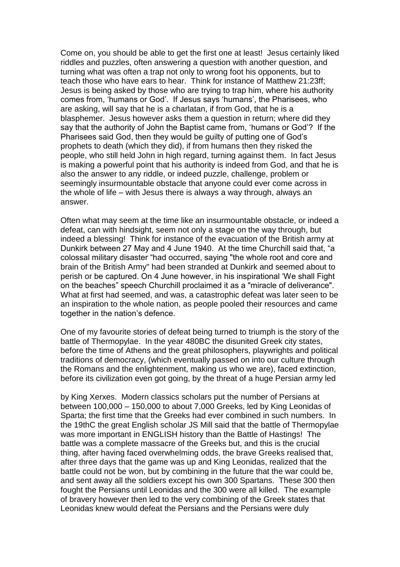Come on, you should be able to get the first one at least! Jesus certainly liked riddles and puzzles, often answering a question with another question, and turning what was often a trap not only to wrong foot his opponents, but to teach those who have ears to hear. Think for instance of Matthew 21:23ff; Jesus is being asked by those who are trying to trap him, where his authority comes from, 'humans or God'. If Jesus says 'humans', the Pharisees, who are asking, will say that he is a charlatan, if from God, that he is a blasphemer. Jesus however asks them a question in return; where did they say that the authority of John the Baptist came from, 'humans or God'? If the Pharisees said God, then they would be guilty of putting one of God's prophets to death (which they did), if from humans then they risked the people, who still held John in high regard, turning against them. In fact Jesus is making a powerful point that his authority is indeed from God, and that he is also the answer to any riddle, or indeed puzzle, challenge, problem or seemingly insurmountable obstacle that anyone could ever come across in the whole of life – with Jesus there is always a way through, always an answer.

Often what may seem at the time like an insurmountable obstacle, or indeed a defeat, can with hindsight, seem not only a stage on the way through, but indeed a blessing! Think for instance of the evacuation of the British army at Dunkirk between 27 May and 4 June 1940. At the time Churchill said that, "a colossal military disaster "had occurred, saying "the whole root and core and brain of the British Army" had been stranded at Dunkirk and seemed about to perish or be captured. On 4 June however, in his inspirational 'We shall Fight on the beaches" speech Churchill proclaimed it as a "miracle of deliverance". What at first had seemed, and was, a catastrophic defeat was later seen to be an inspiration to the whole nation, as people pooled their resources and came together in the nation's defence.

One of my favourite stories of defeat being turned to triumph is the story of the battle of Thermopylae. In the year 480BC the disunited Greek city states, before the time of Athens and the great philosophers, playwrights and political traditions of democracy, (which eventually passed on into our culture through the Romans and the enlightenment, making us who we are), faced extinction, before its civilization even got going, by the threat of a huge Persian army led

by King Xerxes. Modern classics scholars put the number of Persians at between 100,000 – 150,000 to about 7,000 Greeks, led by King Leonidas of Sparta; the first time that the Greeks had ever combined in such numbers. In the 19thC the great English scholar JS Mill said that the battle of Thermopylae was more important in ENGLISH history than the Battle of Hastings! The battle was a complete massacre of the Greeks but, and this is the crucial thing, after having faced overwhelming odds, the brave Greeks realised that, after three days that the game was up and King Leonidas, realized that the battle could not be won, but by combining in the future that the war could be, and sent away all the soldiers except his own 300 Spartans. These 300 then fought the Persians until Leonidas and the 300 were all killed. The example of bravery however then led to the very combining of the Greek states that Leonidas knew would defeat the Persians and the Persians were duly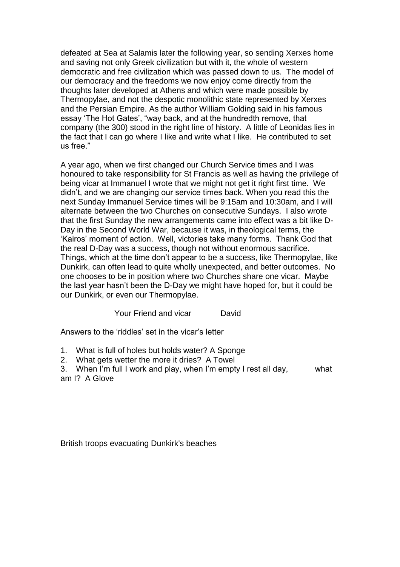defeated at Sea at Salamis later the following year, so sending Xerxes home and saving not only Greek civilization but with it, the whole of western democratic and free civilization which was passed down to us. The model of our democracy and the freedoms we now enjoy come directly from the thoughts later developed at Athens and which were made possible by Thermopylae, and not the despotic monolithic state represented by Xerxes and the Persian Empire. As the author William Golding said in his famous essay 'The Hot Gates', "way back, and at the hundredth remove, that company (the 300) stood in the right line of history. A little of Leonidas lies in the fact that I can go where I like and write what I like. He contributed to set us free."

A year ago, when we first changed our Church Service times and I was honoured to take responsibility for St Francis as well as having the privilege of being vicar at Immanuel I wrote that we might not get it right first time. We didn't, and we are changing our service times back. When you read this the next Sunday Immanuel Service times will be 9:15am and 10:30am, and I will alternate between the two Churches on consecutive Sundays. I also wrote that the first Sunday the new arrangements came into effect was a bit like D-Day in the Second World War, because it was, in theological terms, the 'Kairos' moment of action. Well, victories take many forms. Thank God that the real D-Day was a success, though not without enormous sacrifice. Things, which at the time don't appear to be a success, like Thermopylae, like Dunkirk, can often lead to quite wholly unexpected, and better outcomes. No one chooses to be in position where two Churches share one vicar. Maybe the last year hasn't been the D-Day we might have hoped for, but it could be our Dunkirk, or even our Thermopylae.

Your Friend and vicar **David** 

Answers to the 'riddles' set in the vicar's letter

1. What is full of holes but holds water? A Sponge

2. What gets wetter the more it dries? A Towel

3. When I'm full I work and play, when I'm empty I rest all day, what am I? A Glove

British troops evacuating Dunkirk's beaches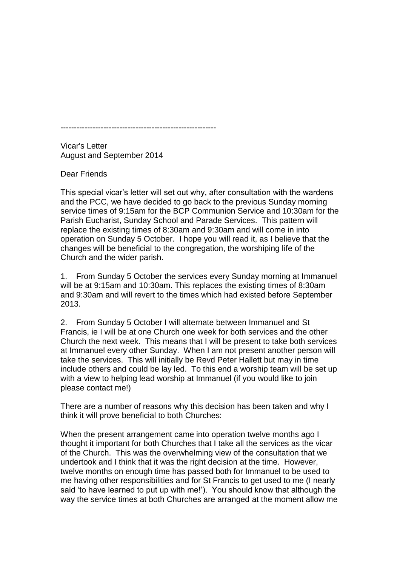----------------------------------------------------------

Vicar's Letter August and September 2014

Dear Friends

This special vicar's letter will set out why, after consultation with the wardens and the PCC, we have decided to go back to the previous Sunday morning service times of 9:15am for the BCP Communion Service and 10:30am for the Parish Eucharist, Sunday School and Parade Services. This pattern will replace the existing times of 8:30am and 9:30am and will come in into operation on Sunday 5 October. I hope you will read it, as I believe that the changes will be beneficial to the congregation, the worshiping life of the Church and the wider parish.

1. From Sunday 5 October the services every Sunday morning at Immanuel will be at 9:15am and 10:30am. This replaces the existing times of 8:30am and 9:30am and will revert to the times which had existed before September 2013.

2. From Sunday 5 October I will alternate between Immanuel and St Francis, ie I will be at one Church one week for both services and the other Church the next week. This means that I will be present to take both services at Immanuel every other Sunday. When I am not present another person will take the services. This will initially be Revd Peter Hallett but may in time include others and could be lay led. To this end a worship team will be set up with a view to helping lead worship at Immanuel (if you would like to join please contact me!)

There are a number of reasons why this decision has been taken and why I think it will prove beneficial to both Churches:

When the present arrangement came into operation twelve months ago I thought it important for both Churches that I take all the services as the vicar of the Church. This was the overwhelming view of the consultation that we undertook and I think that it was the right decision at the time. However, twelve months on enough time has passed both for Immanuel to be used to me having other responsibilities and for St Francis to get used to me (I nearly said 'to have learned to put up with me!'). You should know that although the way the service times at both Churches are arranged at the moment allow me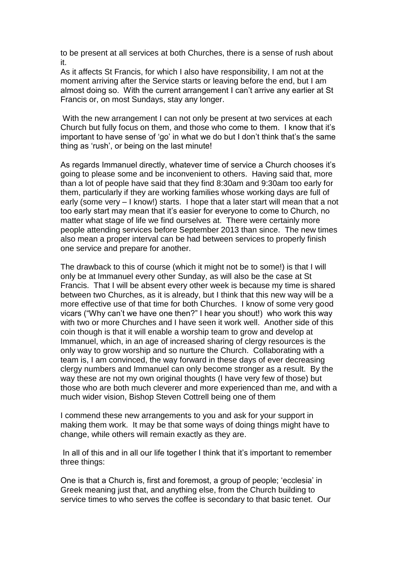to be present at all services at both Churches, there is a sense of rush about it.

As it affects St Francis, for which I also have responsibility, I am not at the moment arriving after the Service starts or leaving before the end, but I am almost doing so. With the current arrangement I can't arrive any earlier at St Francis or, on most Sundays, stay any longer.

With the new arrangement I can not only be present at two services at each Church but fully focus on them, and those who come to them. I know that it's important to have sense of 'go' in what we do but I don't think that's the same thing as 'rush', or being on the last minute!

As regards Immanuel directly, whatever time of service a Church chooses it's going to please some and be inconvenient to others. Having said that, more than a lot of people have said that they find 8:30am and 9:30am too early for them, particularly if they are working families whose working days are full of early (some very – I know!) starts. I hope that a later start will mean that a not too early start may mean that it's easier for everyone to come to Church, no matter what stage of life we find ourselves at. There were certainly more people attending services before September 2013 than since. The new times also mean a proper interval can be had between services to properly finish one service and prepare for another.

The drawback to this of course (which it might not be to some!) is that I will only be at Immanuel every other Sunday, as will also be the case at St Francis. That I will be absent every other week is because my time is shared between two Churches, as it is already, but I think that this new way will be a more effective use of that time for both Churches. I know of some very good vicars ("Why can't we have one then?" I hear you shout!) who work this way with two or more Churches and I have seen it work well. Another side of this coin though is that it will enable a worship team to grow and develop at Immanuel, which, in an age of increased sharing of clergy resources is the only way to grow worship and so nurture the Church. Collaborating with a team is, I am convinced, the way forward in these days of ever decreasing clergy numbers and Immanuel can only become stronger as a result. By the way these are not my own original thoughts (I have very few of those) but those who are both much cleverer and more experienced than me, and with a much wider vision, Bishop Steven Cottrell being one of them

I commend these new arrangements to you and ask for your support in making them work. It may be that some ways of doing things might have to change, while others will remain exactly as they are.

In all of this and in all our life together I think that it's important to remember three things:

One is that a Church is, first and foremost, a group of people; 'ecclesia' in Greek meaning just that, and anything else, from the Church building to service times to who serves the coffee is secondary to that basic tenet. Our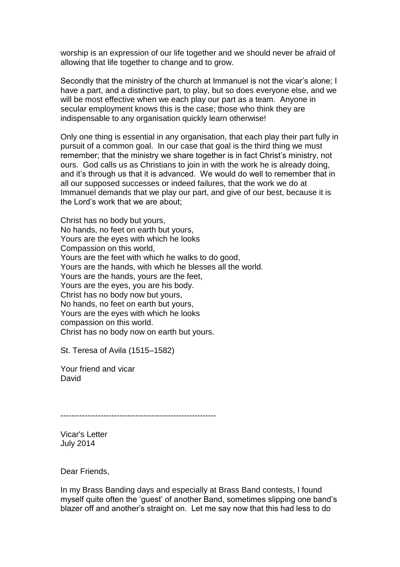worship is an expression of our life together and we should never be afraid of allowing that life together to change and to grow.

Secondly that the ministry of the church at Immanuel is not the vicar's alone; I have a part, and a distinctive part, to play, but so does everyone else, and we will be most effective when we each play our part as a team. Anyone in secular employment knows this is the case; those who think they are indispensable to any organisation quickly learn otherwise!

Only one thing is essential in any organisation, that each play their part fully in pursuit of a common goal. In our case that goal is the third thing we must remember; that the ministry we share together is in fact Christ's ministry, not ours. God calls us as Christians to join in with the work he is already doing, and it's through us that it is advanced. We would do well to remember that in all our supposed successes or indeed failures, that the work we do at Immanuel demands that we play our part, and give of our best, because it is the Lord's work that we are about;

Christ has no body but yours, No hands, no feet on earth but yours, Yours are the eyes with which he looks Compassion on this world, Yours are the feet with which he walks to do good, Yours are the hands, with which he blesses all the world. Yours are the hands, yours are the feet, Yours are the eyes, you are his body. Christ has no body now but yours, No hands, no feet on earth but yours, Yours are the eyes with which he looks compassion on this world. Christ has no body now on earth but yours.

St. Teresa of Avila (1515–1582)

Your friend and vicar David

----------------------------------------------------------

Vicar's Letter July 2014

Dear Friends,

In my Brass Banding days and especially at Brass Band contests, I found myself quite often the 'guest' of another Band, sometimes slipping one band's blazer off and another's straight on. Let me say now that this had less to do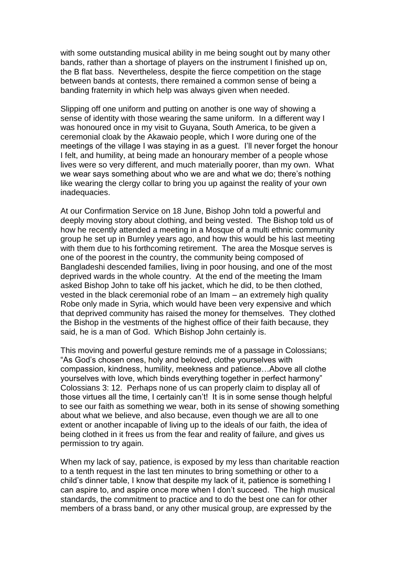with some outstanding musical ability in me being sought out by many other bands, rather than a shortage of players on the instrument I finished up on, the B flat bass. Nevertheless, despite the fierce competition on the stage between bands at contests, there remained a common sense of being a banding fraternity in which help was always given when needed.

Slipping off one uniform and putting on another is one way of showing a sense of identity with those wearing the same uniform. In a different way I was honoured once in my visit to Guyana, South America, to be given a ceremonial cloak by the Akawaio people, which I wore during one of the meetings of the village I was staying in as a guest. I'll never forget the honour I felt, and humility, at being made an honourary member of a people whose lives were so very different, and much materially poorer, than my own. What we wear says something about who we are and what we do; there's nothing like wearing the clergy collar to bring you up against the reality of your own inadequacies.

At our Confirmation Service on 18 June, Bishop John told a powerful and deeply moving story about clothing, and being vested. The Bishop told us of how he recently attended a meeting in a Mosque of a multi ethnic community group he set up in Burnley years ago, and how this would be his last meeting with them due to his forthcoming retirement. The area the Mosque serves is one of the poorest in the country, the community being composed of Bangladeshi descended families, living in poor housing, and one of the most deprived wards in the whole country. At the end of the meeting the Imam asked Bishop John to take off his jacket, which he did, to be then clothed, vested in the black ceremonial robe of an Imam – an extremely high quality Robe only made in Syria, which would have been very expensive and which that deprived community has raised the money for themselves. They clothed the Bishop in the vestments of the highest office of their faith because, they said, he is a man of God. Which Bishop John certainly is.

This moving and powerful gesture reminds me of a passage in Colossians; "As God's chosen ones, holy and beloved, clothe yourselves with compassion, kindness, humility, meekness and patience…Above all clothe yourselves with love, which binds everything together in perfect harmony" Colossians 3: 12. Perhaps none of us can properly claim to display all of those virtues all the time, I certainly can't! It is in some sense though helpful to see our faith as something we wear, both in its sense of showing something about what we believe, and also because, even though we are all to one extent or another incapable of living up to the ideals of our faith, the idea of being clothed in it frees us from the fear and reality of failure, and gives us permission to try again.

When my lack of say, patience, is exposed by my less than charitable reaction to a tenth request in the last ten minutes to bring something or other to a child's dinner table, I know that despite my lack of it, patience is something I can aspire to, and aspire once more when I don't succeed. The high musical standards, the commitment to practice and to do the best one can for other members of a brass band, or any other musical group, are expressed by the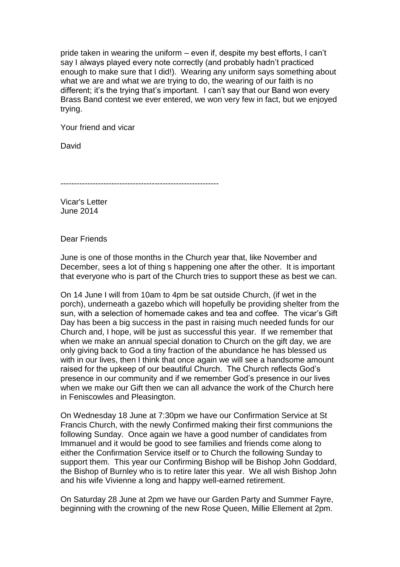pride taken in wearing the uniform – even if, despite my best efforts, I can't say I always played every note correctly (and probably hadn't practiced enough to make sure that I did!). Wearing any uniform says something about what we are and what we are trying to do, the wearing of our faith is no different; it's the trying that's important. I can't say that our Band won every Brass Band contest we ever entered, we won very few in fact, but we enjoyed trying.

Your friend and vicar

**David** 

-----------------------------------------------------------

Vicar's Letter June 2014

Dear Friends

June is one of those months in the Church year that, like November and December, sees a lot of thing s happening one after the other. It is important that everyone who is part of the Church tries to support these as best we can.

On 14 June I will from 10am to 4pm be sat outside Church, (if wet in the porch), underneath a gazebo which will hopefully be providing shelter from the sun, with a selection of homemade cakes and tea and coffee. The vicar's Gift Day has been a big success in the past in raising much needed funds for our Church and, I hope, will be just as successful this year. If we remember that when we make an annual special donation to Church on the gift day, we are only giving back to God a tiny fraction of the abundance he has blessed us with in our lives, then I think that once again we will see a handsome amount raised for the upkeep of our beautiful Church. The Church reflects God's presence in our community and if we remember God's presence in our lives when we make our Gift then we can all advance the work of the Church here in Feniscowles and Pleasington.

On Wednesday 18 June at 7:30pm we have our Confirmation Service at St Francis Church, with the newly Confirmed making their first communions the following Sunday. Once again we have a good number of candidates from Immanuel and it would be good to see families and friends come along to either the Confirmation Service itself or to Church the following Sunday to support them. This year our Confirming Bishop will be Bishop John Goddard, the Bishop of Burnley who is to retire later this year. We all wish Bishop John and his wife Vivienne a long and happy well-earned retirement.

On Saturday 28 June at 2pm we have our Garden Party and Summer Fayre, beginning with the crowning of the new Rose Queen, Millie Ellement at 2pm.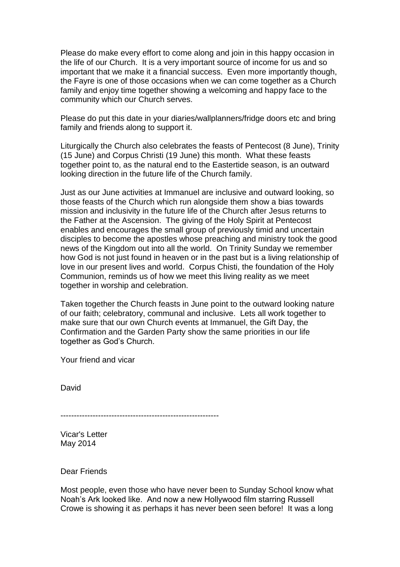Please do make every effort to come along and join in this happy occasion in the life of our Church. It is a very important source of income for us and so important that we make it a financial success. Even more importantly though, the Fayre is one of those occasions when we can come together as a Church family and enjoy time together showing a welcoming and happy face to the community which our Church serves.

Please do put this date in your diaries/wallplanners/fridge doors etc and bring family and friends along to support it.

Liturgically the Church also celebrates the feasts of Pentecost (8 June), Trinity (15 June) and Corpus Christi (19 June) this month. What these feasts together point to, as the natural end to the Eastertide season, is an outward looking direction in the future life of the Church family.

Just as our June activities at Immanuel are inclusive and outward looking, so those feasts of the Church which run alongside them show a bias towards mission and inclusivity in the future life of the Church after Jesus returns to the Father at the Ascension. The giving of the Holy Spirit at Pentecost enables and encourages the small group of previously timid and uncertain disciples to become the apostles whose preaching and ministry took the good news of the Kingdom out into all the world. On Trinity Sunday we remember how God is not just found in heaven or in the past but is a living relationship of love in our present lives and world. Corpus Chisti, the foundation of the Holy Communion, reminds us of how we meet this living reality as we meet together in worship and celebration.

Taken together the Church feasts in June point to the outward looking nature of our faith; celebratory, communal and inclusive. Lets all work together to make sure that our own Church events at Immanuel, the Gift Day, the Confirmation and the Garden Party show the same priorities in our life together as God's Church.

Your friend and vicar

**David** 

-----------------------------------------------------------

Vicar's Letter May 2014

Dear Friends

Most people, even those who have never been to Sunday School know what Noah's Ark looked like. And now a new Hollywood film starring Russell Crowe is showing it as perhaps it has never been seen before! It was a long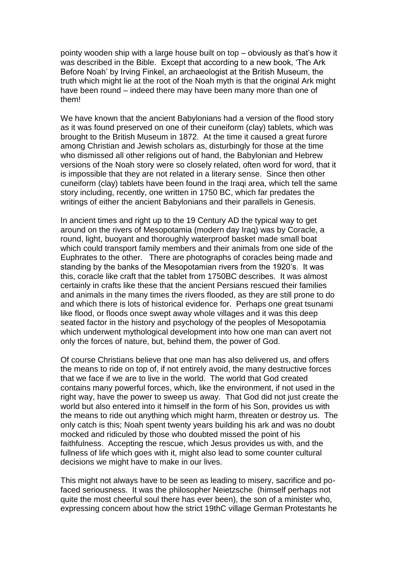pointy wooden ship with a large house built on top – obviously as that's how it was described in the Bible. Except that according to a new book, 'The Ark Before Noah' by Irving Finkel, an archaeologist at the British Museum, the truth which might lie at the root of the Noah myth is that the original Ark might have been round – indeed there may have been many more than one of them!

We have known that the ancient Babylonians had a version of the flood story as it was found preserved on one of their cuneiform (clay) tablets, which was brought to the British Museum in 1872. At the time it caused a great furore among Christian and Jewish scholars as, disturbingly for those at the time who dismissed all other religions out of hand, the Babylonian and Hebrew versions of the Noah story were so closely related, often word for word, that it is impossible that they are not related in a literary sense. Since then other cuneiform (clay) tablets have been found in the Iraqi area, which tell the same story including, recently, one written in 1750 BC, which far predates the writings of either the ancient Babylonians and their parallels in Genesis.

In ancient times and right up to the 19 Century AD the typical way to get around on the rivers of Mesopotamia (modern day Iraq) was by Coracle, a round, light, buoyant and thoroughly waterproof basket made small boat which could transport family members and their animals from one side of the Euphrates to the other. There are photographs of coracles being made and standing by the banks of the Mesopotamian rivers from the 1920's. It was this, coracle like craft that the tablet from 1750BC describes. It was almost certainly in crafts like these that the ancient Persians rescued their families and animals in the many times the rivers flooded, as they are still prone to do and which there is lots of historical evidence for. Perhaps one great tsunami like flood, or floods once swept away whole villages and it was this deep seated factor in the history and psychology of the peoples of Mesopotamia which underwent mythological development into how one man can avert not only the forces of nature, but, behind them, the power of God.

Of course Christians believe that one man has also delivered us, and offers the means to ride on top of, if not entirely avoid, the many destructive forces that we face if we are to live in the world. The world that God created contains many powerful forces, which, like the environment, if not used in the right way, have the power to sweep us away. That God did not just create the world but also entered into it himself in the form of his Son, provides us with the means to ride out anything which might harm, threaten or destroy us. The only catch is this; Noah spent twenty years building his ark and was no doubt mocked and ridiculed by those who doubted missed the point of his faithfulness. Accepting the rescue, which Jesus provides us with, and the fullness of life which goes with it, might also lead to some counter cultural decisions we might have to make in our lives.

This might not always have to be seen as leading to misery, sacrifice and pofaced seriousness. It was the philosopher Neietzsche (himself perhaps not quite the most cheerful soul there has ever been), the son of a minister who, expressing concern about how the strict 19thC village German Protestants he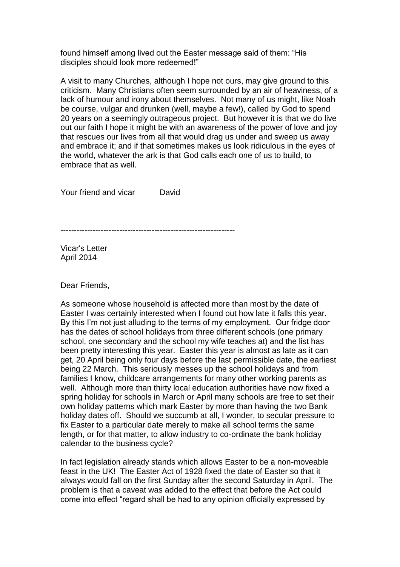found himself among lived out the Easter message said of them: "His disciples should look more redeemed!"

A visit to many Churches, although I hope not ours, may give ground to this criticism. Many Christians often seem surrounded by an air of heaviness, of a lack of humour and irony about themselves. Not many of us might, like Noah be course, vulgar and drunken (well, maybe a few!), called by God to spend 20 years on a seemingly outrageous project. But however it is that we do live out our faith I hope it might be with an awareness of the power of love and joy that rescues our lives from all that would drag us under and sweep us away and embrace it; and if that sometimes makes us look ridiculous in the eyes of the world, whatever the ark is that God calls each one of us to build, to embrace that as well.

Your friend and vicar David

-----------------------------------------------------------------

Vicar's Letter April 2014

Dear Friends,

As someone whose household is affected more than most by the date of Easter I was certainly interested when I found out how late it falls this year. By this I'm not just alluding to the terms of my employment. Our fridge door has the dates of school holidays from three different schools (one primary school, one secondary and the school my wife teaches at) and the list has been pretty interesting this year. Easter this year is almost as late as it can get, 20 April being only four days before the last permissible date, the earliest being 22 March. This seriously messes up the school holidays and from families I know, childcare arrangements for many other working parents as well. Although more than thirty local education authorities have now fixed a spring holiday for schools in March or April many schools are free to set their own holiday patterns which mark Easter by more than having the two Bank holiday dates off. Should we succumb at all, I wonder, to secular pressure to fix Easter to a particular date merely to make all school terms the same length, or for that matter, to allow industry to co-ordinate the bank holiday calendar to the business cycle?

In fact legislation already stands which allows Easter to be a non-moveable feast in the UK! The Easter Act of 1928 fixed the date of Easter so that it always would fall on the first Sunday after the second Saturday in April. The problem is that a caveat was added to the effect that before the Act could come into effect "regard shall be had to any opinion officially expressed by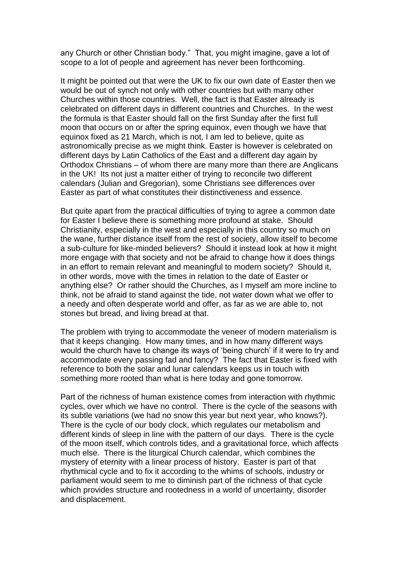any Church or other Christian body." That, you might imagine, gave a lot of scope to a lot of people and agreement has never been forthcoming.

It might be pointed out that were the UK to fix our own date of Easter then we would be out of synch not only with other countries but with many other Churches within those countries. Well, the fact is that Easter already is celebrated on different days in different countries and Churches. In the west the formula is that Easter should fall on the first Sunday after the first full moon that occurs on or after the spring equinox, even though we have that equinox fixed as 21 March, which is not, I am led to believe, quite as astronomically precise as we might think. Easter is however is celebrated on different days by Latin Catholics of the East and a different day again by Orthodox Christians – of whom there are many more than there are Anglicans in the UK! Its not just a matter either of trying to reconcile two different calendars (Julian and Gregorian), some Christians see differences over Easter as part of what constitutes their distinctiveness and essence.

But quite apart from the practical difficulties of trying to agree a common date for Easter I believe there is something more profound at stake. Should Christianity, especially in the west and especially in this country so much on the wane, further distance itself from the rest of society, allow itself to become a sub-culture for like-minded believers? Should it instead look at how it might more engage with that society and not be afraid to change how it does things in an effort to remain relevant and meaningful to modern society? Should it, in other words, move with the times in relation to the date of Easter or anything else? Or rather should the Churches, as I myself am more incline to think, not be afraid to stand against the tide, not water down what we offer to a needy and often desperate world and offer, as far as we are able to, not stones but bread, and living bread at that.

The problem with trying to accommodate the veneer of modern materialism is that it keeps changing. How many times, and in how many different ways would the church have to change its ways of 'being church' if it were to try and accommodate every passing fad and fancy? The fact that Easter is fixed with reference to both the solar and lunar calendars keeps us in touch with something more rooted than what is here today and gone tomorrow.

Part of the richness of human existence comes from interaction with rhythmic cycles, over which we have no control. There is the cycle of the seasons with its subtle variations (we had no snow this year but next year, who knows?). There is the cycle of our body clock, which regulates our metabolism and different kinds of sleep in line with the pattern of our days. There is the cycle of the moon itself, which controls tides, and a gravitational force, which affects much else. There is the liturgical Church calendar, which combines the mystery of eternity with a linear process of history. Easter is part of that rhythmical cycle and to fix it according to the whims of schools, industry or parliament would seem to me to diminish part of the richness of that cycle which provides structure and rootedness in a world of uncertainty, disorder and displacement.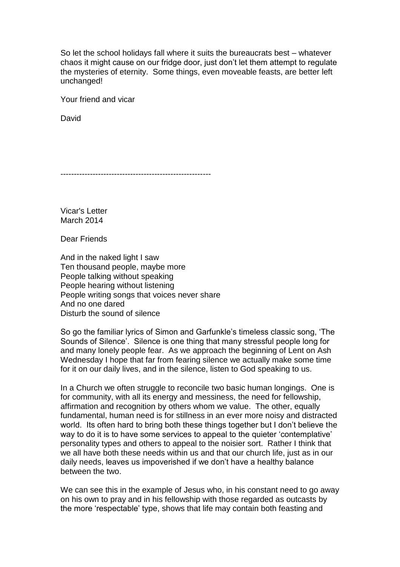So let the school holidays fall where it suits the bureaucrats best – whatever chaos it might cause on our fridge door, just don't let them attempt to regulate the mysteries of eternity. Some things, even moveable feasts, are better left unchanged!

Your friend and vicar

David

--------------------------------------------------------

Vicar's Letter March 2014

Dear Friends

And in the naked light I saw Ten thousand people, maybe more People talking without speaking People hearing without listening People writing songs that voices never share And no one dared Disturb the sound of silence

So go the familiar lyrics of Simon and Garfunkle's timeless classic song, 'The Sounds of Silence'. Silence is one thing that many stressful people long for and many lonely people fear. As we approach the beginning of Lent on Ash Wednesday I hope that far from fearing silence we actually make some time for it on our daily lives, and in the silence, listen to God speaking to us.

In a Church we often struggle to reconcile two basic human longings. One is for community, with all its energy and messiness, the need for fellowship, affirmation and recognition by others whom we value. The other, equally fundamental, human need is for stillness in an ever more noisy and distracted world. Its often hard to bring both these things together but I don't believe the way to do it is to have some services to appeal to the quieter 'contemplative' personality types and others to appeal to the noisier sort. Rather I think that we all have both these needs within us and that our church life, just as in our daily needs, leaves us impoverished if we don't have a healthy balance between the two.

We can see this in the example of Jesus who, in his constant need to go away on his own to pray and in his fellowship with those regarded as outcasts by the more 'respectable' type, shows that life may contain both feasting and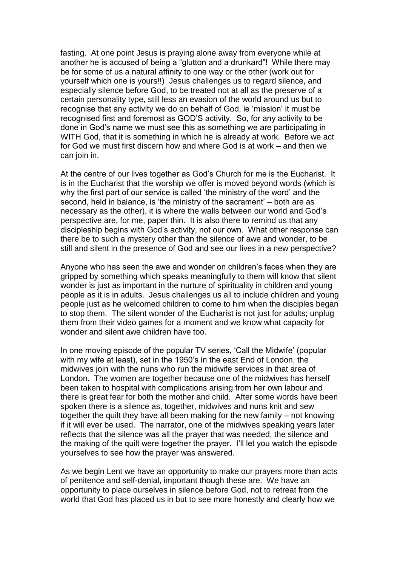fasting. At one point Jesus is praying alone away from everyone while at another he is accused of being a "glutton and a drunkard"! While there may be for some of us a natural affinity to one way or the other (work out for yourself which one is yours!!) Jesus challenges us to regard silence, and especially silence before God, to be treated not at all as the preserve of a certain personality type, still less an evasion of the world around us but to recognise that any activity we do on behalf of God, ie 'mission' it must be recognised first and foremost as GOD'S activity. So, for any activity to be done in God's name we must see this as something we are participating in WITH God, that it is something in which he is already at work. Before we act for God we must first discern how and where God is at work – and then we can join in.

At the centre of our lives together as God's Church for me is the Eucharist. It is in the Eucharist that the worship we offer is moved beyond words (which is why the first part of our service is called 'the ministry of the word' and the second, held in balance, is 'the ministry of the sacrament' – both are as necessary as the other), it is where the walls between our world and God's perspective are, for me, paper thin. It is also there to remind us that any discipleship begins with God's activity, not our own. What other response can there be to such a mystery other than the silence of awe and wonder, to be still and silent in the presence of God and see our lives in a new perspective?

Anyone who has seen the awe and wonder on children's faces when they are gripped by something which speaks meaningfully to them will know that silent wonder is just as important in the nurture of spirituality in children and young people as it is in adults. Jesus challenges us all to include children and young people just as he welcomed children to come to him when the disciples began to stop them. The silent wonder of the Eucharist is not just for adults; unplug them from their video games for a moment and we know what capacity for wonder and silent awe children have too.

In one moving episode of the popular TV series, 'Call the Midwife' (popular with my wife at least), set in the 1950's in the east End of London, the midwives join with the nuns who run the midwife services in that area of London. The women are together because one of the midwives has herself been taken to hospital with complications arising from her own labour and there is great fear for both the mother and child. After some words have been spoken there is a silence as, together, midwives and nuns knit and sew together the quilt they have all been making for the new family – not knowing if it will ever be used. The narrator, one of the midwives speaking years later reflects that the silence was all the prayer that was needed, the silence and the making of the quilt were together the prayer. I'll let you watch the episode yourselves to see how the prayer was answered.

As we begin Lent we have an opportunity to make our prayers more than acts of penitence and self-denial, important though these are. We have an opportunity to place ourselves in silence before God, not to retreat from the world that God has placed us in but to see more honestly and clearly how we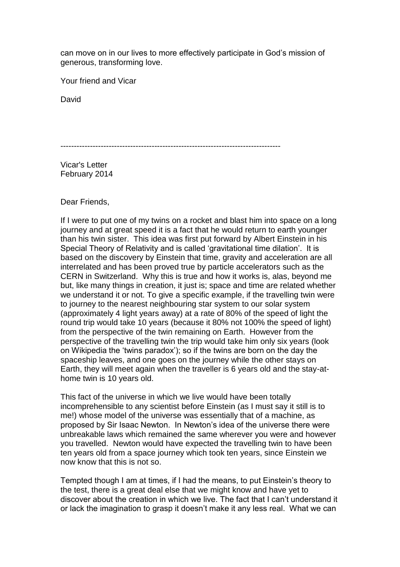can move on in our lives to more effectively participate in God's mission of generous, transforming love.

Your friend and Vicar

David

----------------------------------------------------------------------------------

Vicar's Letter February 2014

Dear Friends,

If I were to put one of my twins on a rocket and blast him into space on a long journey and at great speed it is a fact that he would return to earth younger than his twin sister. This idea was first put forward by Albert Einstein in his Special Theory of Relativity and is called 'gravitational time dilation'. It is based on the discovery by Einstein that time, gravity and acceleration are all interrelated and has been proved true by particle accelerators such as the CERN in Switzerland. Why this is true and how it works is, alas, beyond me but, like many things in creation, it just is; space and time are related whether we understand it or not. To give a specific example, if the travelling twin were to journey to the nearest neighbouring star system to our solar system (approximately 4 light years away) at a rate of 80% of the speed of light the round trip would take 10 years (because it 80% not 100% the speed of light) from the perspective of the twin remaining on Earth. However from the perspective of the travelling twin the trip would take him only six years (look on Wikipedia the 'twins paradox'); so if the twins are born on the day the spaceship leaves, and one goes on the journey while the other stays on Earth, they will meet again when the traveller is 6 years old and the stay-athome twin is 10 years old.

This fact of the universe in which we live would have been totally incomprehensible to any scientist before Einstein (as I must say it still is to me!) whose model of the universe was essentially that of a machine, as proposed by Sir Isaac Newton. In Newton's idea of the universe there were unbreakable laws which remained the same wherever you were and however you travelled. Newton would have expected the travelling twin to have been ten years old from a space journey which took ten years, since Einstein we now know that this is not so.

Tempted though I am at times, if I had the means, to put Einstein's theory to the test, there is a great deal else that we might know and have yet to discover about the creation in which we live. The fact that I can't understand it or lack the imagination to grasp it doesn't make it any less real. What we can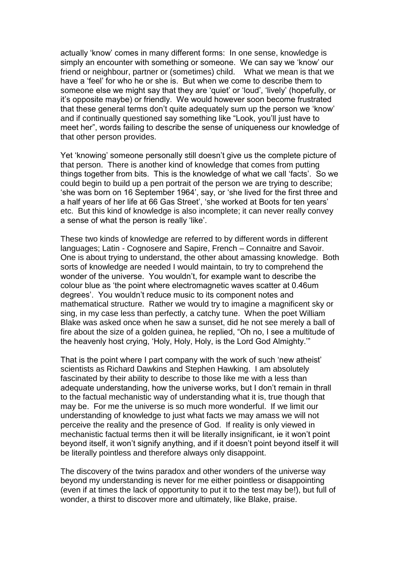actually 'know' comes in many different forms: In one sense, knowledge is simply an encounter with something or someone. We can say we 'know' our friend or neighbour, partner or (sometimes) child. What we mean is that we have a 'feel' for who he or she is. But when we come to describe them to someone else we might say that they are 'quiet' or 'loud', 'lively' (hopefully, or it's opposite maybe) or friendly. We would however soon become frustrated that these general terms don't quite adequately sum up the person we 'know' and if continually questioned say something like "Look, you'll just have to meet her", words failing to describe the sense of uniqueness our knowledge of that other person provides.

Yet 'knowing' someone personally still doesn't give us the complete picture of that person. There is another kind of knowledge that comes from putting things together from bits. This is the knowledge of what we call 'facts'. So we could begin to build up a pen portrait of the person we are trying to describe; 'she was born on 16 September 1964', say, or 'she lived for the first three and a half years of her life at 66 Gas Street', 'she worked at Boots for ten years' etc. But this kind of knowledge is also incomplete; it can never really convey a sense of what the person is really 'like'.

These two kinds of knowledge are referred to by different words in different languages; Latin - Cognosere and Sapire, French – Connaitre and Savoir. One is about trying to understand, the other about amassing knowledge. Both sorts of knowledge are needed I would maintain, to try to comprehend the wonder of the universe. You wouldn't, for example want to describe the colour blue as 'the point where electromagnetic waves scatter at 0.46um degrees'. You wouldn't reduce music to its component notes and mathematical structure. Rather we would try to imagine a magnificent sky or sing, in my case less than perfectly, a catchy tune. When the poet William Blake was asked once when he saw a sunset, did he not see merely a ball of fire about the size of a golden guinea, he replied, "Oh no, I see a multitude of the heavenly host crying, 'Holy, Holy, Holy, is the Lord God Almighty.'"

That is the point where I part company with the work of such 'new atheist' scientists as Richard Dawkins and Stephen Hawking. I am absolutely fascinated by their ability to describe to those like me with a less than adequate understanding, how the universe works, but I don't remain in thrall to the factual mechanistic way of understanding what it is, true though that may be. For me the universe is so much more wonderful. If we limit our understanding of knowledge to just what facts we may amass we will not perceive the reality and the presence of God. If reality is only viewed in mechanistic factual terms then it will be literally insignificant, ie it won't point beyond itself, it won't signify anything, and if it doesn't point beyond itself it will be literally pointless and therefore always only disappoint.

The discovery of the twins paradox and other wonders of the universe way beyond my understanding is never for me either pointless or disappointing (even if at times the lack of opportunity to put it to the test may be!), but full of wonder, a thirst to discover more and ultimately, like Blake, praise.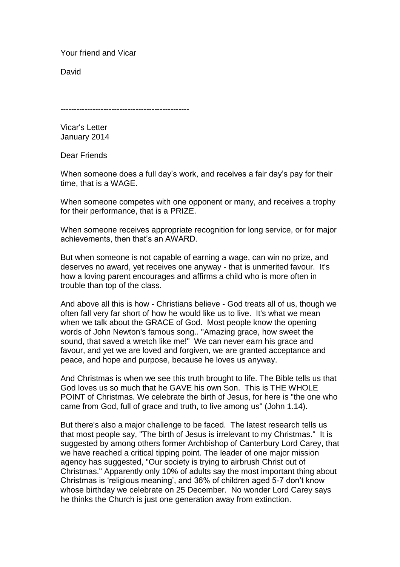Your friend and Vicar

**David** 

------------------------------------------------

Vicar's Letter January 2014

Dear Friends

When someone does a full day's work, and receives a fair day's pay for their time, that is a WAGE.

When someone competes with one opponent or many, and receives a trophy for their performance, that is a PRIZE.

When someone receives appropriate recognition for long service, or for major achievements, then that's an AWARD.

But when someone is not capable of earning a wage, can win no prize, and deserves no award, yet receives one anyway - that is unmerited favour. It's how a loving parent encourages and affirms a child who is more often in trouble than top of the class.

And above all this is how - Christians believe - God treats all of us, though we often fall very far short of how he would like us to live. It's what we mean when we talk about the GRACE of God. Most people know the opening words of John Newton's famous song.. "Amazing grace, how sweet the sound, that saved a wretch like me!" We can never earn his grace and favour, and yet we are loved and forgiven, we are granted acceptance and peace, and hope and purpose, because he loves us anyway.

And Christmas is when we see this truth brought to life. The Bible tells us that God loves us so much that he GAVE his own Son. This is THE WHOLE POINT of Christmas. We celebrate the birth of Jesus, for here is "the one who came from God, full of grace and truth, to live among us" (John 1.14).

But there's also a major challenge to be faced. The latest research tells us that most people say, "The birth of Jesus is irrelevant to my Christmas." It is suggested by among others former Archbishop of Canterbury Lord Carey, that we have reached a critical tipping point. The leader of one major mission agency has suggested, "Our society is trying to airbrush Christ out of Christmas." Apparently only 10% of adults say the most important thing about Christmas is 'religious meaning', and 36% of children aged 5-7 don't know whose birthday we celebrate on 25 December. No wonder Lord Carey says he thinks the Church is just one generation away from extinction.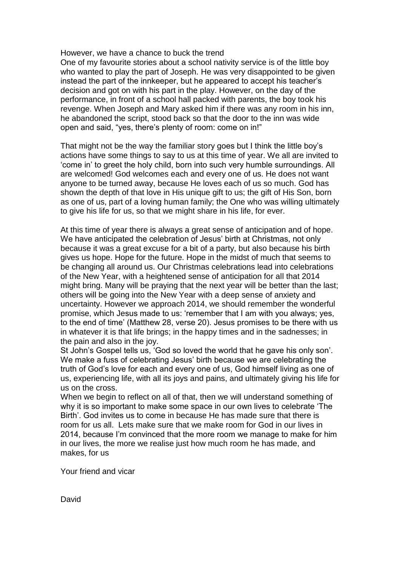## However, we have a chance to buck the trend

One of my favourite stories about a school nativity service is of the little boy who wanted to play the part of Joseph. He was very disappointed to be given instead the part of the innkeeper, but he appeared to accept his teacher's decision and got on with his part in the play. However, on the day of the performance, in front of a school hall packed with parents, the boy took his revenge. When Joseph and Mary asked him if there was any room in his inn, he abandoned the script, stood back so that the door to the inn was wide open and said, "yes, there's plenty of room: come on in!"

That might not be the way the familiar story goes but I think the little boy's actions have some things to say to us at this time of year. We all are invited to 'come in' to greet the holy child, born into such very humble surroundings. All are welcomed! God welcomes each and every one of us. He does not want anyone to be turned away, because He loves each of us so much. God has shown the depth of that love in His unique gift to us; the gift of His Son, born as one of us, part of a loving human family; the One who was willing ultimately to give his life for us, so that we might share in his life, for ever.

At this time of year there is always a great sense of anticipation and of hope. We have anticipated the celebration of Jesus' birth at Christmas, not only because it was a great excuse for a bit of a party, but also because his birth gives us hope. Hope for the future. Hope in the midst of much that seems to be changing all around us. Our Christmas celebrations lead into celebrations of the New Year, with a heightened sense of anticipation for all that 2014 might bring. Many will be praying that the next year will be better than the last; others will be going into the New Year with a deep sense of anxiety and uncertainty. However we approach 2014, we should remember the wonderful promise, which Jesus made to us: 'remember that I am with you always; yes, to the end of time' (Matthew 28, verse 20). Jesus promises to be there with us in whatever it is that life brings; in the happy times and in the sadnesses; in the pain and also in the joy.

St John's Gospel tells us, 'God so loved the world that he gave his only son'. We make a fuss of celebrating Jesus' birth because we are celebrating the truth of God's love for each and every one of us, God himself living as one of us, experiencing life, with all its joys and pains, and ultimately giving his life for us on the cross.

When we begin to reflect on all of that, then we will understand something of why it is so important to make some space in our own lives to celebrate 'The Birth'. God invites us to come in because He has made sure that there is room for us all. Lets make sure that we make room for God in our lives in 2014, because I'm convinced that the more room we manage to make for him in our lives, the more we realise just how much room he has made, and makes, for us

Your friend and vicar

**David**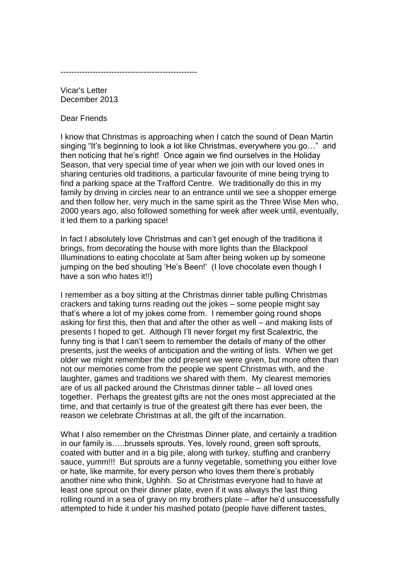Vicar's Letter December 2013

Dear Friends

I know that Christmas is approaching when I catch the sound of Dean Martin singing "It's beginning to look a lot like Christmas, everywhere you go…" and then noticing that he's right! Once again we find ourselves in the Holiday Season, that very special time of year when we join with our loved ones in sharing centuries old traditions, a particular favourite of mine being trying to find a parking space at the Trafford Centre. We traditionally do this in my family by driving in circles near to an entrance until we see a shopper emerge and then follow her, very much in the same spirit as the Three Wise Men who, 2000 years ago, also followed something for week after week until, eventually, it led them to a parking space!

In fact I absolutely love Christmas and can't get enough of the traditions it brings, from decorating the house with more lights than the Blackpool Illuminations to eating chocolate at 5am after being woken up by someone jumping on the bed shouting 'He's Been!' (I love chocolate even though I have a son who hates it!!)

I remember as a boy sitting at the Christmas dinner table pulling Christmas crackers and taking turns reading out the jokes – some people might say that's where a lot of my jokes come from. I remember going round shops asking for first this, then that and after the other as well – and making lists of presents I hoped to get. Although I'll never forget my first Scalextric, the funny ting is that I can't seem to remember the details of many of the other presents, just the weeks of anticipation and the writing of lists. When we get older we might remember the odd present we were given, but more often than not our memories come from the people we spent Christmas with, and the laughter, games and traditions we shared with them. My clearest memories are of us all packed around the Christmas dinner table – all loved ones together. Perhaps the greatest gifts are not the ones most appreciated at the time, and that certainly is true of the greatest gift there has ever been, the reason we celebrate Christmas at all, the gift of the incarnation.

What I also remember on the Christmas Dinner plate, and certainly a tradition in our family is…..brussels sprouts. Yes, lovely round, green soft sprouts, coated with butter and in a big pile, along with turkey, stuffing and cranberry sauce, yumm!!! But sprouts are a funny vegetable, something you either love or hate, like marmite, for every person who loves them there's probably another nine who think, Ughhh. So at Christmas everyone had to have at least one sprout on their dinner plate, even if it was always the last thing rolling round in a sea of gravy on my brothers plate – after he'd unsuccessfully attempted to hide it under his mashed potato (people have different tastes,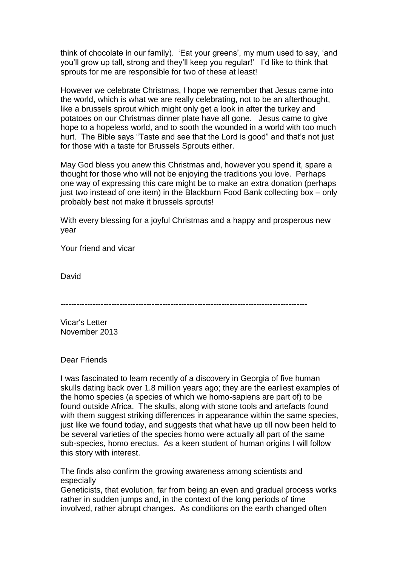think of chocolate in our family). 'Eat your greens', my mum used to say, 'and you'll grow up tall, strong and they'll keep you regular!' I'd like to think that sprouts for me are responsible for two of these at least!

However we celebrate Christmas, I hope we remember that Jesus came into the world, which is what we are really celebrating, not to be an afterthought, like a brussels sprout which might only get a look in after the turkey and potatoes on our Christmas dinner plate have all gone. Jesus came to give hope to a hopeless world, and to sooth the wounded in a world with too much hurt. The Bible says "Taste and see that the Lord is good" and that's not just for those with a taste for Brussels Sprouts either.

May God bless you anew this Christmas and, however you spend it, spare a thought for those who will not be enjoying the traditions you love. Perhaps one way of expressing this care might be to make an extra donation (perhaps just two instead of one item) in the Blackburn Food Bank collecting box – only probably best not make it brussels sprouts!

With every blessing for a joyful Christmas and a happy and prosperous new year

Your friend and vicar

David

--------------------------------------------------------------------------------------------

Vicar's Letter November 2013

Dear Friends

I was fascinated to learn recently of a discovery in Georgia of five human skulls dating back over 1.8 million years ago; they are the earliest examples of the homo species (a species of which we homo-sapiens are part of) to be found outside Africa. The skulls, along with stone tools and artefacts found with them suggest striking differences in appearance within the same species, just like we found today, and suggests that what have up till now been held to be several varieties of the species homo were actually all part of the same sub-species, homo erectus. As a keen student of human origins I will follow this story with interest.

The finds also confirm the growing awareness among scientists and especially

Geneticists, that evolution, far from being an even and gradual process works rather in sudden jumps and, in the context of the long periods of time involved, rather abrupt changes. As conditions on the earth changed often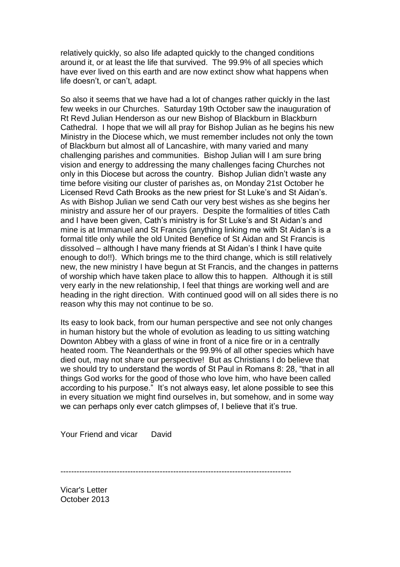relatively quickly, so also life adapted quickly to the changed conditions around it, or at least the life that survived. The 99.9% of all species which have ever lived on this earth and are now extinct show what happens when life doesn't, or can't, adapt.

So also it seems that we have had a lot of changes rather quickly in the last few weeks in our Churches. Saturday 19th October saw the inauguration of Rt Revd Julian Henderson as our new Bishop of Blackburn in Blackburn Cathedral. I hope that we will all pray for Bishop Julian as he begins his new Ministry in the Diocese which, we must remember includes not only the town of Blackburn but almost all of Lancashire, with many varied and many challenging parishes and communities. Bishop Julian will I am sure bring vision and energy to addressing the many challenges facing Churches not only in this Diocese but across the country. Bishop Julian didn't waste any time before visiting our cluster of parishes as, on Monday 21st October he Licensed Revd Cath Brooks as the new priest for St Luke's and St Aidan's. As with Bishop Julian we send Cath our very best wishes as she begins her ministry and assure her of our prayers. Despite the formalities of titles Cath and I have been given, Cath's ministry is for St Luke's and St Aidan's and mine is at Immanuel and St Francis (anything linking me with St Aidan's is a formal title only while the old United Benefice of St Aidan and St Francis is dissolved – although I have many friends at St Aidan's I think I have quite enough to do!!). Which brings me to the third change, which is still relatively new, the new ministry I have begun at St Francis, and the changes in patterns of worship which have taken place to allow this to happen. Although it is still very early in the new relationship, I feel that things are working well and are heading in the right direction. With continued good will on all sides there is no reason why this may not continue to be so.

Its easy to look back, from our human perspective and see not only changes in human history but the whole of evolution as leading to us sitting watching Downton Abbey with a glass of wine in front of a nice fire or in a centrally heated room. The Neanderthals or the 99.9% of all other species which have died out, may not share our perspective! But as Christians I do believe that we should try to understand the words of St Paul in Romans 8: 28, "that in all things God works for the good of those who love him, who have been called according to his purpose." It's not always easy, let alone possible to see this in every situation we might find ourselves in, but somehow, and in some way we can perhaps only ever catch glimpses of, I believe that it's true.

Your Friend and vicar David

--------------------------------------------------------------------------------------

Vicar's Letter October 2013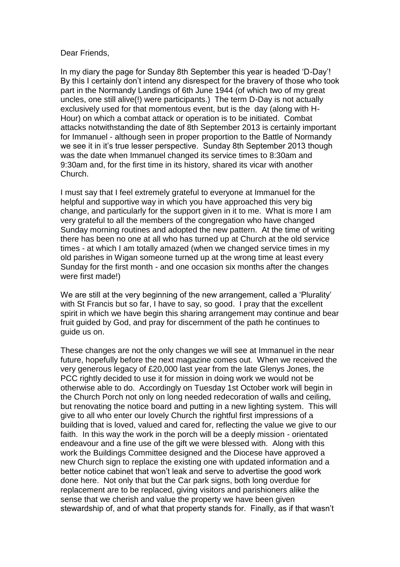## Dear Friends,

In my diary the page for Sunday 8th September this year is headed 'D-Day'! By this I certainly don't intend any disrespect for the bravery of those who took part in the Normandy Landings of 6th June 1944 (of which two of my great uncles, one still alive(!) were participants.) The term D-Day is not actually exclusively used for that momentous event, but is the day (along with H-Hour) on which a combat attack or operation is to be initiated. Combat attacks notwithstanding the date of 8th September 2013 is certainly important for Immanuel - although seen in proper proportion to the Battle of Normandy we see it in it's true lesser perspective. Sunday 8th September 2013 though was the date when Immanuel changed its service times to 8:30am and 9:30am and, for the first time in its history, shared its vicar with another Church.

I must say that I feel extremely grateful to everyone at Immanuel for the helpful and supportive way in which you have approached this very big change, and particularly for the support given in it to me. What is more I am very grateful to all the members of the congregation who have changed Sunday morning routines and adopted the new pattern. At the time of writing there has been no one at all who has turned up at Church at the old service times - at which I am totally amazed (when we changed service times in my old parishes in Wigan someone turned up at the wrong time at least every Sunday for the first month - and one occasion six months after the changes were first made!)

We are still at the very beginning of the new arrangement, called a 'Plurality' with St Francis but so far, I have to say, so good. I pray that the excellent spirit in which we have begin this sharing arrangement may continue and bear fruit guided by God, and pray for discernment of the path he continues to guide us on.

These changes are not the only changes we will see at Immanuel in the near future, hopefully before the next magazine comes out. When we received the very generous legacy of £20,000 last year from the late Glenys Jones, the PCC rightly decided to use it for mission in doing work we would not be otherwise able to do. Accordingly on Tuesday 1st October work will begin in the Church Porch not only on long needed redecoration of walls and ceiling, but renovating the notice board and putting in a new lighting system. This will give to all who enter our lovely Church the rightful first impressions of a building that is loved, valued and cared for, reflecting the value we give to our faith. In this way the work in the porch will be a deeply mission - orientated endeavour and a fine use of the gift we were blessed with. Along with this work the Buildings Committee designed and the Diocese have approved a new Church sign to replace the existing one with updated information and a better notice cabinet that won't leak and serve to advertise the good work done here. Not only that but the Car park signs, both long overdue for replacement are to be replaced, giving visitors and parishioners alike the sense that we cherish and value the property we have been given stewardship of, and of what that property stands for. Finally, as if that wasn't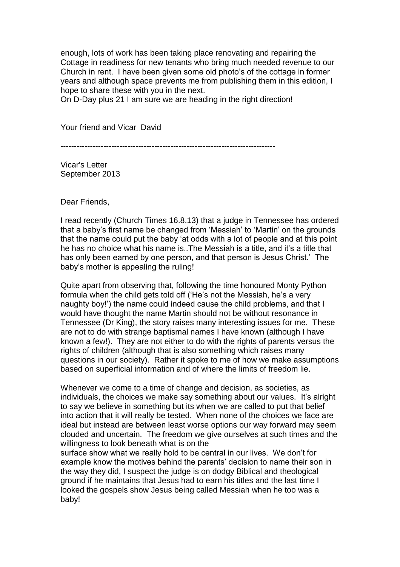enough, lots of work has been taking place renovating and repairing the Cottage in readiness for new tenants who bring much needed revenue to our Church in rent. I have been given some old photo's of the cottage in former years and although space prevents me from publishing them in this edition, I hope to share these with you in the next.

On D-Day plus 21 I am sure we are heading in the right direction!

Your friend and Vicar David

--------------------------------------------------------------------------------

Vicar's Letter September 2013

Dear Friends,

I read recently (Church Times 16.8.13) that a judge in Tennessee has ordered that a baby's first name be changed from 'Messiah' to 'Martin' on the grounds that the name could put the baby 'at odds with a lot of people and at this point he has no choice what his name is..The Messiah is a title, and it's a title that has only been earned by one person, and that person is Jesus Christ.' The baby's mother is appealing the ruling!

Quite apart from observing that, following the time honoured Monty Python formula when the child gets told off ('He's not the Messiah, he's a very naughty boy!') the name could indeed cause the child problems, and that I would have thought the name Martin should not be without resonance in Tennessee (Dr King), the story raises many interesting issues for me. These are not to do with strange baptismal names I have known (although I have known a few!). They are not either to do with the rights of parents versus the rights of children (although that is also something which raises many questions in our society). Rather it spoke to me of how we make assumptions based on superficial information and of where the limits of freedom lie.

Whenever we come to a time of change and decision, as societies, as individuals, the choices we make say something about our values. It's alright to say we believe in something but its when we are called to put that belief into action that it will really be tested. When none of the choices we face are ideal but instead are between least worse options our way forward may seem clouded and uncertain. The freedom we give ourselves at such times and the willingness to look beneath what is on the

surface show what we really hold to be central in our lives. We don't for example know the motives behind the parents' decision to name their son in the way they did, I suspect the judge is on dodgy Biblical and theological ground if he maintains that Jesus had to earn his titles and the last time I looked the gospels show Jesus being called Messiah when he too was a baby!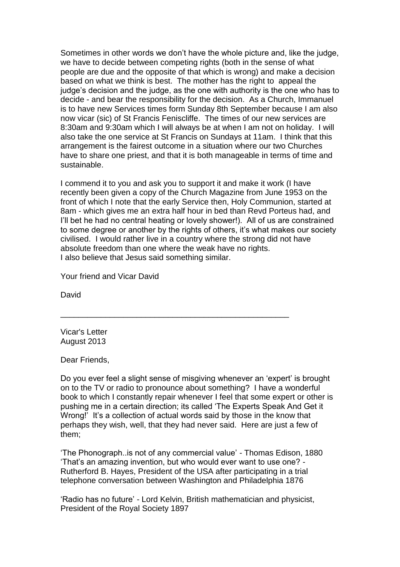Sometimes in other words we don't have the whole picture and, like the judge, we have to decide between competing rights (both in the sense of what people are due and the opposite of that which is wrong) and make a decision based on what we think is best. The mother has the right to appeal the judge's decision and the judge, as the one with authority is the one who has to decide - and bear the responsibility for the decision. As a Church, Immanuel is to have new Services times form Sunday 8th September because I am also now vicar (sic) of St Francis Feniscliffe. The times of our new services are 8:30am and 9:30am which I will always be at when I am not on holiday. I will also take the one service at St Francis on Sundays at 11am. I think that this arrangement is the fairest outcome in a situation where our two Churches have to share one priest, and that it is both manageable in terms of time and sustainable.

I commend it to you and ask you to support it and make it work (I have recently been given a copy of the Church Magazine from June 1953 on the front of which I note that the early Service then, Holy Communion, started at 8am - which gives me an extra half hour in bed than Revd Porteus had, and I'll bet he had no central heating or lovely shower!). All of us are constrained to some degree or another by the rights of others, it's what makes our society civilised. I would rather live in a country where the strong did not have absolute freedom than one where the weak have no rights. I also believe that Jesus said something similar.

Your friend and Vicar David

David

Vicar's Letter August 2013

Dear Friends,

Do you ever feel a slight sense of misgiving whenever an 'expert' is brought on to the TV or radio to pronounce about something? I have a wonderful book to which I constantly repair whenever I feel that some expert or other is pushing me in a certain direction; its called 'The Experts Speak And Get it Wrong!' It's a collection of actual words said by those in the know that perhaps they wish, well, that they had never said. Here are just a few of them;

\_\_\_\_\_\_\_\_\_\_\_\_\_\_\_\_\_\_\_\_\_\_\_\_\_\_\_\_\_\_\_\_\_\_\_\_\_\_\_\_\_\_\_\_\_\_\_\_\_\_\_

'The Phonograph..is not of any commercial value' - Thomas Edison, 1880 'That's an amazing invention, but who would ever want to use one? - Rutherford B. Hayes, President of the USA after participating in a trial telephone conversation between Washington and Philadelphia 1876

'Radio has no future' - Lord Kelvin, British mathematician and physicist, President of the Royal Society 1897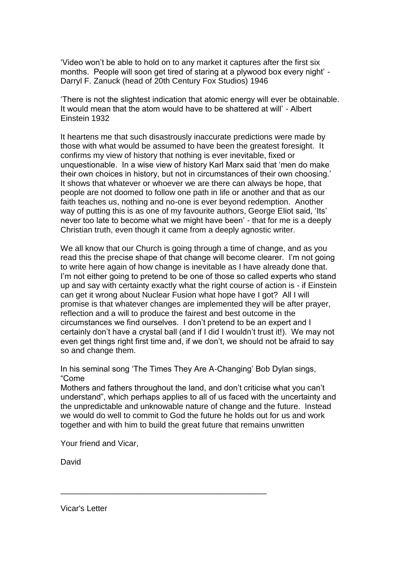'Video won't be able to hold on to any market it captures after the first six months. People will soon get tired of staring at a plywood box every night' - Darryl F. Zanuck (head of 20th Century Fox Studios) 1946

'There is not the slightest indication that atomic energy will ever be obtainable. It would mean that the atom would have to be shattered at will' - Albert Einstein 1932

It heartens me that such disastrously inaccurate predictions were made by those with what would be assumed to have been the greatest foresight. It confirms my view of history that nothing is ever inevitable, fixed or unquestionable. In a wise view of history Karl Marx said that 'men do make their own choices in history, but not in circumstances of their own choosing.' It shows that whatever or whoever we are there can always be hope, that people are not doomed to follow one path in life or another and that as our faith teaches us, nothing and no-one is ever beyond redemption. Another way of putting this is as one of my favourite authors, George Eliot said, 'Its' never too late to become what we might have been' - that for me is a deeply Christian truth, even though it came from a deeply agnostic writer.

We all know that our Church is going through a time of change, and as you read this the precise shape of that change will become clearer. I'm not going to write here again of how change is inevitable as I have already done that. I'm not either going to pretend to be one of those so called experts who stand up and say with certainty exactly what the right course of action is - if Einstein can get it wrong about Nuclear Fusion what hope have I got? All I will promise is that whatever changes are implemented they will be after prayer, reflection and a will to produce the fairest and best outcome in the circumstances we find ourselves. I don't pretend to be an expert and I certainly don't have a crystal ball (and if I did I wouldn't trust it!). We may not even get things right first time and, if we don't, we should not be afraid to say so and change them.

In his seminal song 'The Times They Are A-Changing' Bob Dylan sings, "Come

\_\_\_\_\_\_\_\_\_\_\_\_\_\_\_\_\_\_\_\_\_\_\_\_\_\_\_\_\_\_\_\_\_\_\_\_\_\_\_\_\_\_\_\_\_\_

Mothers and fathers throughout the land, and don't criticise what you can't understand", which perhaps applies to all of us faced with the uncertainty and the unpredictable and unknowable nature of change and the future. Instead we would do well to commit to God the future he holds out for us and work together and with him to build the great future that remains unwritten

Your friend and Vicar,

David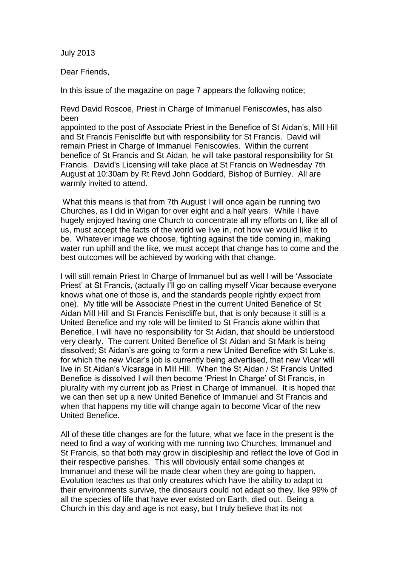July 2013

Dear Friends,

In this issue of the magazine on page 7 appears the following notice;

Revd David Roscoe, Priest in Charge of Immanuel Feniscowles, has also been

appointed to the post of Associate Priest in the Benefice of St Aidan's, Mill Hill and St Francis Feniscliffe but with responsibility for St Francis. David will remain Priest in Charge of Immanuel Feniscowles. Within the current benefice of St Francis and St Aidan, he will take pastoral responsibility for St Francis. David's Licensing will take place at St Francis on Wednesday 7th August at 10:30am by Rt Revd John Goddard, Bishop of Burnley. All are warmly invited to attend.

What this means is that from 7th August I will once again be running two Churches, as I did in Wigan for over eight and a half years. While I have hugely enjoyed having one Church to concentrate all my efforts on I, like all of us, must accept the facts of the world we live in, not how we would like it to be. Whatever image we choose, fighting against the tide coming in, making water run uphill and the like, we must accept that change has to come and the best outcomes will be achieved by working with that change.

I will still remain Priest In Charge of Immanuel but as well I will be 'Associate Priest' at St Francis, (actually I'll go on calling myself Vicar because everyone knows what one of those is, and the standards people rightly expect from one). My title will be Associate Priest in the current United Benefice of St Aidan Mill Hill and St Francis Feniscliffe but, that is only because it still is a United Benefice and my role will be limited to St Francis alone within that Benefice, I will have no responsibility for St Aidan, that should be understood very clearly. The current United Benefice of St Aidan and St Mark is being dissolved; St Aidan's are going to form a new United Benefice with St Luke's, for which the new Vicar's job is currently being advertised, that new Vicar will live in St Aidan's Vicarage in Mill Hill. When the St Aidan / St Francis United Benefice is dissolved I will then become 'Priest In Charge' of St Francis, in plurality with my current job as Priest in Charge of Immanuel. It is hoped that we can then set up a new United Benefice of Immanuel and St Francis and when that happens my title will change again to become Vicar of the new United Benefice.

All of these title changes are for the future, what we face in the present is the need to find a way of working with me running two Churches, Immanuel and St Francis, so that both may grow in discipleship and reflect the love of God in their respective parishes. This will obviously entail some changes at Immanuel and these will be made clear when they are going to happen. Evolution teaches us that only creatures which have the ability to adapt to their environments survive, the dinosaurs could not adapt so they, like 99% of all the species of life that have ever existed on Earth, died out. Being a Church in this day and age is not easy, but I truly believe that its not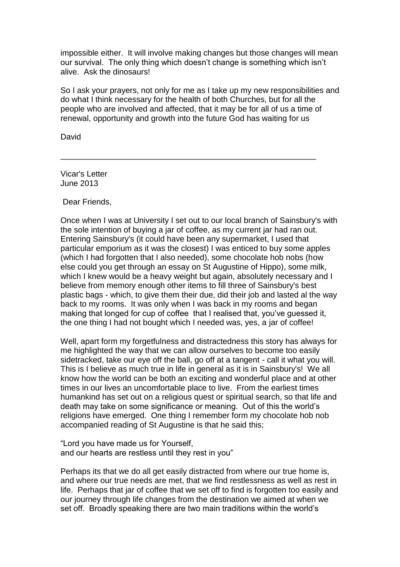impossible either. It will involve making changes but those changes will mean our survival. The only thing which doesn't change is something which isn't alive. Ask the dinosaurs!

So I ask your prayers, not only for me as I take up my new responsibilities and do what I think necessary for the health of both Churches, but for all the people who are involved and affected, that it may be for all of us a time of renewal, opportunity and growth into the future God has waiting for us

\_\_\_\_\_\_\_\_\_\_\_\_\_\_\_\_\_\_\_\_\_\_\_\_\_\_\_\_\_\_\_\_\_\_\_\_\_\_\_\_\_\_\_\_\_\_\_\_\_\_\_\_\_\_\_\_\_

David

Vicar's Letter June 2013

Dear Friends,

Once when I was at University I set out to our local branch of Sainsbury's with the sole intention of buying a jar of coffee, as my current jar had ran out. Entering Sainsbury's (it could have been any supermarket, I used that particular emporium as it was the closest) I was enticed to buy some apples (which I had forgotten that I also needed), some chocolate hob nobs (how else could you get through an essay on St Augustine of Hippo), some milk, which I knew would be a heavy weight but again, absolutely necessary and I believe from memory enough other items to fill three of Sainsbury's best plastic bags - which, to give them their due, did their job and lasted al the way back to my rooms. It was only when I was back in my rooms and began making that longed for cup of coffee that I realised that, you've guessed it, the one thing I had not bought which I needed was, yes, a jar of coffee!

Well, apart form my forgetfulness and distractedness this story has always for me highlighted the way that we can allow ourselves to become too easily sidetracked, take our eye off the ball, go off at a tangent - call it what you will. This is I believe as much true in life in general as it is in Sainsbury's! We all know how the world can be both an exciting and wonderful place and at other times in our lives an uncomfortable place to live. From the earliest times humankind has set out on a religious quest or spiritual search, so that life and death may take on some significance or meaning. Out of this the world's religions have emerged. One thing I remember form my chocolate hob nob accompanied reading of St Augustine is that he said this;

"Lord you have made us for Yourself, and our hearts are restless until they rest in you"

Perhaps its that we do all get easily distracted from where our true home is, and where our true needs are met, that we find restlessness as well as rest in life. Perhaps that jar of coffee that we set off to find is forgotten too easily and our journey through life changes from the destination we aimed at when we set off. Broadly speaking there are two main traditions within the world's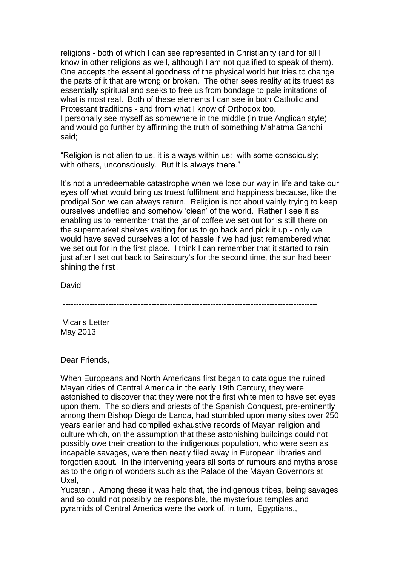religions - both of which I can see represented in Christianity (and for all I know in other religions as well, although I am not qualified to speak of them). One accepts the essential goodness of the physical world but tries to change the parts of it that are wrong or broken. The other sees reality at its truest as essentially spiritual and seeks to free us from bondage to pale imitations of what is most real. Both of these elements I can see in both Catholic and Protestant traditions - and from what I know of Orthodox too. I personally see myself as somewhere in the middle (in true Anglican style) and would go further by affirming the truth of something Mahatma Gandhi said;

"Religion is not alien to us. it is always within us: with some consciously; with others, unconsciously. But it is always there."

It's not a unredeemable catastrophe when we lose our way in life and take our eyes off what would bring us truest fulfilment and happiness because, like the prodigal Son we can always return. Religion is not about vainly trying to keep ourselves undefiled and somehow 'clean' of the world. Rather I see it as enabling us to remember that the jar of coffee we set out for is still there on the supermarket shelves waiting for us to go back and pick it up - only we would have saved ourselves a lot of hassle if we had just remembered what we set out for in the first place. I think I can remember that it started to rain just after I set out back to Sainsbury's for the second time, the sun had been shining the first !

David

-----------------------------------------------------------------------------------------------

Vicar's Letter May 2013

Dear Friends,

When Europeans and North Americans first began to catalogue the ruined Mayan cities of Central America in the early 19th Century, they were astonished to discover that they were not the first white men to have set eyes upon them. The soldiers and priests of the Spanish Conquest, pre-eminently among them Bishop Diego de Landa, had stumbled upon many sites over 250 years earlier and had compiled exhaustive records of Mayan religion and culture which, on the assumption that these astonishing buildings could not possibly owe their creation to the indigenous population, who were seen as incapable savages, were then neatly filed away in European libraries and forgotten about. In the intervening years all sorts of rumours and myths arose as to the origin of wonders such as the Palace of the Mayan Governors at Uxal,

Yucatan . Among these it was held that, the indigenous tribes, being savages and so could not possibly be responsible, the mysterious temples and pyramids of Central America were the work of, in turn, Egyptians,,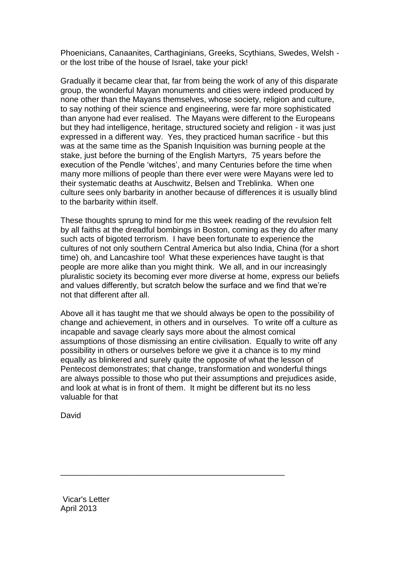Phoenicians, Canaanites, Carthaginians, Greeks, Scythians, Swedes, Welsh or the lost tribe of the house of Israel, take your pick!

Gradually it became clear that, far from being the work of any of this disparate group, the wonderful Mayan monuments and cities were indeed produced by none other than the Mayans themselves, whose society, religion and culture, to say nothing of their science and engineering, were far more sophisticated than anyone had ever realised. The Mayans were different to the Europeans but they had intelligence, heritage, structured society and religion - it was just expressed in a different way. Yes, they practiced human sacrifice - but this was at the same time as the Spanish Inquisition was burning people at the stake, just before the burning of the English Martyrs, 75 years before the execution of the Pendle 'witches', and many Centuries before the time when many more millions of people than there ever were were Mayans were led to their systematic deaths at Auschwitz, Belsen and Treblinka. When one culture sees only barbarity in another because of differences it is usually blind to the barbarity within itself.

These thoughts sprung to mind for me this week reading of the revulsion felt by all faiths at the dreadful bombings in Boston, coming as they do after many such acts of bigoted terrorism. I have been fortunate to experience the cultures of not only southern Central America but also India, China (for a short time) oh, and Lancashire too! What these experiences have taught is that people are more alike than you might think. We all, and in our increasingly pluralistic society its becoming ever more diverse at home, express our beliefs and values differently, but scratch below the surface and we find that we're not that different after all.

Above all it has taught me that we should always be open to the possibility of change and achievement, in others and in ourselves. To write off a culture as incapable and savage clearly says more about the almost comical assumptions of those dismissing an entire civilisation. Equally to write off any possibility in others or ourselves before we give it a chance is to my mind equally as blinkered and surely quite the opposite of what the lesson of Pentecost demonstrates; that change, transformation and wonderful things are always possible to those who put their assumptions and prejudices aside, and look at what is in front of them. It might be different but its no less valuable for that

\_\_\_\_\_\_\_\_\_\_\_\_\_\_\_\_\_\_\_\_\_\_\_\_\_\_\_\_\_\_\_\_\_\_\_\_\_\_\_\_\_\_\_\_\_\_\_\_\_\_

David

Vicar's Letter April 2013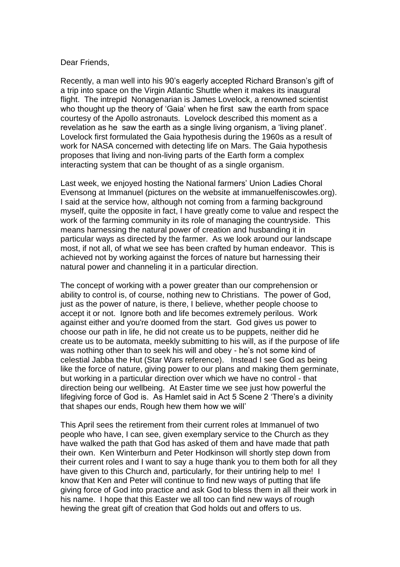## Dear Friends,

Recently, a man well into his 90's eagerly accepted Richard Branson's gift of a trip into space on the Virgin Atlantic Shuttle when it makes its inaugural flight. The intrepid Nonagenarian is James Lovelock, a renowned scientist who thought up the theory of 'Gaia' when he first saw the earth from space courtesy of the Apollo astronauts. Lovelock described this moment as a revelation as he saw the earth as a single living organism, a 'living planet'. Lovelock first formulated the Gaia hypothesis during the 1960s as a result of work for NASA concerned with detecting life on Mars. The Gaia hypothesis proposes that living and non-living parts of the Earth form a complex interacting system that can be thought of as a single organism.

Last week, we enjoyed hosting the National farmers' Union Ladies Choral Evensong at Immanuel (pictures on the website at immanuelfeniscowles.org). I said at the service how, although not coming from a farming background myself, quite the opposite in fact, I have greatly come to value and respect the work of the farming community in its role of managing the countryside. This means harnessing the natural power of creation and husbanding it in particular ways as directed by the farmer. As we look around our landscape most, if not all, of what we see has been crafted by human endeavor. This is achieved not by working against the forces of nature but harnessing their natural power and channeling it in a particular direction.

The concept of working with a power greater than our comprehension or ability to control is, of course, nothing new to Christians. The power of God, just as the power of nature, is there, I believe, whether people choose to accept it or not. Ignore both and life becomes extremely perilous. Work against either and you're doomed from the start. God gives us power to choose our path in life, he did not create us to be puppets, neither did he create us to be automata, meekly submitting to his will, as if the purpose of life was nothing other than to seek his will and obey - he's not some kind of celestial Jabba the Hut (Star Wars reference). Instead I see God as being like the force of nature, giving power to our plans and making them germinate, but working in a particular direction over which we have no control - that direction being our wellbeing. At Easter time we see just how powerful the lifegiving force of God is. As Hamlet said in Act 5 Scene 2 'There's a divinity that shapes our ends, Rough hew them how we will'

This April sees the retirement from their current roles at Immanuel of two people who have, I can see, given exemplary service to the Church as they have walked the path that God has asked of them and have made that path their own. Ken Winterburn and Peter Hodkinson will shortly step down from their current roles and I want to say a huge thank you to them both for all they have given to this Church and, particularly, for their untiring help to me! I know that Ken and Peter will continue to find new ways of putting that life giving force of God into practice and ask God to bless them in all their work in his name. I hope that this Easter we all too can find new ways of rough hewing the great gift of creation that God holds out and offers to us.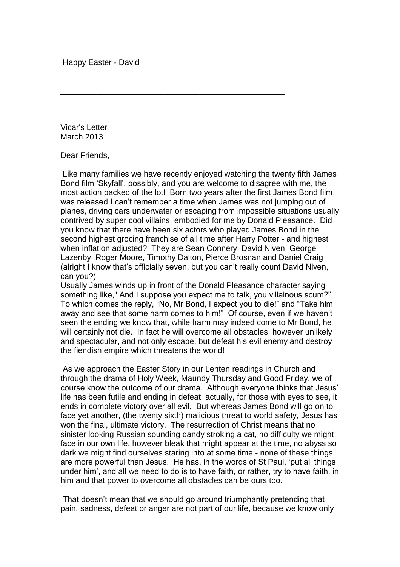Happy Easter - David

Vicar's Letter March 2013

Dear Friends,

Like many families we have recently enjoyed watching the twenty fifth James Bond film 'Skyfall', possibly, and you are welcome to disagree with me, the most action packed of the lot! Born two years after the first James Bond film was released I can't remember a time when James was not jumping out of planes, driving cars underwater or escaping from impossible situations usually contrived by super cool villains, embodied for me by Donald Pleasance. Did you know that there have been six actors who played James Bond in the second highest grocing franchise of all time after Harry Potter - and highest when inflation adjusted? They are Sean Connery, David Niven, George Lazenby, Roger Moore, Timothy Dalton, Pierce Brosnan and Daniel Craig (alright I know that's officially seven, but you can't really count David Niven, can you?)

\_\_\_\_\_\_\_\_\_\_\_\_\_\_\_\_\_\_\_\_\_\_\_\_\_\_\_\_\_\_\_\_\_\_\_\_\_\_\_\_\_\_\_\_\_\_\_\_\_\_

Usually James winds up in front of the Donald Pleasance character saying something like," And I suppose you expect me to talk, you villainous scum?" To which comes the reply, "No, Mr Bond, I expect you to die!" and "Take him away and see that some harm comes to him!" Of course, even if we haven't seen the ending we know that, while harm may indeed come to Mr Bond, he will certainly not die. In fact he will overcome all obstacles, however unlikely and spectacular, and not only escape, but defeat his evil enemy and destroy the fiendish empire which threatens the world!

As we approach the Easter Story in our Lenten readings in Church and through the drama of Holy Week, Maundy Thursday and Good Friday, we of course know the outcome of our drama. Although everyone thinks that Jesus' life has been futile and ending in defeat, actually, for those with eyes to see, it ends in complete victory over all evil. But whereas James Bond will go on to face yet another, (the twenty sixth) malicious threat to world safety, Jesus has won the final, ultimate victory. The resurrection of Christ means that no sinister looking Russian sounding dandy stroking a cat, no difficulty we might face in our own life, however bleak that might appear at the time, no abyss so dark we might find ourselves staring into at some time - none of these things are more powerful than Jesus. He has, in the words of St Paul, 'put all things under him', and all we need to do is to have faith, or rather, try to have faith, in him and that power to overcome all obstacles can be ours too.

That doesn't mean that we should go around triumphantly pretending that pain, sadness, defeat or anger are not part of our life, because we know only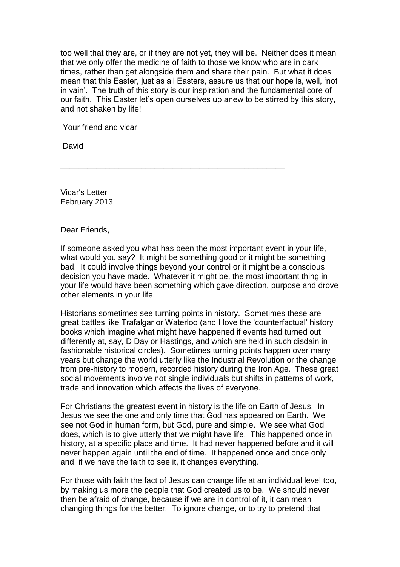too well that they are, or if they are not yet, they will be. Neither does it mean that we only offer the medicine of faith to those we know who are in dark times, rather than get alongside them and share their pain. But what it does mean that this Easter, just as all Easters, assure us that our hope is, well, 'not in vain'. The truth of this story is our inspiration and the fundamental core of our faith. This Easter let's open ourselves up anew to be stirred by this story, and not shaken by life!

\_\_\_\_\_\_\_\_\_\_\_\_\_\_\_\_\_\_\_\_\_\_\_\_\_\_\_\_\_\_\_\_\_\_\_\_\_\_\_\_\_\_\_\_\_\_\_\_\_\_

Your friend and vicar

**David** 

Vicar's Letter February 2013

Dear Friends,

If someone asked you what has been the most important event in your life, what would you say? It might be something good or it might be something bad. It could involve things beyond your control or it might be a conscious decision you have made. Whatever it might be, the most important thing in your life would have been something which gave direction, purpose and drove other elements in your life.

Historians sometimes see turning points in history. Sometimes these are great battles like Trafalgar or Waterloo (and I love the 'counterfactual' history books which imagine what might have happened if events had turned out differently at, say, D Day or Hastings, and which are held in such disdain in fashionable historical circles). Sometimes turning points happen over many years but change the world utterly like the Industrial Revolution or the change from pre-history to modern, recorded history during the Iron Age. These great social movements involve not single individuals but shifts in patterns of work, trade and innovation which affects the lives of everyone.

For Christians the greatest event in history is the life on Earth of Jesus. In Jesus we see the one and only time that God has appeared on Earth. We see not God in human form, but God, pure and simple. We see what God does, which is to give utterly that we might have life. This happened once in history, at a specific place and time. It had never happened before and it will never happen again until the end of time. It happened once and once only and, if we have the faith to see it, it changes everything.

For those with faith the fact of Jesus can change life at an individual level too, by making us more the people that God created us to be. We should never then be afraid of change, because if we are in control of it, it can mean changing things for the better. To ignore change, or to try to pretend that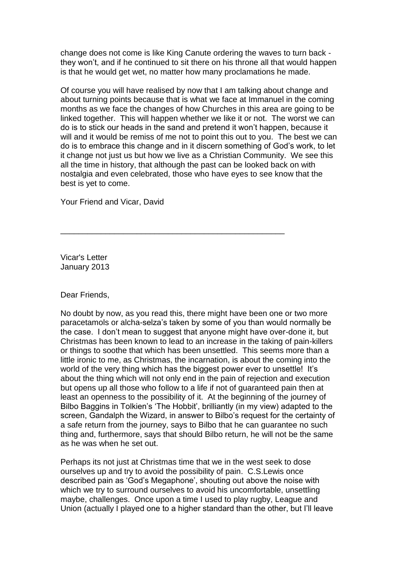change does not come is like King Canute ordering the waves to turn back they won't, and if he continued to sit there on his throne all that would happen is that he would get wet, no matter how many proclamations he made.

Of course you will have realised by now that I am talking about change and about turning points because that is what we face at Immanuel in the coming months as we face the changes of how Churches in this area are going to be linked together. This will happen whether we like it or not. The worst we can do is to stick our heads in the sand and pretend it won't happen, because it will and it would be remiss of me not to point this out to you. The best we can do is to embrace this change and in it discern something of God's work, to let it change not just us but how we live as a Christian Community. We see this all the time in history, that although the past can be looked back on with nostalgia and even celebrated, those who have eyes to see know that the best is yet to come.

\_\_\_\_\_\_\_\_\_\_\_\_\_\_\_\_\_\_\_\_\_\_\_\_\_\_\_\_\_\_\_\_\_\_\_\_\_\_\_\_\_\_\_\_\_\_\_\_\_\_

Your Friend and Vicar, David

Vicar's Letter January 2013

Dear Friends,

No doubt by now, as you read this, there might have been one or two more paracetamols or alcha-selza's taken by some of you than would normally be the case. I don't mean to suggest that anyone might have over-done it, but Christmas has been known to lead to an increase in the taking of pain-killers or things to soothe that which has been unsettled. This seems more than a little ironic to me, as Christmas, the incarnation, is about the coming into the world of the very thing which has the biggest power ever to unsettle! It's about the thing which will not only end in the pain of rejection and execution but opens up all those who follow to a life if not of guaranteed pain then at least an openness to the possibility of it. At the beginning of the journey of Bilbo Baggins in Tolkien's 'The Hobbit', brilliantly (in my view) adapted to the screen, Gandalph the Wizard, in answer to Bilbo's request for the certainty of a safe return from the journey, says to Bilbo that he can guarantee no such thing and, furthermore, says that should Bilbo return, he will not be the same as he was when he set out.

Perhaps its not just at Christmas time that we in the west seek to dose ourselves up and try to avoid the possibility of pain. C.S.Lewis once described pain as 'God's Megaphone', shouting out above the noise with which we try to surround ourselves to avoid his uncomfortable, unsettling maybe, challenges. Once upon a time I used to play rugby, League and Union (actually I played one to a higher standard than the other, but I'll leave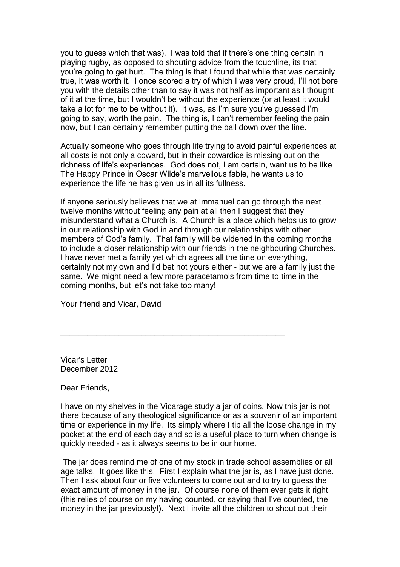you to guess which that was). I was told that if there's one thing certain in playing rugby, as opposed to shouting advice from the touchline, its that you're going to get hurt. The thing is that I found that while that was certainly true, it was worth it. I once scored a try of which I was very proud, I'll not bore you with the details other than to say it was not half as important as I thought of it at the time, but I wouldn't be without the experience (or at least it would take a lot for me to be without it). It was, as I'm sure you've guessed I'm going to say, worth the pain. The thing is, I can't remember feeling the pain now, but I can certainly remember putting the ball down over the line.

Actually someone who goes through life trying to avoid painful experiences at all costs is not only a coward, but in their cowardice is missing out on the richness of life's experiences. God does not, I am certain, want us to be like The Happy Prince in Oscar Wilde's marvellous fable, he wants us to experience the life he has given us in all its fullness.

If anyone seriously believes that we at Immanuel can go through the next twelve months without feeling any pain at all then I suggest that they misunderstand what a Church is. A Church is a place which helps us to grow in our relationship with God in and through our relationships with other members of God's family. That family will be widened in the coming months to include a closer relationship with our friends in the neighbouring Churches. I have never met a family yet which agrees all the time on everything, certainly not my own and I'd bet not yours either - but we are a family just the same. We might need a few more paracetamols from time to time in the coming months, but let's not take too many!

\_\_\_\_\_\_\_\_\_\_\_\_\_\_\_\_\_\_\_\_\_\_\_\_\_\_\_\_\_\_\_\_\_\_\_\_\_\_\_\_\_\_\_\_\_\_\_\_\_\_

Your friend and Vicar, David

Vicar's Letter December 2012

Dear Friends.

I have on my shelves in the Vicarage study a jar of coins. Now this jar is not there because of any theological significance or as a souvenir of an important time or experience in my life. Its simply where I tip all the loose change in my pocket at the end of each day and so is a useful place to turn when change is quickly needed - as it always seems to be in our home.

The jar does remind me of one of my stock in trade school assemblies or all age talks. It goes like this. First I explain what the jar is, as I have just done. Then I ask about four or five volunteers to come out and to try to guess the exact amount of money in the jar. Of course none of them ever gets it right (this relies of course on my having counted, or saying that I've counted, the money in the jar previously!). Next I invite all the children to shout out their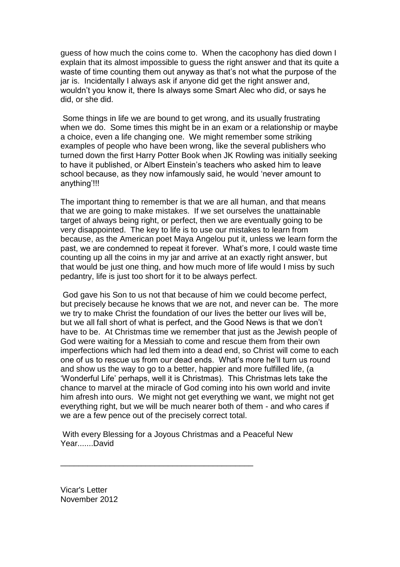guess of how much the coins come to. When the cacophony has died down I explain that its almost impossible to guess the right answer and that its quite a waste of time counting them out anyway as that's not what the purpose of the jar is. Incidentally I always ask if anyone did get the right answer and, wouldn't you know it, there Is always some Smart Alec who did, or says he did, or she did.

Some things in life we are bound to get wrong, and its usually frustrating when we do. Some times this might be in an exam or a relationship or maybe a choice, even a life changing one. We might remember some striking examples of people who have been wrong, like the several publishers who turned down the first Harry Potter Book when JK Rowling was initially seeking to have it published, or Albert Einstein's teachers who asked him to leave school because, as they now infamously said, he would 'never amount to anything'!!!

The important thing to remember is that we are all human, and that means that we are going to make mistakes. If we set ourselves the unattainable target of always being right, or perfect, then we are eventually going to be very disappointed. The key to life is to use our mistakes to learn from because, as the American poet Maya Angelou put it, unless we learn form the past, we are condemned to repeat it forever. What's more, I could waste time counting up all the coins in my jar and arrive at an exactly right answer, but that would be just one thing, and how much more of life would I miss by such pedantry, life is just too short for it to be always perfect.

God gave his Son to us not that because of him we could become perfect, but precisely because he knows that we are not, and never can be. The more we try to make Christ the foundation of our lives the better our lives will be, but we all fall short of what is perfect, and the Good News is that we don't have to be. At Christmas time we remember that just as the Jewish people of God were waiting for a Messiah to come and rescue them from their own imperfections which had led them into a dead end, so Christ will come to each one of us to rescue us from our dead ends. What's more he'll turn us round and show us the way to go to a better, happier and more fulfilled life, (a 'Wonderful Life' perhaps, well it is Christmas). This Christmas lets take the chance to marvel at the miracle of God coming into his own world and invite him afresh into ours. We might not get everything we want, we might not get everything right, but we will be much nearer both of them - and who cares if we are a few pence out of the precisely correct total.

With every Blessing for a Joyous Christmas and a Peaceful New Year.......David

\_\_\_\_\_\_\_\_\_\_\_\_\_\_\_\_\_\_\_\_\_\_\_\_\_\_\_\_\_\_\_\_\_\_\_\_\_\_\_\_\_\_\_

Vicar's Letter November 2012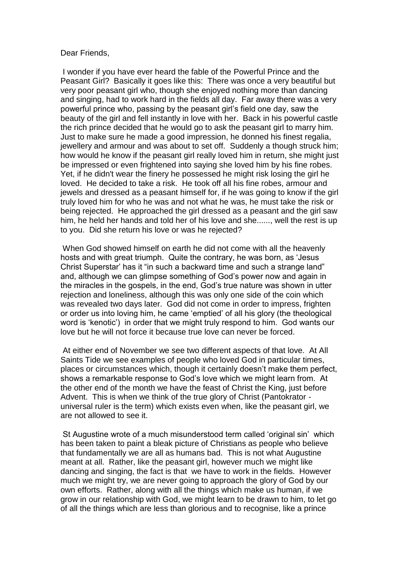## Dear Friends,

I wonder if you have ever heard the fable of the Powerful Prince and the Peasant Girl? Basically it goes like this: There was once a very beautiful but very poor peasant girl who, though she enjoyed nothing more than dancing and singing, had to work hard in the fields all day. Far away there was a very powerful prince who, passing by the peasant girl's field one day, saw the beauty of the girl and fell instantly in love with her. Back in his powerful castle the rich prince decided that he would go to ask the peasant girl to marry him. Just to make sure he made a good impression, he donned his finest regalia, jewellery and armour and was about to set off. Suddenly a though struck him; how would he know if the peasant girl really loved him in return, she might just be impressed or even frightened into saying she loved him by his fine robes. Yet, if he didn't wear the finery he possessed he might risk losing the girl he loved. He decided to take a risk. He took off all his fine robes, armour and jewels and dressed as a peasant himself for, if he was going to know if the girl truly loved him for who he was and not what he was, he must take the risk or being rejected. He approached the girl dressed as a peasant and the girl saw him, he held her hands and told her of his love and she......, well the rest is up to you. Did she return his love or was he rejected?

When God showed himself on earth he did not come with all the heavenly hosts and with great triumph. Quite the contrary, he was born, as 'Jesus Christ Superstar' has it "in such a backward time and such a strange land" and, although we can glimpse something of God's power now and again in the miracles in the gospels, in the end, God's true nature was shown in utter rejection and loneliness, although this was only one side of the coin which was revealed two days later. God did not come in order to impress, frighten or order us into loving him, he came 'emptied' of all his glory (the theological word is 'kenotic') in order that we might truly respond to him. God wants our love but he will not force it because true love can never be forced.

At either end of November we see two different aspects of that love. At All Saints Tide we see examples of people who loved God in particular times, places or circumstances which, though it certainly doesn't make them perfect, shows a remarkable response to God's love which we might learn from. At the other end of the month we have the feast of Christ the King, just before Advent. This is when we think of the true glory of Christ (Pantokrator universal ruler is the term) which exists even when, like the peasant girl, we are not allowed to see it.

St Augustine wrote of a much misunderstood term called 'original sin' which has been taken to paint a bleak picture of Christians as people who believe that fundamentally we are all as humans bad. This is not what Augustine meant at all. Rather, like the peasant girl, however much we might like dancing and singing, the fact is that we have to work in the fields. However much we might try, we are never going to approach the glory of God by our own efforts. Rather, along with all the things which make us human, if we grow in our relationship with God, we might learn to be drawn to him, to let go of all the things which are less than glorious and to recognise, like a prince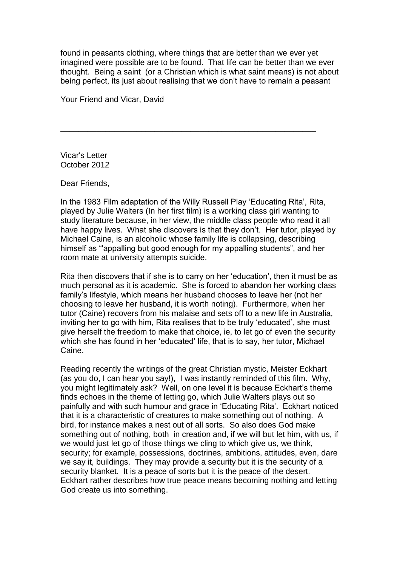found in peasants clothing, where things that are better than we ever yet imagined were possible are to be found. That life can be better than we ever thought. Being a saint (or a Christian which is what saint means) is not about being perfect, its just about realising that we don't have to remain a peasant

\_\_\_\_\_\_\_\_\_\_\_\_\_\_\_\_\_\_\_\_\_\_\_\_\_\_\_\_\_\_\_\_\_\_\_\_\_\_\_\_\_\_\_\_\_\_\_\_\_\_\_\_\_\_\_\_\_

Your Friend and Vicar, David

Vicar's Letter October 2012

Dear Friends,

In the 1983 Film adaptation of the Willy Russell Play 'Educating Rita', Rita, played by Julie Walters (In her first film) is a working class girl wanting to study literature because, in her view, the middle class people who read it all have happy lives. What she discovers is that they don't. Her tutor, played by Michael Caine, is an alcoholic whose family life is collapsing, describing himself as "'appalling but good enough for my appalling students", and her room mate at university attempts suicide.

Rita then discovers that if she is to carry on her 'education', then it must be as much personal as it is academic. She is forced to abandon her working class family's lifestyle, which means her husband chooses to leave her (not her choosing to leave her husband, it is worth noting). Furthermore, when her tutor (Caine) recovers from his malaise and sets off to a new life in Australia, inviting her to go with him, Rita realises that to be truly 'educated', she must give herself the freedom to make that choice, ie, to let go of even the security which she has found in her 'educated' life, that is to say, her tutor, Michael Caine.

Reading recently the writings of the great Christian mystic, Meister Eckhart (as you do, I can hear you say!), I was instantly reminded of this film. Why, you might legitimately ask? Well, on one level it is because Eckhart's theme finds echoes in the theme of letting go, which Julie Walters plays out so painfully and with such humour and grace in 'Educating Rita'. Eckhart noticed that it is a characteristic of creatures to make something out of nothing. A bird, for instance makes a nest out of all sorts. So also does God make something out of nothing, both in creation and, if we will but let him, with us, if we would just let go of those things we cling to which give us, we think, security; for example, possessions, doctrines, ambitions, attitudes, even, dare we say it, buildings. They may provide a security but it is the security of a security blanket. It is a peace of sorts but it is the peace of the desert. Eckhart rather describes how true peace means becoming nothing and letting God create us into something.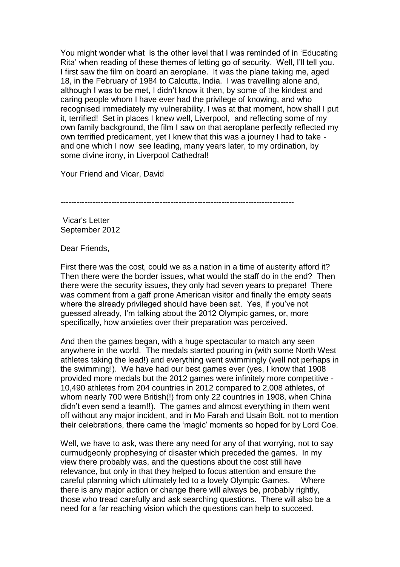You might wonder what is the other level that I was reminded of in 'Educating Rita' when reading of these themes of letting go of security. Well, I'll tell you. I first saw the film on board an aeroplane. It was the plane taking me, aged 18, in the February of 1984 to Calcutta, India. I was travelling alone and, although I was to be met, I didn't know it then, by some of the kindest and caring people whom I have ever had the privilege of knowing, and who recognised immediately my vulnerability, I was at that moment, how shall I put it, terrified! Set in places I knew well, Liverpool, and reflecting some of my own family background, the film I saw on that aeroplane perfectly reflected my own terrified predicament, yet I knew that this was a journey I had to take and one which I now see leading, many years later, to my ordination, by some divine irony, in Liverpool Cathedral!

Your Friend and Vicar, David

---------------------------------------------------------------------------------------

Vicar's Letter September 2012

Dear Friends,

First there was the cost, could we as a nation in a time of austerity afford it? Then there were the border issues, what would the staff do in the end? Then there were the security issues, they only had seven years to prepare! There was comment from a gaff prone American visitor and finally the empty seats where the already privileged should have been sat. Yes, if you've not guessed already, I'm talking about the 2012 Olympic games, or, more specifically, how anxieties over their preparation was perceived.

And then the games began, with a huge spectacular to match any seen anywhere in the world. The medals started pouring in (with some North West athletes taking the lead!) and everything went swimmingly (well not perhaps in the swimming!). We have had our best games ever (yes, I know that 1908 provided more medals but the 2012 games were infinitely more competitive - 10,490 athletes from 204 countries in 2012 compared to 2,008 athletes, of whom nearly 700 were British(!) from only 22 countries in 1908, when China didn't even send a team!!). The games and almost everything in them went off without any major incident, and in Mo Farah and Usain Bolt, not to mention their celebrations, there came the 'magic' moments so hoped for by Lord Coe.

Well, we have to ask, was there any need for any of that worrying, not to say curmudgeonly prophesying of disaster which preceded the games. In my view there probably was, and the questions about the cost still have relevance, but only in that they helped to focus attention and ensure the careful planning which ultimately led to a lovely Olympic Games. Where there is any major action or change there will always be, probably rightly, those who tread carefully and ask searching questions. There will also be a need for a far reaching vision which the questions can help to succeed.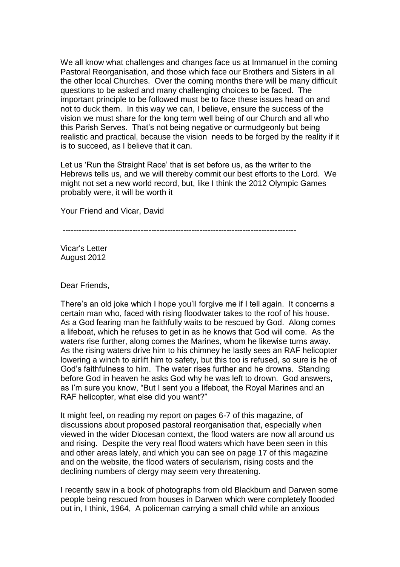We all know what challenges and changes face us at Immanuel in the coming Pastoral Reorganisation, and those which face our Brothers and Sisters in all the other local Churches. Over the coming months there will be many difficult questions to be asked and many challenging choices to be faced. The important principle to be followed must be to face these issues head on and not to duck them. In this way we can, I believe, ensure the success of the vision we must share for the long term well being of our Church and all who this Parish Serves. That's not being negative or curmudgeonly but being realistic and practical, because the vision needs to be forged by the reality if it is to succeed, as I believe that it can.

Let us 'Run the Straight Race' that is set before us, as the writer to the Hebrews tells us, and we will thereby commit our best efforts to the Lord. We might not set a new world record, but, like I think the 2012 Olympic Games probably were, it will be worth it

Your Friend and Vicar, David

---------------------------------------------------------------------------------------

Vicar's Letter August 2012

Dear Friends,

There's an old joke which I hope you'll forgive me if I tell again. It concerns a certain man who, faced with rising floodwater takes to the roof of his house. As a God fearing man he faithfully waits to be rescued by God. Along comes a lifeboat, which he refuses to get in as he knows that God will come. As the waters rise further, along comes the Marines, whom he likewise turns away. As the rising waters drive him to his chimney he lastly sees an RAF helicopter lowering a winch to airlift him to safety, but this too is refused, so sure is he of God's faithfulness to him. The water rises further and he drowns. Standing before God in heaven he asks God why he was left to drown. God answers, as I'm sure you know, "But I sent you a lifeboat, the Royal Marines and an RAF helicopter, what else did you want?"

It might feel, on reading my report on pages 6-7 of this magazine, of discussions about proposed pastoral reorganisation that, especially when viewed in the wider Diocesan context, the flood waters are now all around us and rising. Despite the very real flood waters which have been seen in this and other areas lately, and which you can see on page 17 of this magazine and on the website, the flood waters of secularism, rising costs and the declining numbers of clergy may seem very threatening.

I recently saw in a book of photographs from old Blackburn and Darwen some people being rescued from houses in Darwen which were completely flooded out in, I think, 1964, A policeman carrying a small child while an anxious